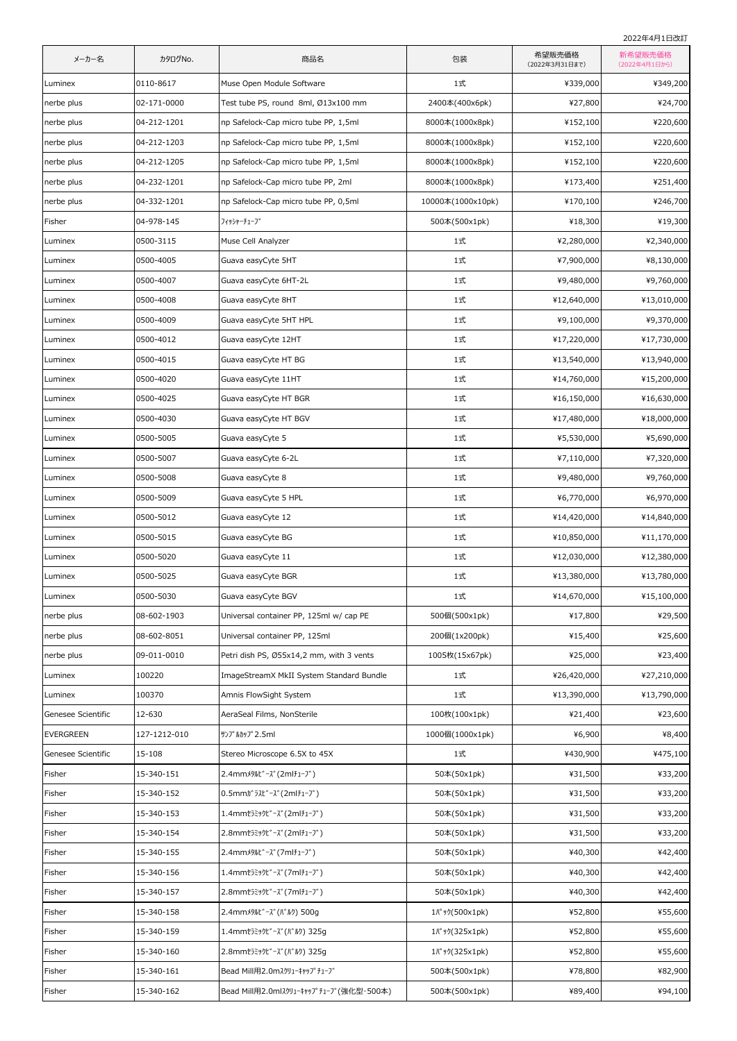2022年4月1日改訂

| メーカー名              | カタログNo.      | 商品名                                      | 包装                      | 希望販売価格<br>(2022年3月31日まで) | 新希望販売価格<br>(2022年4月1日から) |
|--------------------|--------------|------------------------------------------|-------------------------|--------------------------|--------------------------|
| Luminex            | 0110-8617    | Muse Open Module Software                | 1式                      | ¥339,000                 | ¥349,200                 |
| nerbe plus         | 02-171-0000  | Test tube PS, round 8ml, Ø13x100 mm      | 2400本(400x6pk)          | ¥27,800                  | ¥24,700                  |
| nerbe plus         | 04-212-1201  | np Safelock-Cap micro tube PP, 1,5ml     | 8000本(1000x8pk)         | ¥152,100                 | ¥220,600                 |
| nerbe plus         | 04-212-1203  | np Safelock-Cap micro tube PP, 1,5ml     | 8000本(1000x8pk)         | ¥152,100                 | ¥220,600                 |
| nerbe plus         | 04-212-1205  | np Safelock-Cap micro tube PP, 1,5ml     | 8000本(1000x8pk)         | ¥152,100                 | ¥220,600                 |
| nerbe plus         | 04-232-1201  | np Safelock-Cap micro tube PP, 2ml       | 8000本(1000x8pk)         | ¥173,400                 | ¥251,400                 |
| nerbe plus         | 04-332-1201  | np Safelock-Cap micro tube PP, 0,5ml     | 10000本(1000x10pk)       | ¥170,100                 | ¥246,700                 |
| Fisher             | 04-978-145   | フィッシャーチューブ                               | 500本(500x1pk)           | ¥18,300                  | ¥19,300                  |
| Luminex            | 0500-3115    | Muse Cell Analyzer                       | 1式                      | ¥2,280,000               | ¥2,340,000               |
| Luminex            | 0500-4005    | Guava easyCyte 5HT                       | 1式                      | ¥7,900,000               | ¥8,130,000               |
| Luminex            | 0500-4007    | Guava easyCyte 6HT-2L                    | 1式                      | ¥9,480,000               | ¥9,760,000               |
| Luminex            | 0500-4008    | Guava easyCyte 8HT                       | 1式                      | ¥12,640,000              | ¥13,010,000              |
| Luminex            | 0500-4009    | Guava easyCyte 5HT HPL                   | 1式                      | ¥9,100,000               | ¥9,370,000               |
| Luminex            | 0500-4012    | Guava easyCyte 12HT                      | 1式                      | ¥17,220,000              | ¥17,730,000              |
| Luminex            | 0500-4015    | Guava easyCyte HT BG                     | 1式                      | ¥13,540,000              | ¥13,940,000              |
| Luminex            | 0500-4020    | Guava easyCyte 11HT                      | 1式                      | ¥14,760,000              | ¥15,200,000              |
| Luminex            | 0500-4025    | Guava easyCyte HT BGR                    | 1式                      | ¥16,150,000              | ¥16,630,000              |
| Luminex            | 0500-4030    | Guava easyCyte HT BGV                    | 1式                      | ¥17,480,000              | ¥18,000,000              |
| Luminex            | 0500-5005    | Guava easyCyte 5                         | 1式                      | ¥5,530,000               | ¥5,690,000               |
| Luminex            | 0500-5007    | Guava easyCyte 6-2L                      | 1式                      | ¥7,110,000               | ¥7,320,000               |
| Luminex            | 0500-5008    | Guava easyCyte 8                         | 1式                      | ¥9,480,000               | ¥9,760,000               |
| Luminex            | 0500-5009    | Guava easyCyte 5 HPL                     | 1式                      | ¥6,770,000               | ¥6,970,000               |
| Luminex            | 0500-5012    | Guava easyCyte 12                        | 1式                      | ¥14,420,000              | ¥14,840,000              |
| Luminex            | 0500-5015    | Guava easyCyte BG                        | 1式                      | ¥10,850,000              | ¥11,170,000              |
| Luminex            | 0500-5020    | Guava easyCyte 11                        | 1式                      | ¥12,030,000              | ¥12,380,000              |
| Luminex            | 0500-5025    | Guava easyCyte BGR                       | 1式                      | ¥13,380,000              | ¥13,780,000              |
| Luminex            | 0500-5030    | Guava easyCyte BGV                       | $1$ 式                   | ¥14,670,000              | ¥15,100,000              |
| nerbe plus         | 08-602-1903  | Universal container PP, 125ml w/ cap PE  | 500個(500x1pk)           | ¥17,800                  | ¥29,500                  |
| nerbe plus         | 08-602-8051  | Universal container PP, 125ml            | 200個(1x200pk)           | ¥15,400                  | ¥25,600                  |
| nerbe plus         | 09-011-0010  | Petri dish PS, Ø55x14,2 mm, with 3 vents | 1005枚(15x67pk)          | ¥25,000                  | ¥23,400                  |
| Luminex            | 100220       | ImageStreamX MkII System Standard Bundle | 1式                      | ¥26,420,000              | ¥27,210,000              |
| Luminex            | 100370       | Amnis FlowSight System                   | 1式                      | ¥13,390,000              | ¥13,790,000              |
| Genesee Scientific | 12-630       | AeraSeal Films, NonSterile               | 100枚(100x1pk)           | ¥21,400                  | ¥23,600                  |
| <b>EVERGREEN</b>   | 127-1212-010 | サンプ ルカップ 2.5ml                           | 1000個(1000x1pk)         | ¥6,900                   | ¥8,400                   |
| Genesee Scientific | 15-108       | Stereo Microscope 6.5X to 45X            | 1式                      | ¥430,900                 | ¥475,100                 |
| Fisher             | 15-340-151   | 2.4mmメタルビーズ(2mlチューブ)                     | 50本(50x1pk)             | ¥31,500                  | ¥33,200                  |
| Fisher             | 15-340-152   | 0.5mmガラスビーズ(2mlチューブ)                     | 50本(50x1pk)             | ¥31,500                  | ¥33,200                  |
| Fisher             | 15-340-153   | 1.4mmセラミックビーズ(2mlチューブ)                   | 50本(50x1pk)             | ¥31,500                  | ¥33,200                  |
| Fisher             | 15-340-154   | 2.8mmセラミックビーズ(2mlチューブ)                   | 50本(50x1pk)             | ¥31,500                  | ¥33,200                  |
| Fisher             | 15-340-155   | 2.4mmメタルビーズ(フmlチューブ)                     | 50本(50x1pk)             | ¥40,300                  | ¥42,400                  |
| Fisher             | 15-340-156   | 1.4mmセラミックビーズ(7mlチューブ)                   | 50本(50x1pk)             | ¥40,300                  | ¥42,400                  |
| Fisher             | 15-340-157   | 2.8mmセラミックビーズ(7mlチューブ)                   | 50本(50x1pk)             | ¥40,300                  | ¥42,400                  |
| Fisher             | 15-340-158   | 2.4mmメタルビーズ(バルク) 500g                    | 1パック(500x1pk)           | ¥52,800                  | ¥55,600                  |
| Fisher             | 15-340-159   | 1.4mmセラミックビーズ(バルク) 325g                  |                         | ¥52,800                  | ¥55,600                  |
| Fisher             | 15-340-160   | 2.8mmセラミックビーズ(バルク) 325g                  | 1 //° y */ (325 x 1 pk) | ¥52,800                  | ¥55,600                  |
| Fisher             | 15-340-161   | Bead Mill用2.0mスクリューキャップチューブ              | 500本(500x1pk)           | ¥78,800                  | ¥82,900                  |
| Fisher             | 15-340-162   | Bead Mill用2.0mlスクリューキャップチューブ(強化型・500本)   | 500本(500x1pk)           | ¥89,400                  | ¥94,100                  |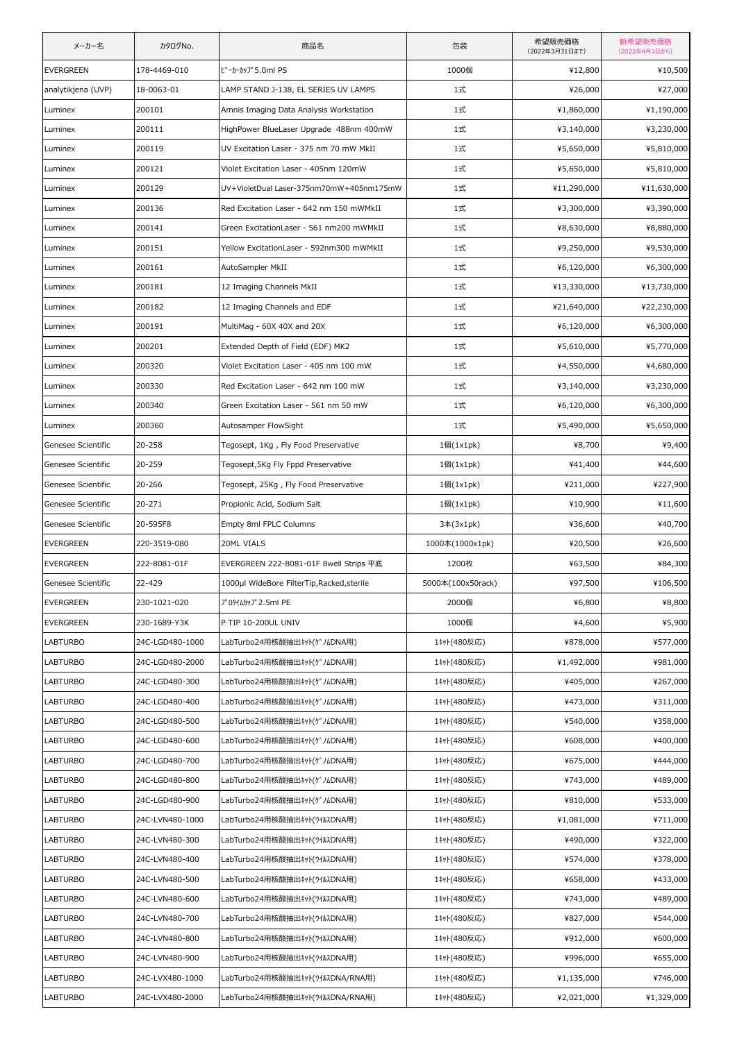| メーカー名              | カタログNo.         | 商品名                                        | 包装                | 希望販売価格<br>(2022年3月31日まで) | 新希望販売価格<br>(2022年4月1日から) |
|--------------------|-----------------|--------------------------------------------|-------------------|--------------------------|--------------------------|
| <b>EVERGREEN</b>   | 178-4469-010    | ビーカーカップ5.0ml PS                            | 1000個             | ¥12,800                  | ¥10,500                  |
| analytikjena (UVP) | 18-0063-01      | LAMP STAND J-138, EL SERIES UV LAMPS       | 1式                | ¥26,000                  | ¥27,000                  |
| Luminex            | 200101          | Amnis Imaging Data Analysis Workstation    | 1式                | ¥1,860,000               | ¥1,190,000               |
| Luminex            | 200111          | HighPower BlueLaser Upgrade 488nm 400mW    | 1式                | ¥3,140,000               | ¥3,230,000               |
| Luminex            | 200119          | UV Excitation Laser - 375 nm 70 mW MkII    | 1式                | ¥5,650,000               | ¥5,810,000               |
| Luminex            | 200121          | Violet Excitation Laser - 405nm 120mW      | 1式                | ¥5,650,000               | ¥5,810,000               |
| Luminex            | 200129          | UV+VioletDual Laser-375nm70mW+405nm175mW   | 1式                | ¥11,290,000              | ¥11,630,000              |
| Luminex            | 200136          | Red Excitation Laser - 642 nm 150 mWMkII   | 1式                | ¥3,300,000               | ¥3,390,000               |
| Luminex            | 200141          | Green ExcitationLaser - 561 nm200 mWMkII   | 1式                | ¥8,630,000               | ¥8,880,000               |
| Luminex            | 200151          | Yellow ExcitationLaser - 592nm300 mWMkII   | 1式                | ¥9,250,000               | ¥9,530,000               |
| Luminex            | 200161          | AutoSampler MkII                           | 1式                | ¥6,120,000               | ¥6,300,000               |
| Luminex            | 200181          | 12 Imaging Channels MkII                   | 1式                | ¥13,330,000              | ¥13,730,000              |
| Luminex            | 200182          | 12 Imaging Channels and EDF                | 1式                | ¥21,640,000              | ¥22,230,000              |
| Luminex            | 200191          | MultiMag - 60X 40X and 20X                 | 1式                | ¥6,120,000               | ¥6,300,000               |
| Luminex            | 200201          | Extended Depth of Field (EDF) MK2          | 1式                | ¥5,610,000               | ¥5,770,000               |
| Luminex            | 200320          | Violet Excitation Laser - 405 nm 100 mW    | 1式                | ¥4,550,000               | ¥4,680,000               |
| Luminex            | 200330          | Red Excitation Laser - 642 nm 100 mW       | 1式                | ¥3,140,000               | ¥3,230,000               |
| Luminex            | 200340          | Green Excitation Laser - 561 nm 50 mW      | 1式                | ¥6,120,000               | ¥6,300,000               |
| Luminex            | 200360          | Autosamper FlowSight                       | 1式                | ¥5,490,000               | ¥5,650,000               |
| Genesee Scientific | 20-258          | Tegosept, 1Kg, Fly Food Preservative       | 1個(1x1pk)         | ¥8,700                   | ¥9,400                   |
| Genesee Scientific | 20-259          | Tegosept,5Kg Fly Fppd Preservative         | 1個(1x1pk)         | ¥41,400                  | ¥44,600                  |
| Genesee Scientific | 20-266          | Tegosept, 25Kg, Fly Food Preservative      | 1個(1x1pk)         | ¥211,000                 | ¥227,900                 |
| Genesee Scientific | 20-271          | Propionic Acid, Sodium Salt                | 1個(1x1pk)         | ¥10,900                  | ¥11,600                  |
| Genesee Scientific | 20-595F8        | Empty 8ml FPLC Columns                     | 3本(3x1pk)         | ¥36,600                  | ¥40,700                  |
| <b>EVERGREEN</b>   | 220-3519-080    | 20ML VIALS                                 | 1000本(1000x1pk)   | ¥20,500                  | ¥26,600                  |
| <b>EVERGREEN</b>   | 222-8081-01F    | EVERGREEN 222-8081-01F 8well Strips 平底     | 1200枚             | ¥63,500                  | ¥84,300                  |
| Genesee Scientific | 22-429          | 1000µl WideBore FilterTip, Racked, sterile | 5000本(100x50rack) | ¥97,500                  | ¥106,500                 |
| <b>EVERGREEN</b>   | 230-1021-020    | プロタイムカップ2.5ml PE                           | 2000個             | ¥6,800                   | ¥8,800                   |
| <b>EVERGREEN</b>   | 230-1689-Y3K    | P TIP 10-200UL UNIV                        | 1000個             | ¥4,600                   | ¥5,900                   |
| <b>LABTURBO</b>    | 24C-LGD480-1000 | LabTurbo24用核酸抽出キット(ゲノムDNA用)                | 1キット(480反応)       | ¥878,000                 | ¥577,000                 |
| <b>LABTURBO</b>    | 24C-LGD480-2000 | LabTurbo24用核酸抽出キット(ゲノムDNA用)                | 1キット(480反応)       | ¥1,492,000               | ¥981,000                 |
| <b>LABTURBO</b>    | 24C-LGD480-300  | LabTurbo24用核酸抽出キット(ゲノムDNA用)                | 1キット(480反応)       | ¥405,000                 | ¥267,000                 |
| LABTURBO           | 24C-LGD480-400  | LabTurbo24用核酸抽出キット(ゲノムDNA用)                | 1キット(480反応)       | ¥473,000                 | ¥311,000                 |
| <b>LABTURBO</b>    | 24C-LGD480-500  | LabTurbo24用核酸抽出キット(ゲノムDNA用)                | 1キット(480反応)       | ¥540,000                 | ¥358,000                 |
| <b>LABTURBO</b>    | 24C-LGD480-600  | LabTurbo24用核酸抽出キット(ゲノムDNA用)                | 1キット(480反応)       | ¥608,000                 | ¥400,000                 |
| <b>LABTURBO</b>    | 24C-LGD480-700  | LabTurbo24用核酸抽出キット(ゲノムDNA用)                | 1キット(480反応)       | ¥675,000                 | ¥444,000                 |
| <b>LABTURBO</b>    | 24C-LGD480-800  | LabTurbo24用核酸抽出キット(ゲノムDNA用)                | 1キット(480反応)       | ¥743,000                 | ¥489,000                 |
| <b>LABTURBO</b>    | 24C-LGD480-900  | LabTurbo24用核酸抽出キット(ゲノムDNA用)                | 1キット(480反応)       | ¥810,000                 | ¥533,000                 |
| <b>LABTURBO</b>    | 24C-LVN480-1000 | LabTurbo24用核酸抽出キット(ウイルスDNA用)               | 1キット(480反応)       | ¥1,081,000               | ¥711,000                 |
| <b>LABTURBO</b>    | 24C-LVN480-300  | LabTurbo24用核酸抽出キット(ウイルスDNA用)               | 1キット(480反応)       | ¥490,000                 | ¥322,000                 |
| <b>LABTURBO</b>    | 24C-LVN480-400  | LabTurbo24用核酸抽出キット(ウイルスDNA用)               | 1キット(480反応)       | ¥574,000                 | ¥378,000                 |
| LABTURBO           | 24C-LVN480-500  | LabTurbo24用核酸抽出キット(ウイルスDNA用)               | 1キット(480反応)       | ¥658,000                 | ¥433,000                 |
| <b>LABTURBO</b>    | 24C-LVN480-600  | LabTurbo24用核酸抽出キット(ウイルスDNA用)               | 1キット(480反応)       | ¥743,000                 | ¥489,000                 |
| <b>LABTURBO</b>    | 24C-LVN480-700  | LabTurbo24用核酸抽出キット(ウイルスDNA用)               | 1キット(480反応)       | ¥827,000                 | ¥544,000                 |
| <b>LABTURBO</b>    | 24C-LVN480-800  | LabTurbo24用核酸抽出キット(ウイルスDNA用)               | 1キット(480反応)       | ¥912,000                 | ¥600,000                 |
| <b>LABTURBO</b>    | 24C-LVN480-900  | LabTurbo24用核酸抽出キット(ウイルスDNA用)               | 1キット(480反応)       | ¥996,000                 | ¥655,000                 |
| LABTURBO           | 24C-LVX480-1000 | LabTurbo24用核酸抽出キット(ウイルスDNA/RNA用)           | 1キット(480反応)       | ¥1,135,000               | ¥746,000                 |
| LABTURBO           | 24C-LVX480-2000 | LabTurbo24用核酸抽出キット(ウイルスDNA/RNA用)           | 1キット(480反応)       | ¥2,021,000               | ¥1,329,000               |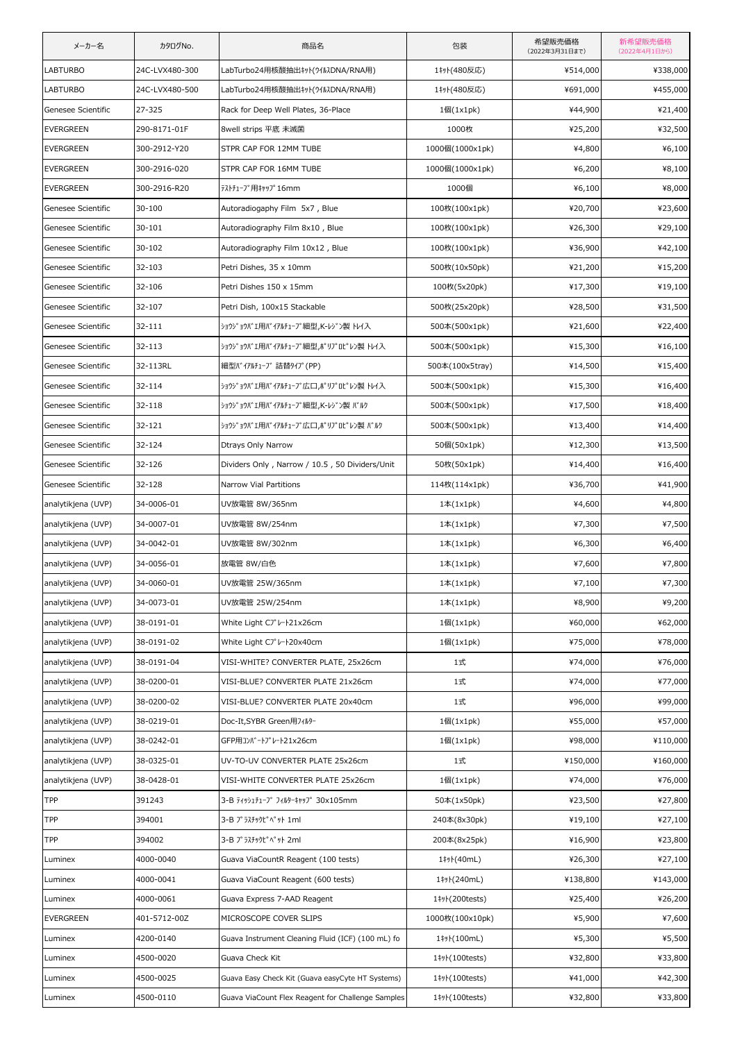| メーカー名              | カタログNo.        | 商品名                                               | 包装                                 | 希望販売価格<br>(2022年3月31日まで) | 新希望販売価格<br>(2022年4月1日から) |
|--------------------|----------------|---------------------------------------------------|------------------------------------|--------------------------|--------------------------|
| <b>LABTURBO</b>    | 24C-LVX480-300 | LabTurbo24用核酸抽出キット(ウイルスDNA/RNA用)                  | 1キット(480反応)                        | ¥514,000                 | ¥338,000                 |
| <b>LABTURBO</b>    | 24C-LVX480-500 | LabTurbo24用核酸抽出キット(ウイルスDNA/RNA用)                  | 1キット(480反応)                        | ¥691,000                 | ¥455,000                 |
| Genesee Scientific | 27-325         | Rack for Deep Well Plates, 36-Place               | 1個(1x1pk)                          | ¥44,900                  | ¥21,400                  |
| <b>EVERGREEN</b>   | 290-8171-01F   | 8well strips 平底 未滅菌                               | 1000枚                              | ¥25,200                  | ¥32,500                  |
| <b>EVERGREEN</b>   | 300-2912-Y20   | STPR CAP FOR 12MM TUBE                            | 1000個(1000x1pk)                    | ¥4,800                   | ¥6,100                   |
| <b>EVERGREEN</b>   | 300-2916-020   | STPR CAP FOR 16MM TUBE                            | 1000個(1000x1pk)                    | ¥6,200                   | ¥8,100                   |
| <b>EVERGREEN</b>   | 300-2916-R20   | テストチューブ用キャップ16mm                                  | 1000個                              | ¥6,100                   | ¥8,000                   |
| Genesee Scientific | 30-100         | Autoradiogaphy Film 5x7, Blue                     | 100枚(100x1pk)                      | ¥20,700                  | ¥23,600                  |
| Genesee Scientific | $30 - 101$     | Autoradiography Film 8x10, Blue                   | 100枚(100x1pk)                      | ¥26,300                  | ¥29,100                  |
| Genesee Scientific | 30-102         | Autoradiography Film 10x12, Blue                  | 100枚(100x1pk)                      | ¥36,900                  | ¥42,100                  |
| Genesee Scientific | 32-103         | Petri Dishes, 35 x 10mm                           | 500枚(10x50pk)                      | ¥21,200                  | ¥15,200                  |
| Genesee Scientific | 32-106         | Petri Dishes 150 x 15mm                           | 100枚(5x20pk)                       | ¥17,300                  | ¥19,100                  |
| Genesee Scientific | 32-107         | Petri Dish, 100x15 Stackable                      | 500枚(25x20pk)                      | ¥28,500                  | ¥31,500                  |
| Genesee Scientific | 32-111         | ショウジョウバエ用バイアルチューブ細型,K-レジン製 トレイ入                   | 500本(500x1pk)                      | ¥21,600                  | ¥22,400                  |
| Genesee Scientific | 32-113         | ショウジョウバエ用バイアルチューブ細型,ポリプロピレン製 トレイ入                 | 500本(500x1pk)                      | ¥15,300                  | ¥16,100                  |
| Genesee Scientific | 32-113RL       | 細型バイアルチューブ 詰替タイプ(PP)                              | 500本(100x5tray)                    | ¥14,500                  | ¥15,400                  |
| Genesee Scientific | $32 - 114$     | ショウジョウバエ用バイアルチューブ広口,ポリプロピレン製 トレイ入                 | 500本(500x1pk)                      | ¥15,300                  | ¥16,400                  |
| Genesee Scientific | 32-118         | ショウジョウバエ用バイアルチューブ細型,K-レジン製 バルク                    | 500本(500x1pk)                      | ¥17,500                  | ¥18,400                  |
| Genesee Scientific | 32-121         | ショウジョウバエ用バイアルチューブ広口,ポリプロピレン製 バルク                  | 500本(500x1pk)                      | ¥13,400                  | ¥14,400                  |
| Genesee Scientific | 32-124         | <b>Dtrays Only Narrow</b>                         | 50個(50x1pk)                        | ¥12,300                  | ¥13,500                  |
| Genesee Scientific | 32-126         | Dividers Only, Narrow / 10.5, 50 Dividers/Unit    | 50枚(50x1pk)                        | ¥14,400                  | ¥16,400                  |
| Genesee Scientific | 32-128         | Narrow Vial Partitions                            | 114枚(114x1pk)                      | ¥36,700                  | ¥41,900                  |
| analytikjena (UVP) | 34-0006-01     | UV放電管 8W/365nm                                    | $1\text{\AA}(1\times1\textrm{pk})$ | ¥4,600                   | ¥4,800                   |
| analytikjena (UVP) | 34-0007-01     | UV放電管 8W/254nm                                    | $1$ 本 $(1x1pk)$                    | ¥7,300                   | ¥7,500                   |
| analytikjena (UVP) | 34-0042-01     | UV放電管 8W/302nm                                    | $1$ 本 $(1x1pk)$                    | ¥6,300                   | ¥6,400                   |
| analytikjena (UVP) | 34-0056-01     | 放電管 8W/白色                                         | $1$ 本 $(1x1pk)$                    | ¥7,600                   | ¥7,800                   |
| analytikjena (UVP) | 34-0060-01     | UV放電管 25W/365nm                                   | $1$ 本 $(1x1pk)$                    | ¥7,100                   | ¥7,300                   |
| analytikjena (UVP) | 34-0073-01     | UV放電管 25W/254nm                                   | $1$ 本 $(1x1pk)$                    | ¥8,900                   | ¥9,200                   |
| analytikjena (UVP) | 38-0191-01     | White Light CJ° V-121x26cm                        | 1個(1x1pk)                          | ¥60,000                  | ¥62,000                  |
| analytikjena (UVP) | 38-0191-02     | White Light CJ°V-120x40cm                         | $1$ 個 $(1x1pk)$                    | ¥75,000                  | ¥78,000                  |
| analytikjena (UVP) | 38-0191-04     | VISI-WHITE? CONVERTER PLATE, 25x26cm              | 1式                                 | ¥74,000                  | ¥76,000                  |
| analytikjena (UVP) | 38-0200-01     | VISI-BLUE? CONVERTER PLATE 21x26cm                | 1式                                 | ¥74,000                  | ¥77,000                  |
| analytikjena (UVP) | 38-0200-02     | VISI-BLUE? CONVERTER PLATE 20x40cm                | 1式                                 | ¥96,000                  | ¥99,000                  |
| analytikjena (UVP) | 38-0219-01     | Doc-It, SYBR Green用フィルター                          | 1個(1x1pk)                          | ¥55,000                  | ¥57,000                  |
| analytikjena (UVP) | 38-0242-01     | GFP用コンバートプレート21x26cm                              | 1個(1x1pk)                          | ¥98,000                  | ¥110,000                 |
| analytikjena (UVP) | 38-0325-01     | UV-TO-UV CONVERTER PLATE 25x26cm                  | 1式                                 | ¥150,000                 | ¥160,000                 |
| analytikjena (UVP) | 38-0428-01     | VISI-WHITE CONVERTER PLATE 25x26cm                | 1個(1x1pk)                          | ¥74,000                  | ¥76,000                  |
| TPP                | 391243         | 3-B ティッシュチューブ フィルターキャップ 30×105mm                  | 50本(1x50pk)                        | ¥23,500                  | ¥27,800                  |
| TPP                | 394001         | 3-B プラスチックピペット 1ml                                | 240本(8x30pk)                       | ¥19,100                  | ¥27,100                  |
| <b>TPP</b>         | 394002         | 3-B プラスチックピペット 2ml                                | 200本(8x25pk)                       | ¥16,900                  | ¥23,800                  |
| Luminex            | 4000-0040      | Guava ViaCountR Reagent (100 tests)               | 1‡y}(40mL)                         | ¥26,300                  | ¥27,100                  |
| Luminex            | 4000-0041      | Guava ViaCount Reagent (600 tests)                | 1‡yト(240mL)                        | ¥138,800                 | ¥143,000                 |
| Luminex            | 4000-0061      | Guava Express 7-AAD Reagent                       | 1# (200tests)                      | ¥25,400                  | ¥26,200                  |
| <b>EVERGREEN</b>   | 401-5712-00Z   | MICROSCOPE COVER SLIPS                            | 1000枚(100x10pk)                    | ¥5,900                   | ¥7,600                   |
| Luminex            | 4200-0140      | Guava Instrument Cleaning Fluid (ICF) (100 mL) fo | 1‡yト(100mL)                        | ¥5,300                   | ¥5,500                   |
| Luminex            | 4500-0020      | Guava Check Kit                                   | 1# (100tests)                      | ¥32,800                  | ¥33,800                  |
| Luminex            | 4500-0025      | Guava Easy Check Kit (Guava easyCyte HT Systems)  | 1# (100 tests)                     | ¥41,000                  | ¥42,300                  |
| Luminex            | 4500-0110      | Guava ViaCount Flex Reagent for Challenge Samples | 1# (100 tests)                     | ¥32,800                  | ¥33,800                  |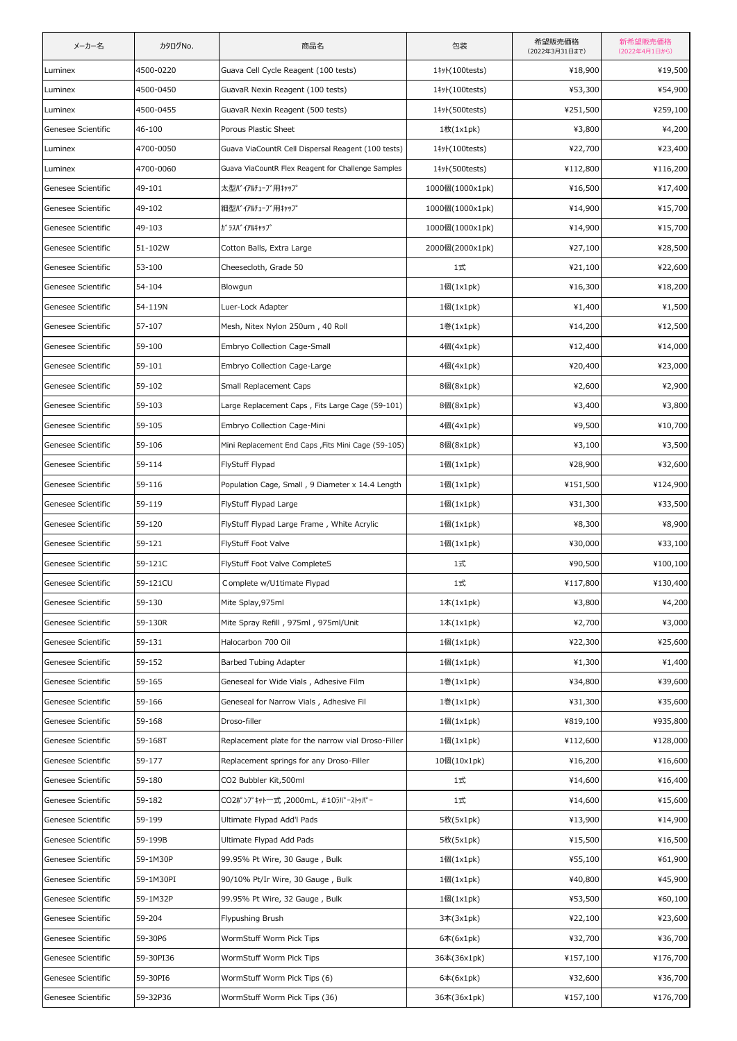| メーカー名              | カタログNo.    | 商品名                                                 | 包装                   | 希望販売価格<br>(2022年3月31日まで) | 新希望販売価格<br>(2022年4月1日から) |
|--------------------|------------|-----------------------------------------------------|----------------------|--------------------------|--------------------------|
| Luminex            | 4500-0220  | Guava Cell Cycle Reagent (100 tests)                | 1#y}(100tests)       | ¥18,900                  | ¥19,500                  |
| Luminex            | 4500-0450  | GuavaR Nexin Reagent (100 tests)                    | 1# (100 tests)       | ¥53,300                  | ¥54,900                  |
| Luminex            | 4500-0455  | GuavaR Nexin Reagent (500 tests)                    | 1# F (500 tests)     | ¥251,500                 | ¥259,100                 |
| Genesee Scientific | 46-100     | Porous Plastic Sheet                                | 1枚(1x1pk)            | ¥3,800                   | ¥4,200                   |
| Luminex            | 4700-0050  | Guava ViaCountR Cell Dispersal Reagent (100 tests)  | 1# 100 tests)        | ¥22,700                  | ¥23,400                  |
| Luminex            | 4700-0060  | Guava ViaCountR Flex Reagent for Challenge Samples  | 1# (500 tests)       | ¥112,800                 | ¥116,200                 |
| Genesee Scientific | 49-101     | 太型バイアルチューブ用キャップ                                     | 1000個(1000x1pk)      | ¥16,500                  | ¥17,400                  |
| Genesee Scientific | 49-102     | 細型バイアルチューブ用キャップ                                     | 1000個(1000x1pk)      | ¥14,900                  | ¥15,700                  |
| Genesee Scientific | 49-103     | <b>ガラスバイアルキャップ</b>                                  | 1000個(1000x1pk)      | ¥14,900                  | ¥15,700                  |
| Genesee Scientific | 51-102W    | Cotton Balls, Extra Large                           | 2000個(2000x1pk)      | ¥27,100                  | ¥28,500                  |
| Genesee Scientific | 53-100     | Cheesecloth, Grade 50                               | 1式                   | ¥21,100                  | ¥22,600                  |
| Genesee Scientific | 54-104     | Blowgun                                             | 1個(1x1pk)            | ¥16,300                  | ¥18,200                  |
| Genesee Scientific | 54-119N    | Luer-Lock Adapter                                   | 1個(1x1pk)            | ¥1,400                   | ¥1,500                   |
| Genesee Scientific | $57 - 107$ | Mesh, Nitex Nylon 250um, 40 Roll                    | 1巻(1x1pk)            | ¥14,200                  | ¥12,500                  |
| Genesee Scientific | 59-100     | Embryo Collection Cage-Small                        | 4個(4x1pk)            | ¥12,400                  | ¥14,000                  |
| Genesee Scientific | 59-101     | Embryo Collection Cage-Large                        | 4個(4x1pk)            | ¥20,400                  | ¥23,000                  |
| Genesee Scientific | 59-102     | Small Replacement Caps                              | 8個(8x1pk)            | ¥2,600                   | ¥2,900                   |
| Genesee Scientific | 59-103     | Large Replacement Caps, Fits Large Cage (59-101)    | 8個(8x1pk)            | ¥3,400                   | ¥3,800                   |
| Genesee Scientific | 59-105     | Embryo Collection Cage-Mini                         | 4個(4x1pk)            | ¥9,500                   | ¥10,700                  |
| Genesee Scientific | 59-106     | Mini Replacement End Caps , Fits Mini Cage (59-105) | 8個(8x1pk)            | ¥3,100                   | ¥3,500                   |
| Genesee Scientific | 59-114     | FlyStuff Flypad                                     | 1個(1x1pk)            | ¥28,900                  | ¥32,600                  |
| Genesee Scientific | 59-116     | Population Cage, Small, 9 Diameter x 14.4 Length    | $1$ 個 $(1x1pk)$      | ¥151,500                 | ¥124,900                 |
| Genesee Scientific | 59-119     | FlyStuff Flypad Large                               | 1個(1x1pk)            | ¥31,300                  | ¥33,500                  |
| Genesee Scientific | 59-120     | FlyStuff Flypad Large Frame, White Acrylic          | 1個(1x1pk)            | ¥8,300                   | ¥8,900                   |
| Genesee Scientific | 59-121     | FlyStuff Foot Valve                                 | $1$ 個 $(1x1pk)$      | ¥30,000                  | ¥33,100                  |
| Genesee Scientific | 59-121C    | FlyStuff Foot Valve CompleteS                       | 1式                   | ¥90,500                  | ¥100,100                 |
| Genesee Scientific | 59-121CU   | Complete w/U1timate Flypad                          | 1式                   | ¥117,800                 | ¥130,400                 |
| Genesee Scientific | 59-130     | Mite Splay, 975ml                                   | $1$ 本 $(1x1pk)$      | ¥3,800                   | ¥4,200                   |
| Genesee Scientific | 59-130R    | Mite Spray Refill, 975ml, 975ml/Unit                | $1$ 本 $(1x1pk)$      | ¥2,700                   | ¥3,000                   |
| Genesee Scientific | 59-131     | Halocarbon 700 Oil                                  | 1個(1x1pk)            | ¥22,300                  | ¥25,600                  |
| Genesee Scientific | 59-152     | Barbed Tubing Adapter                               | 1個(1x1pk)            | ¥1,300                   | ¥1,400                   |
| Genesee Scientific | 59-165     | Geneseal for Wide Vials, Adhesive Film              | 1巻(1x1pk)            | ¥34,800                  | ¥39,600                  |
| Genesee Scientific | 59-166     | Geneseal for Narrow Vials, Adhesive Fil             | 1巻(1x1pk)            | ¥31,300                  | ¥35,600                  |
| Genesee Scientific | 59-168     | Droso-filler                                        | 1個(1x1pk)            | ¥819,100                 | ¥935,800                 |
| Genesee Scientific | 59-168T    | Replacement plate for the narrow vial Droso-Filler  | 1個(1x1pk)            | ¥112,600                 | ¥128,000                 |
| Genesee Scientific | 59-177     | Replacement springs for any Droso-Filler            | 10個(10x1pk)          | ¥16,200                  | ¥16,600                  |
| Genesee Scientific | 59-180     | CO2 Bubbler Kit,500ml                               | 1式                   | ¥14,600                  | ¥16,400                  |
| Genesee Scientific | 59-182     | CO2ポンプキット一式 ,2000mL, #10ラバーストッパー                    | 1式                   | ¥14,600                  | ¥15,600                  |
| Genesee Scientific | 59-199     | Ultimate Flypad Add'l Pads                          | 5枚(5x1pk)            | ¥13,900                  | ¥14,900                  |
| Genesee Scientific | 59-199B    | Ultimate Flypad Add Pads                            | 5枚(5x1pk)            | ¥15,500                  | ¥16,500                  |
| Genesee Scientific | 59-1M30P   | 99.95% Pt Wire, 30 Gauge, Bulk                      | 1個(1x1pk)            | ¥55,100                  | ¥61,900                  |
| Genesee Scientific | 59-1M30PI  | 90/10% Pt/Ir Wire, 30 Gauge, Bulk                   | 1個(1x1pk)            | ¥40,800                  | ¥45,900                  |
| Genesee Scientific | 59-1M32P   | 99.95% Pt Wire, 32 Gauge, Bulk                      | 1個(1x1pk)            | ¥53,500                  | ¥60,100                  |
| Genesee Scientific | 59-204     | Flypushing Brush                                    | 3本(3x1pk)            | ¥22,100                  | ¥23,600                  |
| Genesee Scientific | 59-30P6    | WormStuff Worm Pick Tips                            | $6\text{\AA}(6x1pk)$ | ¥32,700                  | ¥36,700                  |
| Genesee Scientific | 59-30PI36  | WormStuff Worm Pick Tips                            | 36本(36x1pk)          | ¥157,100                 | ¥176,700                 |
| Genesee Scientific | 59-30PI6   | WormStuff Worm Pick Tips (6)                        | 6本(6x1pk)            | ¥32,600                  | ¥36,700                  |
| Genesee Scientific | 59-32P36   | WormStuff Worm Pick Tips (36)                       | 36本(36x1pk)          | ¥157,100                 | ¥176,700                 |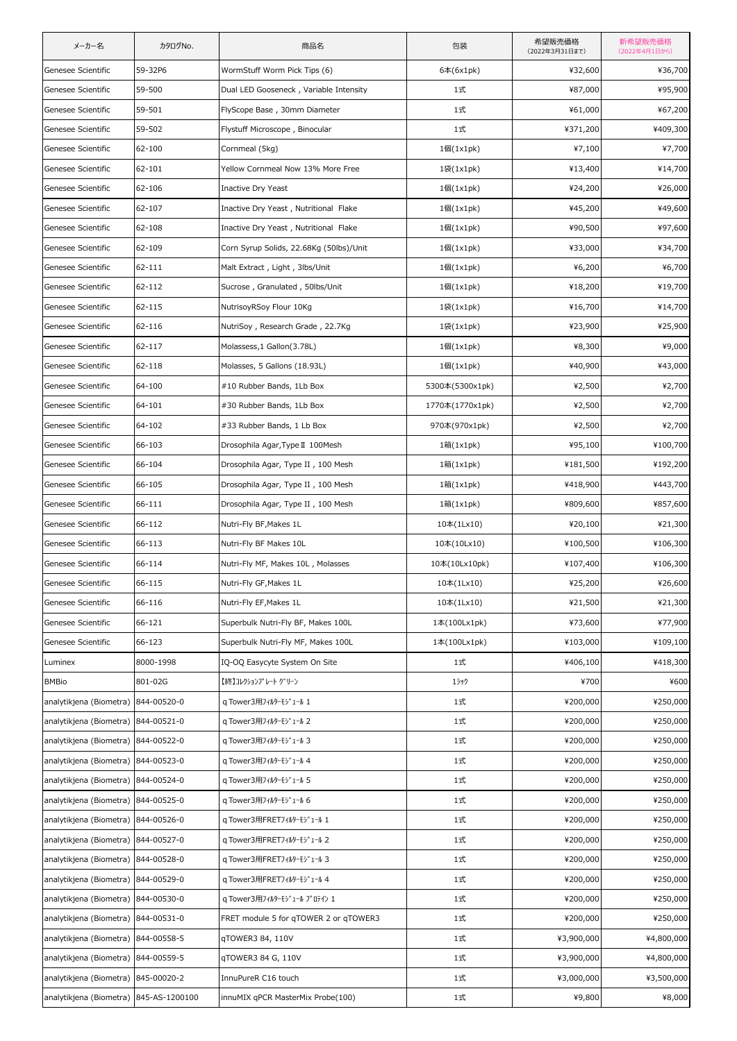| メーカー名                   | カタログNo.        | 商品名                                     | 包装              | 希望販売価格<br>(2022年3月31日まで) | 新希望販売価格<br>(2022年4月1日から) |
|-------------------------|----------------|-----------------------------------------|-----------------|--------------------------|--------------------------|
| Genesee Scientific      | 59-32P6        | WormStuff Worm Pick Tips (6)            | 6本(6x1pk)       | ¥32,600                  | ¥36,700                  |
| Genesee Scientific      | 59-500         | Dual LED Gooseneck, Variable Intensity  | 1式              | ¥87,000                  | ¥95,900                  |
| Genesee Scientific      | 59-501         | FlyScope Base, 30mm Diameter            | 1式              | ¥61,000                  | ¥67,200                  |
| Genesee Scientific      | 59-502         | Flystuff Microscope, Binocular          | 1式              | ¥371,200                 | ¥409,300                 |
| Genesee Scientific      | 62-100         | Cornmeal (5kg)                          | 1個(1x1pk)       | ¥7,100                   | ¥7,700                   |
| Genesee Scientific      | 62-101         | Yellow Cornmeal Now 13% More Free       | 1袋(1x1pk)       | ¥13,400                  | ¥14,700                  |
| Genesee Scientific      | 62-106         | Inactive Dry Yeast                      | $1$ 個 $(1x1pk)$ | ¥24,200                  | ¥26,000                  |
| Genesee Scientific      | 62-107         | Inactive Dry Yeast, Nutritional Flake   | 1個(1x1pk)       | ¥45,200                  | ¥49,600                  |
| Genesee Scientific      | 62-108         | Inactive Dry Yeast, Nutritional Flake   | 1個(1x1pk)       | ¥90,500                  | ¥97,600                  |
| Genesee Scientific      | 62-109         | Corn Syrup Solids, 22.68Kg (50lbs)/Unit | $1$ 個 $(1x1pk)$ | ¥33,000                  | ¥34,700                  |
| Genesee Scientific      | 62-111         | Malt Extract, Light, 3lbs/Unit          | 1個(1x1pk)       | ¥6,200                   | ¥6,700                   |
| Genesee Scientific      | 62-112         | Sucrose, Granulated, 50lbs/Unit         | 1個(1x1pk)       | ¥18,200                  | ¥19,700                  |
| Genesee Scientific      | 62-115         | NutrisoyRSoy Flour 10Kg                 | 1袋(1x1pk)       | ¥16,700                  | ¥14,700                  |
| Genesee Scientific      | 62-116         | NutriSoy, Research Grade, 22.7Kg        | 1袋(1x1pk)       | ¥23,900                  | ¥25,900                  |
| Genesee Scientific      | 62-117         | Molassess,1 Gallon(3.78L)               | 1個(1x1pk)       | ¥8,300                   | ¥9,000                   |
| Genesee Scientific      | 62-118         | Molasses, 5 Gallons (18.93L)            | $1$ 個 $(1x1pk)$ | ¥40,900                  | ¥43,000                  |
| Genesee Scientific      | 64-100         | #10 Rubber Bands, 1Lb Box               | 5300本(5300x1pk) | ¥2,500                   | ¥2,700                   |
| Genesee Scientific      | 64-101         | #30 Rubber Bands, 1Lb Box               | 1770本(1770x1pk) | ¥2,500                   | ¥2,700                   |
| Genesee Scientific      | 64-102         | #33 Rubber Bands, 1 Lb Box              | 970本(970x1pk)   | ¥2,500                   | ¥2,700                   |
| Genesee Scientific      | 66-103         | Drosophila Agar, Type II 100Mesh        | 1箱(1x1pk)       | ¥95,100                  | ¥100,700                 |
| Genesee Scientific      | 66-104         | Drosophila Agar, Type II, 100 Mesh      | 1箱(1x1pk)       | ¥181,500                 | ¥192,200                 |
| Genesee Scientific      | 66-105         | Drosophila Agar, Type II, 100 Mesh      | 1箱(1x1pk)       | ¥418,900                 | ¥443,700                 |
| Genesee Scientific      | 66-111         | Drosophila Agar, Type II, 100 Mesh      | 1箱(1x1pk)       | ¥809,600                 | ¥857,600                 |
| Genesee Scientific      | 66-112         | Nutri-Fly BF, Makes 1L                  | 10本(1Lx10)      | ¥20,100                  | ¥21,300                  |
| Genesee Scientific      | 66-113         | Nutri-Fly BF Makes 10L                  | 10本(10Lx10)     | ¥100,500                 | ¥106,300                 |
| Genesee Scientific      | 66-114         | Nutri-Fly MF, Makes 10L, Molasses       | 10本(10Lx10pk)   | ¥107,400                 | ¥106,300                 |
| Genesee Scientific      | 66-115         | Nutri-Fly GF, Makes 1L                  | 10本(1Lx10)      | ¥25,200                  | ¥26,600                  |
| Genesee Scientific      | 66-116         | Nutri-Fly EF, Makes 1L                  | 10本(1Lx10)      | ¥21,500                  | ¥21,300                  |
| Genesee Scientific      | 66-121         | Superbulk Nutri-Fly BF, Makes 100L      | 1本(100Lx1pk)    | ¥73,600                  | ¥77,900                  |
| Genesee Scientific      | 66-123         | Superbulk Nutri-Fly MF, Makes 100L      | 1本(100Lx1pk)    | ¥103,000                 | ¥109,100                 |
| Luminex                 | 8000-1998      | IQ-OQ Easycyte System On Site           | 1式              | ¥406,100                 | ¥418,300                 |
| <b>BMBio</b>            | 801-02G        | 【終】コレクションプレート グリーン                      | 15ック            | ¥700                     | ¥600                     |
| analytikjena (Biometra) | 844-00520-0    | q Tower3用フィルターモジュール 1                   | 1式              | ¥200,000                 | ¥250,000                 |
| analytikjena (Biometra) | 844-00521-0    | g Tower3用フィルターモジュール 2                   | 1式              | ¥200,000                 | ¥250,000                 |
| analytikjena (Biometra) | 844-00522-0    | q Tower3用フィルターモジュール 3                   | 1式              | ¥200,000                 | ¥250,000                 |
| analytikjena (Biometra) | 844-00523-0    | q Tower3用フィルターモジュール 4                   | 1式              | ¥200,000                 | ¥250,000                 |
| analytikjena (Biometra) | 844-00524-0    | q Tower3用フィルターモジュール 5                   | 1式              | ¥200,000                 | ¥250,000                 |
| analytikjena (Biometra) | 844-00525-0    | q Tower3用フィルターモジュール 6                   | 1式              | ¥200,000                 | ¥250,000                 |
| analytikjena (Biometra) | 844-00526-0    | qTower3用FRETフィルターモジュール 1                | 1式              | ¥200,000                 | ¥250,000                 |
| analytikjena (Biometra) | 844-00527-0    | q Tower3用FRETフィルターモジュール 2               | 1式              | ¥200,000                 | ¥250,000                 |
| analytikjena (Biometra) | 844-00528-0    | q Tower3用FRETフィルターモジュール 3               | 1式              | ¥200,000                 | ¥250,000                 |
| analytikjena (Biometra) | 844-00529-0    | qTower3用FRETフィルターモジュール 4                | 1式              | ¥200,000                 | ¥250,000                 |
| analytikjena (Biometra) | 844-00530-0    | q Tower3用フィルターモジュール プロテイン 1             | 1式              | ¥200,000                 | ¥250,000                 |
| analytikjena (Biometra) | 844-00531-0    | FRET module 5 for qTOWER 2 or qTOWER3   | 1式              | ¥200,000                 | ¥250,000                 |
| analytikjena (Biometra) | 844-00558-5    | qTOWER3 84, 110V                        | 1式              | ¥3,900,000               | ¥4,800,000               |
| analytikjena (Biometra) | 844-00559-5    | qTOWER3 84 G, 110V                      | 1式              | ¥3,900,000               | ¥4,800,000               |
| analytikjena (Biometra) | 845-00020-2    | InnuPureR C16 touch                     | 1式              | ¥3,000,000               | ¥3,500,000               |
| analytikjena (Biometra) | 845-AS-1200100 | innuMIX qPCR MasterMix Probe(100)       | 1式              | ¥9,800                   | ¥8,000                   |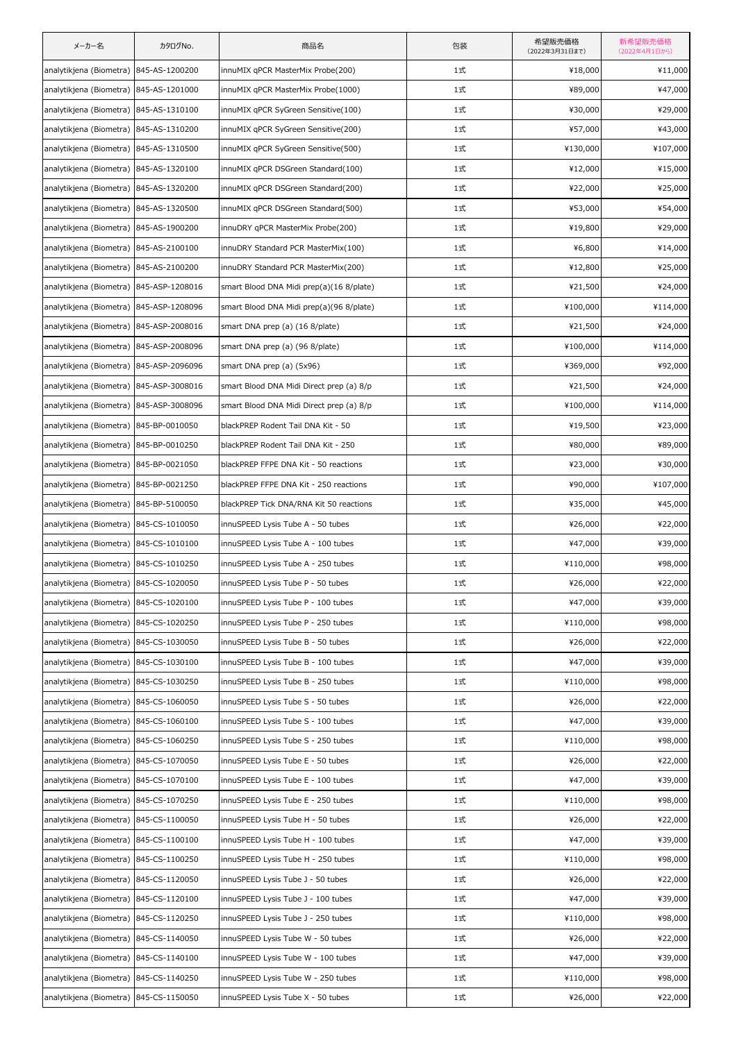| メーカー名                                   | カタログNo.         | 商品名                                      | 包装 | 希望販売価格<br>(2022年3月31日まで) | 新希望販売価格<br>(2022年4月1日から) |
|-----------------------------------------|-----------------|------------------------------------------|----|--------------------------|--------------------------|
| analytikjena (Biometra) 845-AS-1200200  |                 | innuMIX qPCR MasterMix Probe(200)        | 1式 | ¥18,000                  | ¥11,000                  |
| analytikjena (Biometra)                 | 845-AS-1201000  | innuMIX qPCR MasterMix Probe(1000)       | 1式 | ¥89,000                  | ¥47,000                  |
| analytikjena (Biometra) 845-AS-1310100  |                 | innuMIX qPCR SyGreen Sensitive(100)      | 1式 | ¥30,000                  | ¥29,000                  |
| analytikjena (Biometra)                 | 845-AS-1310200  | innuMIX qPCR SyGreen Sensitive(200)      | 1式 | ¥57,000                  | ¥43,000                  |
| analytikjena (Biometra)                 | 845-AS-1310500  | innuMIX qPCR SyGreen Sensitive(500)      | 1式 | ¥130,000                 | ¥107,000                 |
| analytikjena (Biometra) 845-AS-1320100  |                 | innuMIX gPCR DSGreen Standard(100)       | 1式 | ¥12,000                  | ¥15,000                  |
| analytikjena (Biometra)                 | 845-AS-1320200  | innuMIX qPCR DSGreen Standard(200)       | 1式 | ¥22,000                  | ¥25,000                  |
| analytikjena (Biometra)                 | 845-AS-1320500  | innuMIX qPCR DSGreen Standard(500)       | 1式 | ¥53,000                  | ¥54,000                  |
| analytikjena (Biometra) 845-AS-1900200  |                 | innuDRY qPCR MasterMix Probe(200)        | 1式 | ¥19,800                  | ¥29,000                  |
| analytikjena (Biometra)                 | 845-AS-2100100  | innuDRY Standard PCR MasterMix(100)      | 1式 | ¥6,800                   | ¥14,000                  |
| analytikjena (Biometra) 845-AS-2100200  |                 | innuDRY Standard PCR MasterMix(200)      | 1式 | ¥12,800                  | ¥25,000                  |
| analytikjena (Biometra) 845-ASP-1208016 |                 | smart Blood DNA Midi prep(a)(16 8/plate) | 1式 | ¥21,500                  | ¥24,000                  |
| analytikjena (Biometra) 845-ASP-1208096 |                 | smart Blood DNA Midi prep(a)(96 8/plate) | 1式 | ¥100,000                 | ¥114,000                 |
| analytikjena (Biometra)                 | 845-ASP-2008016 | smart DNA prep (a) (16 8/plate)          | 1式 | ¥21,500                  | ¥24,000                  |
| analytikjena (Biometra) 845-ASP-2008096 |                 | smart DNA prep (a) (96 8/plate)          | 1式 | ¥100,000                 | ¥114,000                 |
| analytikjena (Biometra) 845-ASP-2096096 |                 | smart DNA prep (a) (5x96)                | 1式 | ¥369,000                 | ¥92,000                  |
| analytikjena (Biometra) 845-ASP-3008016 |                 | smart Blood DNA Midi Direct prep (a) 8/p | 1式 | ¥21,500                  | ¥24,000                  |
| analytikjena (Biometra)                 | 845-ASP-3008096 | smart Blood DNA Midi Direct prep (a) 8/p | 1式 | ¥100,000                 | ¥114,000                 |
| analytikjena (Biometra) 845-BP-0010050  |                 | blackPREP Rodent Tail DNA Kit - 50       | 1式 | ¥19,500                  | ¥23,000                  |
| analytikjena (Biometra) 845-BP-0010250  |                 | blackPREP Rodent Tail DNA Kit - 250      | 1式 | ¥80,000                  | ¥89,000                  |
| analytikjena (Biometra)                 | 845-BP-0021050  | blackPREP FFPE DNA Kit - 50 reactions    | 1式 | ¥23,000                  | ¥30,000                  |
| analytikjena (Biometra) 845-BP-0021250  |                 | blackPREP FFPE DNA Kit - 250 reactions   | 1式 | ¥90,000                  | ¥107,000                 |
| analytikjena (Biometra) 845-BP-5100050  |                 | blackPREP Tick DNA/RNA Kit 50 reactions  | 1式 | ¥35,000                  | ¥45,000                  |
| analytikjena (Biometra) 845-CS-1010050  |                 | innuSPEED Lysis Tube A - 50 tubes        | 1式 | ¥26,000                  | ¥22,000                  |
| analytikjena (Biometra) 845-CS-1010100  |                 | innuSPEED Lysis Tube A - 100 tubes       | 1式 | ¥47,000                  | ¥39,000                  |
| analytikjena (Biometra) 845-CS-1010250  |                 | innuSPEED Lysis Tube A - 250 tubes       | 1式 | ¥110,000                 | ¥98,000                  |
| analytikjena (Biometra) 845-CS-1020050  |                 | innuSPEED Lysis Tube P - 50 tubes        | 1式 | ¥26,000                  | ¥22,000                  |
| analytikjena (Biometra) 845-CS-1020100  |                 | innuSPEED Lysis Tube P - 100 tubes       | 1式 | ¥47,000                  | ¥39,000                  |
| analytikjena (Biometra)                 | 845-CS-1020250  | innuSPEED Lysis Tube P - 250 tubes       | 1式 | ¥110,000                 | ¥98,000                  |
| analytikjena (Biometra)                 | 845-CS-1030050  | innuSPEED Lysis Tube B - 50 tubes        | 1式 | ¥26,000                  | ¥22,000                  |
| analytikjena (Biometra) 845-CS-1030100  |                 | innuSPEED Lysis Tube B - 100 tubes       | 1式 | ¥47,000                  | ¥39,000                  |
| analytikjena (Biometra)                 | 845-CS-1030250  | innuSPEED Lysis Tube B - 250 tubes       | 1式 | ¥110,000                 | ¥98,000                  |
| analytikjena (Biometra)                 | 845-CS-1060050  | innuSPEED Lysis Tube S - 50 tubes        | 1式 | ¥26,000                  | ¥22,000                  |
| analytikjena (Biometra) 845-CS-1060100  |                 | innuSPEED Lysis Tube S - 100 tubes       | 1式 | ¥47,000                  | ¥39,000                  |
| analytikjena (Biometra) 845-CS-1060250  |                 | innuSPEED Lysis Tube S - 250 tubes       | 1式 | ¥110,000                 | ¥98,000                  |
| analytikjena (Biometra)                 | 845-CS-1070050  | innuSPEED Lysis Tube E - 50 tubes        | 1式 | ¥26,000                  | ¥22,000                  |
| analytikjena (Biometra) 845-CS-1070100  |                 | innuSPEED Lysis Tube E - 100 tubes       | 1式 | ¥47,000                  | ¥39,000                  |
| analytikjena (Biometra) 845-CS-1070250  |                 | innuSPEED Lysis Tube E - 250 tubes       | 1式 | ¥110,000                 | ¥98,000                  |
| analytikjena (Biometra)                 | 845-CS-1100050  | innuSPEED Lysis Tube H - 50 tubes        | 1式 | ¥26,000                  | ¥22,000                  |
| analytikjena (Biometra) 845-CS-1100100  |                 | innuSPEED Lysis Tube H - 100 tubes       | 1式 | ¥47,000                  | ¥39,000                  |
| analytikjena (Biometra) 845-CS-1100250  |                 | innuSPEED Lysis Tube H - 250 tubes       | 1式 | ¥110,000                 | ¥98,000                  |
| analytikjena (Biometra)                 | 845-CS-1120050  | innuSPEED Lysis Tube J - 50 tubes        | 1式 | ¥26,000                  | ¥22,000                  |
| analytikjena (Biometra) 845-CS-1120100  |                 | innuSPEED Lysis Tube J - 100 tubes       | 1式 | ¥47,000                  | ¥39,000                  |
| analytikjena (Biometra) 845-CS-1120250  |                 | innuSPEED Lysis Tube J - 250 tubes       | 1式 | ¥110,000                 | ¥98,000                  |
| analytikjena (Biometra)                 | 845-CS-1140050  | innuSPEED Lysis Tube W - 50 tubes        | 1式 | ¥26,000                  | ¥22,000                  |
| analytikjena (Biometra) 845-CS-1140100  |                 | innuSPEED Lysis Tube W - 100 tubes       | 1式 | ¥47,000                  | ¥39,000                  |
| analytikjena (Biometra) 845-CS-1140250  |                 | innuSPEED Lysis Tube W - 250 tubes       | 1式 | ¥110,000                 | ¥98,000                  |
| analytikjena (Biometra) 845-CS-1150050  |                 | innuSPEED Lysis Tube X - 50 tubes        | 1式 | ¥26,000                  | ¥22,000                  |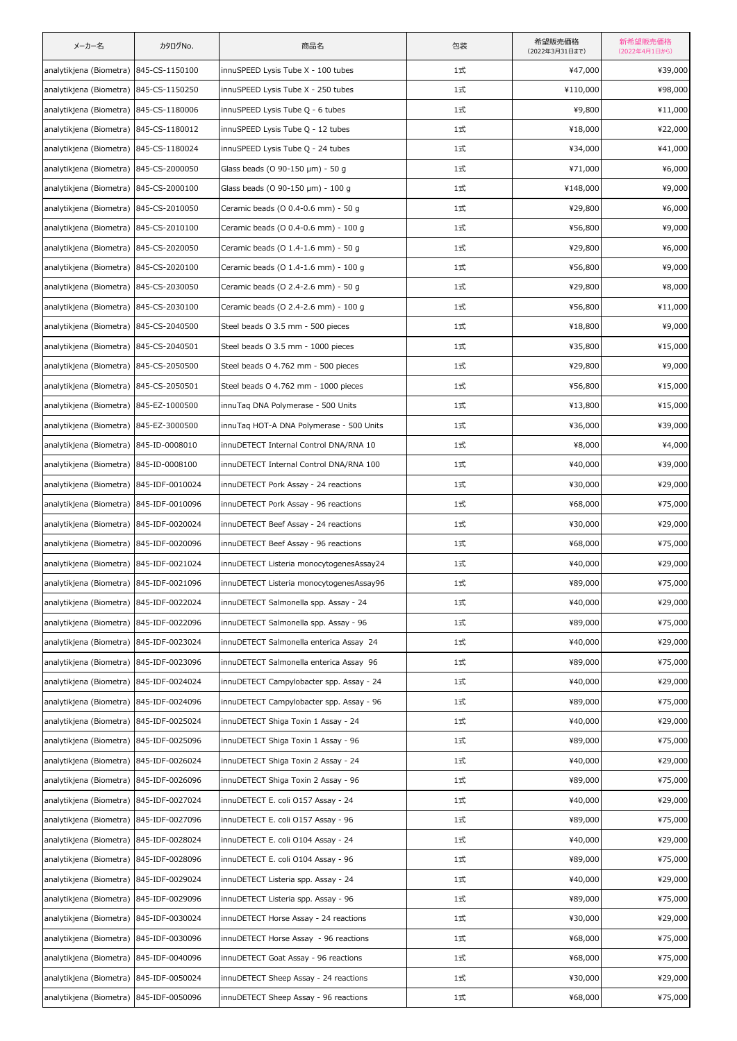| メーカー名                                   | カタログNo.         | 商品名                                      | 包装 | 希望販売価格<br>(2022年3月31日まで) | 新希望販売価格<br>(2022年4月1日から) |
|-----------------------------------------|-----------------|------------------------------------------|----|--------------------------|--------------------------|
| analytikjena (Biometra) 845-CS-1150100  |                 | innuSPEED Lysis Tube X - 100 tubes       | 1式 | ¥47,000                  | ¥39,000                  |
| analytikjena (Biometra) 845-CS-1150250  |                 | innuSPEED Lysis Tube X - 250 tubes       | 1式 | ¥110,000                 | ¥98,000                  |
| analytikjena (Biometra) 845-CS-1180006  |                 | innuSPEED Lysis Tube Q - 6 tubes         | 1式 | ¥9,800                   | ¥11,000                  |
| analytikjena (Biometra) 845-CS-1180012  |                 | innuSPEED Lysis Tube Q - 12 tubes        | 1式 | ¥18,000                  | ¥22,000                  |
| analytikjena (Biometra) 845-CS-1180024  |                 | innuSPEED Lysis Tube Q - 24 tubes        | 1式 | ¥34,000                  | ¥41,000                  |
| analytikjena (Biometra) 845-CS-2000050  |                 | Glass beads (O 90-150 µm) - 50 g         | 1式 | ¥71,000                  | ¥6,000                   |
| analytikjena (Biometra) 845-CS-2000100  |                 | Glass beads (O 90-150 µm) - 100 g        | 1式 | ¥148,000                 | ¥9,000                   |
| analytikjena (Biometra) 845-CS-2010050  |                 | Ceramic beads (O 0.4-0.6 mm) - 50 g      | 1式 | ¥29,800                  | ¥6,000                   |
| analytikjena (Biometra) 845-CS-2010100  |                 | Ceramic beads (O 0.4-0.6 mm) - 100 g     | 1式 | ¥56,800                  | ¥9,000                   |
| analytikjena (Biometra) 845-CS-2020050  |                 | Ceramic beads (O 1.4-1.6 mm) - 50 g      | 1式 | ¥29,800                  | ¥6,000                   |
| analytikjena (Biometra) 845-CS-2020100  |                 | Ceramic beads (O 1.4-1.6 mm) - 100 g     | 1式 | ¥56,800                  | ¥9,000                   |
| analytikjena (Biometra) 845-CS-2030050  |                 | Ceramic beads (O 2.4-2.6 mm) - 50 g      | 1式 | ¥29,800                  | ¥8,000                   |
| analytikjena (Biometra) 845-CS-2030100  |                 | Ceramic beads (O 2.4-2.6 mm) - 100 g     | 1式 | ¥56,800                  | ¥11,000                  |
| analytikjena (Biometra) 845-CS-2040500  |                 | Steel beads O 3.5 mm - 500 pieces        | 1式 | ¥18,800                  | ¥9,000                   |
| analytikjena (Biometra) 845-CS-2040501  |                 | Steel beads O 3.5 mm - 1000 pieces       | 1式 | ¥35,800                  | ¥15,000                  |
| analytikjena (Biometra) 845-CS-2050500  |                 | Steel beads O 4.762 mm - 500 pieces      | 1式 | ¥29,800                  | ¥9,000                   |
| analytikjena (Biometra) 845-CS-2050501  |                 | Steel beads O 4.762 mm - 1000 pieces     | 1式 | ¥56,800                  | ¥15,000                  |
| analytikjena (Biometra) 845-EZ-1000500  |                 | innuTaq DNA Polymerase - 500 Units       | 1式 | ¥13,800                  | ¥15,000                  |
| analytikjena (Biometra)                 | 845-EZ-3000500  | innuTaq HOT-A DNA Polymerase - 500 Units | 1式 | ¥36,000                  | ¥39,000                  |
| analytikjena (Biometra) 845-ID-0008010  |                 | innuDETECT Internal Control DNA/RNA 10   | 1式 | ¥8,000                   | ¥4,000                   |
| analytikjena (Biometra) 845-ID-0008100  |                 | innuDETECT Internal Control DNA/RNA 100  | 1式 | ¥40,000                  | ¥39,000                  |
| analytikjena (Biometra)                 | 845-IDF-0010024 | innuDETECT Pork Assay - 24 reactions     | 1式 | ¥30,000                  | ¥29,000                  |
| analytikjena (Biometra) 845-IDF-0010096 |                 | innuDETECT Pork Assay - 96 reactions     | 1式 | ¥68,000                  | ¥75,000                  |
| analytikjena (Biometra) 845-IDF-0020024 |                 | innuDETECT Beef Assay - 24 reactions     | 1式 | ¥30,000                  | ¥29,000                  |
| analytikjena (Biometra) 845-IDF-0020096 |                 | innuDETECT Beef Assay - 96 reactions     | 1式 | ¥68,000                  | ¥75,000                  |
| analytikjena (Biometra) 845-IDF-0021024 |                 | innuDETECT Listeria monocytogenesAssay24 | 1式 | ¥40,000                  | ¥29,000                  |
| analytikjena (Biometra) 845-IDF-0021096 |                 | innuDETECT Listeria monocytogenesAssay96 | 1式 | ¥89,000                  | ¥75,000                  |
| analytikjena (Biometra) 845-IDF-0022024 |                 | innuDETECT Salmonella spp. Assay - 24    | 1式 | ¥40,000                  | ¥29,000                  |
| analytikjena (Biometra) 845-IDF-0022096 |                 | innuDETECT Salmonella spp. Assay - 96    | 1式 | ¥89,000                  | ¥75,000                  |
| analytikjena (Biometra)                 | 845-IDF-0023024 | innuDETECT Salmonella enterica Assay 24  | 1式 | ¥40,000                  | ¥29,000                  |
| analytikjena (Biometra) 845-IDF-0023096 |                 | innuDETECT Salmonella enterica Assay 96  | 1式 | ¥89,000                  | ¥75,000                  |
| analytikjena (Biometra) 845-IDF-0024024 |                 | innuDETECT Campylobacter spp. Assay - 24 | 1式 | ¥40,000                  | ¥29,000                  |
| analytikjena (Biometra)                 | 845-IDF-0024096 | innuDETECT Campylobacter spp. Assay - 96 | 1式 | ¥89,000                  | ¥75,000                  |
| analytikjena (Biometra) 845-IDF-0025024 |                 | innuDETECT Shiga Toxin 1 Assay - 24      | 1式 | ¥40,000                  | ¥29,000                  |
| analytikjena (Biometra) 845-IDF-0025096 |                 | innuDETECT Shiga Toxin 1 Assay - 96      | 1式 | ¥89,000                  | ¥75,000                  |
| analytikjena (Biometra)                 | 845-IDF-0026024 | innuDETECT Shiga Toxin 2 Assay - 24      | 1式 | ¥40,000                  | ¥29,000                  |
| analytikjena (Biometra) 845-IDF-0026096 |                 | innuDETECT Shiga Toxin 2 Assay - 96      | 1式 | ¥89,000                  | ¥75,000                  |
| analytikjena (Biometra)                 | 845-IDF-0027024 | innuDETECT E. coli O157 Assay - 24       | 1式 | ¥40,000                  | ¥29,000                  |
| analytikjena (Biometra)                 | 845-IDF-0027096 | innuDETECT E. coli 0157 Assay - 96       | 1式 | ¥89,000                  | ¥75,000                  |
| analytikjena (Biometra)                 | 845-IDF-0028024 | innuDETECT E. coli O104 Assay - 24       | 1式 | ¥40,000                  | ¥29,000                  |
| analytikjena (Biometra)                 | 845-IDF-0028096 | innuDETECT E. coli O104 Assay - 96       | 1式 | ¥89,000                  | ¥75,000                  |
| analytikjena (Biometra)                 | 845-IDF-0029024 | innuDETECT Listeria spp. Assay - 24      | 1式 | ¥40,000                  | ¥29,000                  |
| analytikjena (Biometra) 845-IDF-0029096 |                 | innuDETECT Listeria spp. Assay - 96      | 1式 | ¥89,000                  | ¥75,000                  |
| analytikjena (Biometra)                 | 845-IDF-0030024 | innuDETECT Horse Assay - 24 reactions    | 1式 | ¥30,000                  | ¥29,000                  |
| analytikjena (Biometra)                 | 845-IDF-0030096 | innuDETECT Horse Assay - 96 reactions    | 1式 | ¥68,000                  | ¥75,000                  |
| analytikjena (Biometra) 845-IDF-0040096 |                 | innuDETECT Goat Assay - 96 reactions     | 1式 | ¥68,000                  | ¥75,000                  |
| analytikjena (Biometra) 845-IDF-0050024 |                 | innuDETECT Sheep Assay - 24 reactions    | 1式 | ¥30,000                  | ¥29,000                  |
| analytikjena (Biometra) 845-IDF-0050096 |                 | innuDETECT Sheep Assay - 96 reactions    | 1式 | ¥68,000                  | ¥75,000                  |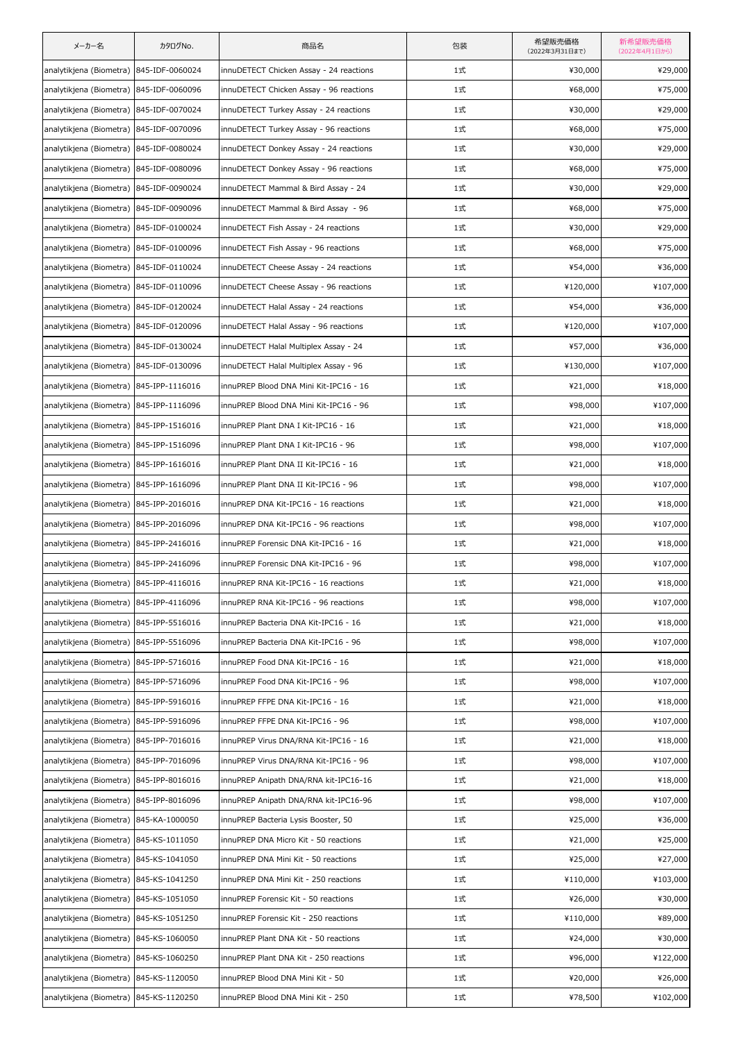| メーカー名                                   | カタログNo.         | 商品名                                     | 包装 | 希望販売価格<br>(2022年3月31日まで) | 新希望販売価格<br>(2022年4月1日から) |
|-----------------------------------------|-----------------|-----------------------------------------|----|--------------------------|--------------------------|
| analytikjena (Biometra) 845-IDF-0060024 |                 | innuDETECT Chicken Assay - 24 reactions | 1式 | ¥30,000                  | ¥29,000                  |
| analytikjena (Biometra) 845-IDF-0060096 |                 | innuDETECT Chicken Assay - 96 reactions | 1式 | ¥68,000                  | ¥75,000                  |
| analytikjena (Biometra) 845-IDF-0070024 |                 | innuDETECT Turkey Assay - 24 reactions  | 1式 | ¥30,000                  | ¥29,000                  |
| analytikjena (Biometra)                 | 845-IDF-0070096 | innuDETECT Turkey Assay - 96 reactions  | 1式 | ¥68,000                  | ¥75,000                  |
| analytikjena (Biometra) 845-IDF-0080024 |                 | innuDETECT Donkey Assay - 24 reactions  | 1式 | ¥30,000                  | ¥29,000                  |
| analytikjena (Biometra) 845-IDF-0080096 |                 | innuDETECT Donkey Assay - 96 reactions  | 1式 | ¥68,000                  | ¥75,000                  |
| analytikjena (Biometra) 845-IDF-0090024 |                 | innuDETECT Mammal & Bird Assay - 24     | 1式 | ¥30,000                  | ¥29,000                  |
| analytikjena (Biometra) 845-IDF-0090096 |                 | innuDETECT Mammal & Bird Assay - 96     | 1式 | ¥68,000                  | ¥75,000                  |
| analytikjena (Biometra) 845-IDF-0100024 |                 | innuDETECT Fish Assay - 24 reactions    | 1式 | ¥30,000                  | ¥29,000                  |
| analytikjena (Biometra) 845-IDF-0100096 |                 | innuDETECT Fish Assay - 96 reactions    | 1式 | ¥68,000                  | ¥75,000                  |
| analytikjena (Biometra) 845-IDF-0110024 |                 | innuDETECT Cheese Assay - 24 reactions  | 1式 | ¥54,000                  | ¥36,000                  |
| analytikjena (Biometra) 845-IDF-0110096 |                 | innuDETECT Cheese Assay - 96 reactions  | 1式 | ¥120,000                 | ¥107,000                 |
| analytikjena (Biometra) 845-IDF-0120024 |                 | innuDETECT Halal Assay - 24 reactions   | 1式 | ¥54,000                  | ¥36,000                  |
| analytikjena (Biometra) 845-IDF-0120096 |                 | innuDETECT Halal Assay - 96 reactions   | 1式 | ¥120,000                 | ¥107,000                 |
| analytikjena (Biometra) 845-IDF-0130024 |                 | innuDETECT Halal Multiplex Assay - 24   | 1式 | ¥57,000                  | ¥36,000                  |
| analytikjena (Biometra) 845-IDF-0130096 |                 | innuDETECT Halal Multiplex Assay - 96   | 1式 | ¥130,000                 | ¥107,000                 |
| analytikjena (Biometra) 845-IPP-1116016 |                 | innuPREP Blood DNA Mini Kit-IPC16 - 16  | 1式 | ¥21,000                  | ¥18,000                  |
| analytikjena (Biometra) 845-IPP-1116096 |                 | innuPREP Blood DNA Mini Kit-IPC16 - 96  | 1式 | ¥98,000                  | ¥107,000                 |
| analytikjena (Biometra) 845-IPP-1516016 |                 | innuPREP Plant DNA I Kit-IPC16 - 16     | 1式 | ¥21,000                  | ¥18,000                  |
| analytikjena (Biometra) 845-IPP-1516096 |                 | innuPREP Plant DNA I Kit-IPC16 - 96     | 1式 | ¥98,000                  | ¥107,000                 |
| analytikjena (Biometra) 845-IPP-1616016 |                 | innuPREP Plant DNA II Kit-IPC16 - 16    | 1式 | ¥21,000                  | ¥18,000                  |
| analytikjena (Biometra) 845-IPP-1616096 |                 | innuPREP Plant DNA II Kit-IPC16 - 96    | 1式 | ¥98,000                  | ¥107,000                 |
| analytikjena (Biometra) 845-IPP-2016016 |                 | innuPREP DNA Kit-IPC16 - 16 reactions   | 1式 | ¥21,000                  | ¥18,000                  |
| analytikjena (Biometra) 845-IPP-2016096 |                 | innuPREP DNA Kit-IPC16 - 96 reactions   | 1式 | ¥98,000                  | ¥107,000                 |
| analytikjena (Biometra) 845-IPP-2416016 |                 | innuPREP Forensic DNA Kit-IPC16 - 16    | 1式 | ¥21,000                  | ¥18,000                  |
| analytikjena (Biometra) 845-IPP-2416096 |                 | innuPREP Forensic DNA Kit-IPC16 - 96    | 1式 | ¥98,000                  | ¥107,000                 |
| analytikjena (Biometra) 845-IPP-4116016 |                 | innuPREP RNA Kit-IPC16 - 16 reactions   | 1式 | ¥21,000                  | ¥18,000                  |
| analytikjena (Biometra) 845-IPP-4116096 |                 | innuPREP RNA Kit-IPC16 - 96 reactions   | 1式 | ¥98,000                  | ¥107,000                 |
| analytikjena (Biometra)                 | 845-IPP-5516016 | innuPREP Bacteria DNA Kit-IPC16 - 16    | 1式 | ¥21,000                  | ¥18,000                  |
| analytikjena (Biometra) 845-IPP-5516096 |                 | innuPREP Bacteria DNA Kit-IPC16 - 96    | 1式 | ¥98,000                  | ¥107,000                 |
| analytikjena (Biometra) 845-IPP-5716016 |                 | innuPREP Food DNA Kit-IPC16 - 16        | 1式 | ¥21,000                  | ¥18,000                  |
| analytikjena (Biometra) 845-IPP-5716096 |                 | innuPREP Food DNA Kit-IPC16 - 96        | 1式 | ¥98,000                  | ¥107,000                 |
| analytikjena (Biometra) 845-IPP-5916016 |                 | innuPREP FFPE DNA Kit-IPC16 - 16        | 1式 | ¥21,000                  | ¥18,000                  |
| analytikjena (Biometra)                 | 845-IPP-5916096 | innuPREP FFPE DNA Kit-IPC16 - 96        | 1式 | ¥98,000                  | ¥107,000                 |
| analytikjena (Biometra)                 | 845-IPP-7016016 | innuPREP Virus DNA/RNA Kit-IPC16 - 16   | 1式 | ¥21,000                  | ¥18,000                  |
| analytikjena (Biometra)                 | 845-IPP-7016096 | innuPREP Virus DNA/RNA Kit-IPC16 - 96   | 1式 | ¥98,000                  | ¥107,000                 |
| analytikjena (Biometra) 845-IPP-8016016 |                 | innuPREP Anipath DNA/RNA kit-IPC16-16   | 1式 | ¥21,000                  | ¥18,000                  |
| analytikjena (Biometra)                 | 845-IPP-8016096 | innuPREP Anipath DNA/RNA kit-IPC16-96   | 1式 | ¥98,000                  | ¥107,000                 |
| analytikjena (Biometra)                 | 845-KA-1000050  | innuPREP Bacteria Lysis Booster, 50     | 1式 | ¥25,000                  | ¥36,000                  |
| analytikjena (Biometra)                 | 845-KS-1011050  | innuPREP DNA Micro Kit - 50 reactions   | 1式 | ¥21,000                  | ¥25,000                  |
| analytikjena (Biometra) 845-KS-1041050  |                 | innuPREP DNA Mini Kit - 50 reactions    | 1式 | ¥25,000                  | ¥27,000                  |
| analytikjena (Biometra)                 | 845-KS-1041250  | innuPREP DNA Mini Kit - 250 reactions   | 1式 | ¥110,000                 | ¥103,000                 |
| analytikjena (Biometra) 845-KS-1051050  |                 | innuPREP Forensic Kit - 50 reactions    | 1式 | ¥26,000                  | ¥30,000                  |
| analytikjena (Biometra) 845-KS-1051250  |                 | innuPREP Forensic Kit - 250 reactions   | 1式 | ¥110,000                 | ¥89,000                  |
| analytikjena (Biometra)                 | 845-KS-1060050  | innuPREP Plant DNA Kit - 50 reactions   | 1式 | ¥24,000                  | ¥30,000                  |
| analytikjena (Biometra) 845-KS-1060250  |                 | innuPREP Plant DNA Kit - 250 reactions  | 1式 | ¥96,000                  | ¥122,000                 |
| analytikjena (Biometra) 845-KS-1120050  |                 | innuPREP Blood DNA Mini Kit - 50        | 1式 | ¥20,000                  | ¥26,000                  |
| analytikjena (Biometra)                 | 845-KS-1120250  | innuPREP Blood DNA Mini Kit - 250       | 1式 | ¥78,500                  | ¥102,000                 |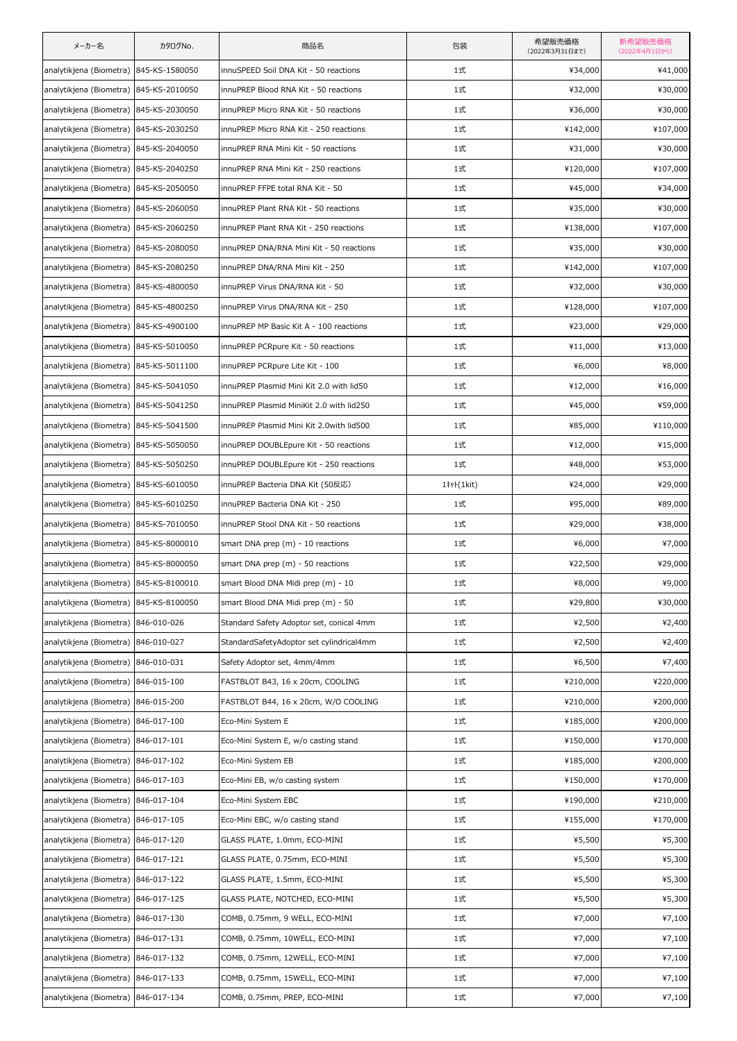| メーカー名                                  | カタログNo.        | 商品名                                      | 包装                    | 希望販売価格<br>(2022年3月31日まで) | 新希望販売価格<br>(2022年4月1日から) |
|----------------------------------------|----------------|------------------------------------------|-----------------------|--------------------------|--------------------------|
| analytikjena (Biometra)                | 845-KS-1580050 | innuSPEED Soil DNA Kit - 50 reactions    | 1式                    | ¥34,000                  | ¥41,000                  |
| analytikjena (Biometra)                | 845-KS-2010050 | innuPREP Blood RNA Kit - 50 reactions    | 1式                    | ¥32,000                  | ¥30,000                  |
| analytikjena (Biometra) 845-KS-2030050 |                | innuPREP Micro RNA Kit - 50 reactions    | 1式                    | ¥36,000                  | ¥30,000                  |
| analytikjena (Biometra) 845-KS-2030250 |                | innuPREP Micro RNA Kit - 250 reactions   | 1式                    | ¥142,000                 | ¥107,000                 |
| analytikjena (Biometra)                | 845-KS-2040050 | innuPREP RNA Mini Kit - 50 reactions     | 1式                    | ¥31,000                  | ¥30,000                  |
| analytikjena (Biometra) 845-KS-2040250 |                | innuPREP RNA Mini Kit - 250 reactions    | 1式                    | ¥120,000                 | ¥107,000                 |
| analytikjena (Biometra) 845-KS-2050050 |                | innuPREP FFPE total RNA Kit - 50         | 1式                    | ¥45,000                  | ¥34,000                  |
| analytikjena (Biometra) 845-KS-2060050 |                | innuPREP Plant RNA Kit - 50 reactions    | 1式                    | ¥35,000                  | ¥30,000                  |
| analytikjena (Biometra) 845-KS-2060250 |                | innuPREP Plant RNA Kit - 250 reactions   | 1式                    | ¥138,000                 | ¥107,000                 |
| analytikjena (Biometra) 845-KS-2080050 |                | innuPREP DNA/RNA Mini Kit - 50 reactions | 1式                    | ¥35,000                  | ¥30,000                  |
| analytikjena (Biometra)                | 845-KS-2080250 | innuPREP DNA/RNA Mini Kit - 250          | 1式                    | ¥142,000                 | ¥107,000                 |
| analytikjena (Biometra) 845-KS-4800050 |                | innuPREP Virus DNA/RNA Kit - 50          | 1式                    | ¥32,000                  | ¥30,000                  |
| analytikjena (Biometra)                | 845-KS-4800250 | innuPREP Virus DNA/RNA Kit - 250         | 1式                    | ¥128,000                 | ¥107,000                 |
| analytikjena (Biometra)                | 845-KS-4900100 | innuPREP MP Basic Kit A - 100 reactions  | 1式                    | ¥23,000                  | ¥29,000                  |
| analytikjena (Biometra) 845-KS-5010050 |                | innuPREP PCRpure Kit - 50 reactions      | 1式                    | ¥11,000                  | ¥13,000                  |
| analytikjena (Biometra)                | 845-KS-5011100 | innuPREP PCRpure Lite Kit - 100          | 1式                    | ¥6,000                   | ¥8,000                   |
| analytikjena (Biometra)                | 845-KS-5041050 | innuPREP Plasmid Mini Kit 2.0 with lid50 | 1式                    | ¥12,000                  | ¥16,000                  |
| analytikjena (Biometra) 845-KS-5041250 |                | innuPREP Plasmid MiniKit 2.0 with lid250 | 1式                    | ¥45,000                  | ¥59,000                  |
| analytikjena (Biometra)                | 845-KS-5041500 | innuPREP Plasmid Mini Kit 2.0with lid500 | 1式                    | ¥85,000                  | ¥110,000                 |
| analytikjena (Biometra) 845-KS-5050050 |                | innuPREP DOUBLEpure Kit - 50 reactions   | 1式                    | ¥12,000                  | ¥15,000                  |
| analytikjena (Biometra) 845-KS-5050250 |                | innuPREP DOUBLEpure Kit - 250 reactions  | 1式                    | ¥48,000                  | ¥53,000                  |
| analytikjena (Biometra)                | 845-KS-6010050 | innuPREP Bacteria DNA Kit (50反応)         | 1‡yト(1kit)            | ¥24,000                  | ¥29,000                  |
| analytikjena (Biometra)                | 845-KS-6010250 | innuPREP Bacteria DNA Kit - 250          | 1式                    | ¥95,000                  | ¥89,000                  |
| analytikjena (Biometra) 845-KS-7010050 |                | innuPREP Stool DNA Kit - 50 reactions    | 1式                    | ¥29,000                  | ¥38,000                  |
| analytikjena (Biometra) 845-KS-8000010 |                | smart DNA prep (m) - 10 reactions        | 1式                    | ¥6,000                   | ¥7,000                   |
| analytikjena (Biometra) 845-KS-8000050 |                | smart DNA prep (m) - 50 reactions        | 1式                    | ¥22,500                  | ¥29,000                  |
| analytikjena (Biometra) 845-KS-8100010 |                | smart Blood DNA Midi prep (m) - 10       | 1式                    | ¥8,000                   | ¥9,000                   |
| analytikjena (Biometra) 845-KS-8100050 |                | smart Blood DNA Midi prep (m) - 50       | 1式                    | ¥29,800                  | ¥30,000                  |
| analytikjena (Biometra) 846-010-026    |                | Standard Safety Adoptor set, conical 4mm | 1式                    | ¥2,500                   | ¥2,400                   |
| analytikjena (Biometra)                | 846-010-027    | StandardSafetyAdoptor set cylindrical4mm | 1式                    | ¥2,500                   | ¥2,400                   |
| analytikjena (Biometra) 846-010-031    |                | Safety Adoptor set, 4mm/4mm              | 1式                    | ¥6,500                   | ¥7,400                   |
| analytikjena (Biometra) 846-015-100    |                | FASTBLOT B43, 16 x 20cm, COOLING         | 1式                    | ¥210,000                 | ¥220,000                 |
| analytikjena (Biometra)                | 846-015-200    | FASTBLOT B44, 16 x 20cm, W/O COOLING     | 1式                    | ¥210,000                 | ¥200,000                 |
| analytikjena (Biometra) 846-017-100    |                | Eco-Mini System E                        | 1式                    | ¥185,000                 | ¥200,000                 |
| analytikjena (Biometra) 846-017-101    |                | Eco-Mini System E, w/o casting stand     | 1式                    | ¥150,000                 | ¥170,000                 |
| analytikjena (Biometra)                | 846-017-102    | Eco-Mini System EB                       | 1式                    | ¥185,000                 | ¥200,000                 |
| analytikjena (Biometra) 846-017-103    |                | Eco-Mini EB, w/o casting system          | 1式                    | ¥150,000                 | ¥170,000                 |
| analytikjena (Biometra) 846-017-104    |                | Eco-Mini System EBC                      | 1式                    | ¥190,000                 | ¥210,000                 |
| analytikjena (Biometra)                | 846-017-105    | Eco-Mini EBC, w/o casting stand          | $1\overrightarrow{x}$ | ¥155,000                 | ¥170,000                 |
| analytikjena (Biometra) 846-017-120    |                | GLASS PLATE, 1.0mm, ECO-MINI             | 1式                    | ¥5,500                   | ¥5,300                   |
| analytikjena (Biometra) 846-017-121    |                | GLASS PLATE, 0.75mm, ECO-MINI            | 1式                    | ¥5,500                   | ¥5,300                   |
| analytikjena (Biometra)                | 846-017-122    | GLASS PLATE, 1.5mm, ECO-MINI             | 1式                    | ¥5,500                   | ¥5,300                   |
| analytikjena (Biometra) 846-017-125    |                | GLASS PLATE, NOTCHED, ECO-MINI           | 1式                    | ¥5,500                   | ¥5,300                   |
| analytikjena (Biometra)                | 846-017-130    | COMB, 0.75mm, 9 WELL, ECO-MINI           | 1式                    | ¥7,000                   | ¥7,100                   |
| analytikjena (Biometra)                | 846-017-131    | COMB, 0.75mm, 10WELL, ECO-MINI           | $1\overrightarrow{x}$ | ¥7,000                   | ¥7,100                   |
| analytikjena (Biometra) 846-017-132    |                | COMB, 0.75mm, 12WELL, ECO-MINI           | 1式                    | ¥7,000                   | ¥7,100                   |
| analytikjena (Biometra) 846-017-133    |                | COMB, 0.75mm, 15WELL, ECO-MINI           | 1式                    | ¥7,000                   | ¥7,100                   |
| analytikjena (Biometra) 846-017-134    |                | COMB, 0.75mm, PREP, ECO-MINI             | 1式                    | ¥7,000                   | ¥7,100                   |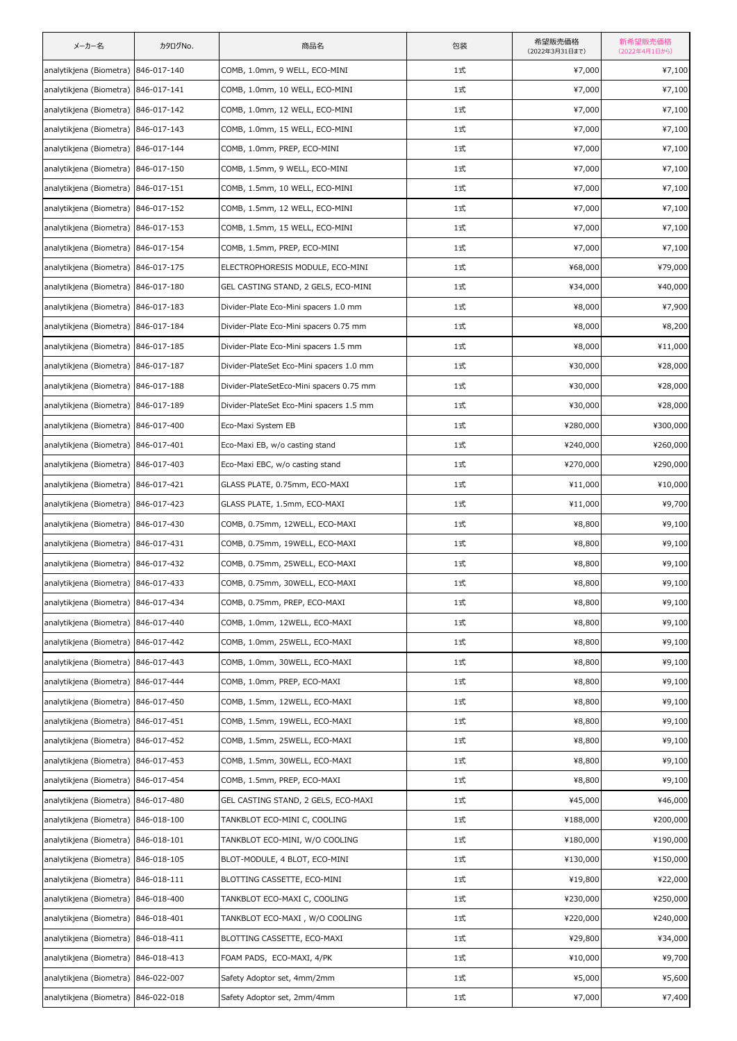| メーカー名                               | カタログNo.     | 商品名                                      | 包装 | 希望販売価格<br>(2022年3月31日まで) | 新希望販売価格<br>(2022年4月1日から) |
|-------------------------------------|-------------|------------------------------------------|----|--------------------------|--------------------------|
| analytikjena (Biometra) 846-017-140 |             | COMB, 1.0mm, 9 WELL, ECO-MINI            | 1式 | ¥7,000                   | ¥7,100                   |
| analytikjena (Biometra) 846-017-141 |             | COMB, 1.0mm, 10 WELL, ECO-MINI           | 1式 | ¥7,000                   | ¥7,100                   |
| analytikjena (Biometra) 846-017-142 |             | COMB, 1.0mm, 12 WELL, ECO-MINI           | 1式 | ¥7,000                   | ¥7,100                   |
| analytikjena (Biometra) 846-017-143 |             | COMB, 1.0mm, 15 WELL, ECO-MINI           | 1式 | ¥7,000                   | ¥7,100                   |
| analytikjena (Biometra) 846-017-144 |             | COMB, 1.0mm, PREP, ECO-MINI              | 1式 | ¥7,000                   | ¥7,100                   |
| analytikjena (Biometra) 846-017-150 |             | COMB, 1.5mm, 9 WELL, ECO-MINI            | 1式 | ¥7,000                   | ¥7,100                   |
| analytikjena (Biometra) 846-017-151 |             | COMB, 1.5mm, 10 WELL, ECO-MINI           | 1式 | ¥7,000                   | ¥7,100                   |
| analytikjena (Biometra) 846-017-152 |             | COMB, 1.5mm, 12 WELL, ECO-MINI           | 1式 | ¥7,000                   | ¥7,100                   |
| analytikjena (Biometra) 846-017-153 |             | COMB, 1.5mm, 15 WELL, ECO-MINI           | 1式 | ¥7,000                   | ¥7,100                   |
| analytikjena (Biometra) 846-017-154 |             | COMB, 1.5mm, PREP, ECO-MINI              | 1式 | ¥7,000                   | ¥7,100                   |
| analytikjena (Biometra) 846-017-175 |             | ELECTROPHORESIS MODULE, ECO-MINI         | 1式 | ¥68,000                  | ¥79,000                  |
| analytikjena (Biometra) 846-017-180 |             | GEL CASTING STAND, 2 GELS, ECO-MINI      | 1式 | ¥34,000                  | ¥40,000                  |
| analytikjena (Biometra) 846-017-183 |             | Divider-Plate Eco-Mini spacers 1.0 mm    | 1式 | ¥8,000                   | ¥7,900                   |
| analytikjena (Biometra) 846-017-184 |             | Divider-Plate Eco-Mini spacers 0.75 mm   | 1式 | ¥8,000                   | ¥8,200                   |
| analytikjena (Biometra) 846-017-185 |             | Divider-Plate Eco-Mini spacers 1.5 mm    | 1式 | ¥8,000                   | ¥11,000                  |
| analytikjena (Biometra) 846-017-187 |             | Divider-PlateSet Eco-Mini spacers 1.0 mm | 1式 | ¥30,000                  | ¥28,000                  |
| analytikjena (Biometra) 846-017-188 |             | Divider-PlateSetEco-Mini spacers 0.75 mm | 1式 | ¥30,000                  | ¥28,000                  |
| analytikjena (Biometra) 846-017-189 |             | Divider-PlateSet Eco-Mini spacers 1.5 mm | 1式 | ¥30,000                  | ¥28,000                  |
| analytikjena (Biometra) 846-017-400 |             | Eco-Maxi System EB                       | 1式 | ¥280,000                 | ¥300,000                 |
| analytikjena (Biometra) 846-017-401 |             | Eco-Maxi EB, w/o casting stand           | 1式 | ¥240,000                 | ¥260,000                 |
| analytikjena (Biometra) 846-017-403 |             | Eco-Maxi EBC, w/o casting stand          | 1式 | ¥270,000                 | ¥290,000                 |
| analytikjena (Biometra) 846-017-421 |             | GLASS PLATE, 0.75mm, ECO-MAXI            | 1式 | ¥11,000                  | ¥10,000                  |
| analytikjena (Biometra) 846-017-423 |             | GLASS PLATE, 1.5mm, ECO-MAXI             | 1式 | ¥11,000                  | ¥9,700                   |
| analytikjena (Biometra) 846-017-430 |             | COMB, 0.75mm, 12WELL, ECO-MAXI           | 1式 | ¥8,800                   | ¥9,100                   |
| analytikjena (Biometra) 846-017-431 |             | COMB, 0.75mm, 19WELL, ECO-MAXI           | 1式 | ¥8,800                   | ¥9,100                   |
| analytikjena (Biometra) 846-017-432 |             | COMB, 0.75mm, 25WELL, ECO-MAXI           | 1式 | ¥8,800                   | ¥9,100                   |
| analytikjena (Biometra) 846-017-433 |             | COMB, 0.75mm, 30WELL, ECO-MAXI           | 1式 | ¥8,800                   | ¥9,100                   |
| analytikjena (Biometra) 846-017-434 |             | COMB, 0.75mm, PREP, ECO-MAXI             | 1式 | ¥8,800                   | ¥9,100                   |
| analytikjena (Biometra) 846-017-440 |             | COMB, 1.0mm, 12WELL, ECO-MAXI            | 1式 | ¥8,800                   | ¥9,100                   |
| analytikjena (Biometra)             | 846-017-442 | COMB, 1.0mm, 25WELL, ECO-MAXI            | 1式 | ¥8,800                   | ¥9,100                   |
| analytikjena (Biometra) 846-017-443 |             | COMB, 1.0mm, 30WELL, ECO-MAXI            | 1式 | ¥8,800                   | ¥9,100                   |
| analytikjena (Biometra) 846-017-444 |             | COMB, 1.0mm, PREP, ECO-MAXI              | 1式 | ¥8,800                   | ¥9,100                   |
| analytikjena (Biometra)             | 846-017-450 | COMB, 1.5mm, 12WELL, ECO-MAXI            | 1式 | ¥8,800                   | ¥9,100                   |
| analytikjena (Biometra) 846-017-451 |             | COMB, 1.5mm, 19WELL, ECO-MAXI            | 1式 | ¥8,800                   | ¥9,100                   |
| analytikjena (Biometra) 846-017-452 |             | COMB, 1.5mm, 25WELL, ECO-MAXI            | 1式 | ¥8,800                   | ¥9,100                   |
| analytikjena (Biometra) 846-017-453 |             | COMB, 1.5mm, 30WELL, ECO-MAXI            | 1式 | ¥8,800                   | ¥9,100                   |
| analytikjena (Biometra) 846-017-454 |             | COMB, 1.5mm, PREP, ECO-MAXI              | 1式 | ¥8,800                   | ¥9,100                   |
| analytikjena (Biometra) 846-017-480 |             | GEL CASTING STAND, 2 GELS, ECO-MAXI      | 1式 | ¥45,000                  | ¥46,000                  |
| analytikjena (Biometra)             | 846-018-100 | TANKBLOT ECO-MINI C, COOLING             | 1式 | ¥188,000                 | ¥200,000                 |
| analytikjena (Biometra) 846-018-101 |             | TANKBLOT ECO-MINI, W/O COOLING           | 1式 | ¥180,000                 | ¥190,000                 |
| analytikjena (Biometra) 846-018-105 |             | BLOT-MODULE, 4 BLOT, ECO-MINI            | 1式 | ¥130,000                 | ¥150,000                 |
| analytikjena (Biometra)             | 846-018-111 | BLOTTING CASSETTE, ECO-MINI              | 1式 | ¥19,800                  | ¥22,000                  |
| analytikjena (Biometra) 846-018-400 |             | TANKBLOT ECO-MAXI C, COOLING             | 1式 | ¥230,000                 | ¥250,000                 |
| analytikjena (Biometra) 846-018-401 |             | TANKBLOT ECO-MAXI , W/O COOLING          | 1式 | ¥220,000                 | ¥240,000                 |
| analytikjena (Biometra)             | 846-018-411 | BLOTTING CASSETTE, ECO-MAXI              | 1式 | ¥29,800                  | ¥34,000                  |
| analytikjena (Biometra)             | 846-018-413 | FOAM PADS, ECO-MAXI, 4/PK                | 1式 | ¥10,000                  | ¥9,700                   |
| analytikjena (Biometra) 846-022-007 |             | Safety Adoptor set, 4mm/2mm              | 1式 | ¥5,000                   | ¥5,600                   |
| analytikjena (Biometra) 846-022-018 |             | Safety Adoptor set, 2mm/4mm              | 1式 | ¥7,000                   | ¥7,400                   |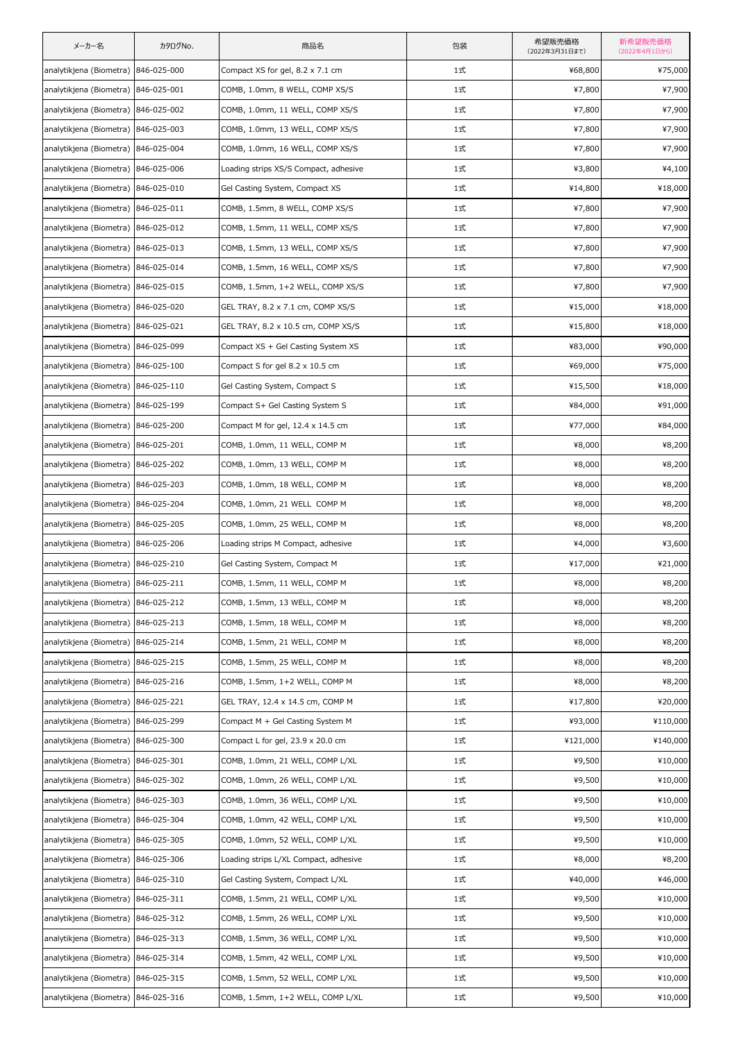| メーカー名                               | カタログNo.     | 商品名                                   | 包装 | 希望販売価格<br>(2022年3月31日まで) | 新希望販売価格<br>(2022年4月1日から) |
|-------------------------------------|-------------|---------------------------------------|----|--------------------------|--------------------------|
| analytikjena (Biometra) 846-025-000 |             | Compact XS for gel, 8.2 x 7.1 cm      | 1式 | ¥68,800                  | ¥75,000                  |
| analytikjena (Biometra) 846-025-001 |             | COMB, 1.0mm, 8 WELL, COMP XS/S        | 1式 | ¥7,800                   | ¥7,900                   |
| analytikjena (Biometra) 846-025-002 |             | COMB, 1.0mm, 11 WELL, COMP XS/S       | 1式 | ¥7,800                   | ¥7,900                   |
| analytikjena (Biometra) 846-025-003 |             | COMB, 1.0mm, 13 WELL, COMP XS/S       | 1式 | ¥7,800                   | ¥7,900                   |
| analytikjena (Biometra) 846-025-004 |             | COMB, 1.0mm, 16 WELL, COMP XS/S       | 1式 | ¥7,800                   | ¥7,900                   |
| analytikjena (Biometra) 846-025-006 |             | Loading strips XS/S Compact, adhesive | 1式 | ¥3,800                   | ¥4,100                   |
| analytikjena (Biometra) 846-025-010 |             | Gel Casting System, Compact XS        | 1式 | ¥14,800                  | ¥18,000                  |
| analytikjena (Biometra) 846-025-011 |             | COMB, 1.5mm, 8 WELL, COMP XS/S        | 1式 | ¥7,800                   | ¥7,900                   |
| analytikjena (Biometra) 846-025-012 |             | COMB, 1.5mm, 11 WELL, COMP XS/S       | 1式 | ¥7,800                   | ¥7,900                   |
| analytikjena (Biometra) 846-025-013 |             | COMB, 1.5mm, 13 WELL, COMP XS/S       | 1式 | ¥7,800                   | ¥7,900                   |
| analytikjena (Biometra) 846-025-014 |             | COMB, 1.5mm, 16 WELL, COMP XS/S       | 1式 | ¥7,800                   | ¥7,900                   |
| analytikjena (Biometra) 846-025-015 |             | COMB, 1.5mm, 1+2 WELL, COMP XS/S      | 1式 | ¥7,800                   | ¥7,900                   |
| analytikjena (Biometra) 846-025-020 |             | GEL TRAY, 8.2 x 7.1 cm, COMP XS/S     | 1式 | ¥15,000                  | ¥18,000                  |
| analytikjena (Biometra) 846-025-021 |             | GEL TRAY, 8.2 x 10.5 cm, COMP XS/S    | 1式 | ¥15,800                  | ¥18,000                  |
| analytikjena (Biometra) 846-025-099 |             | Compact XS + Gel Casting System XS    | 1式 | ¥83,000                  | ¥90,000                  |
| analytikjena (Biometra) 846-025-100 |             | Compact S for gel 8.2 x 10.5 cm       | 1式 | ¥69,000                  | ¥75,000                  |
| analytikjena (Biometra) 846-025-110 |             | Gel Casting System, Compact S         | 1式 | ¥15,500                  | ¥18,000                  |
| analytikjena (Biometra) 846-025-199 |             | Compact S+ Gel Casting System S       | 1式 | ¥84,000                  | ¥91,000                  |
| analytikjena (Biometra) 846-025-200 |             | Compact M for gel, 12.4 x 14.5 cm     | 1式 | ¥77,000                  | ¥84,000                  |
| analytikjena (Biometra) 846-025-201 |             | COMB, 1.0mm, 11 WELL, COMP M          | 1式 | ¥8,000                   | ¥8,200                   |
| analytikjena (Biometra) 846-025-202 |             | COMB, 1.0mm, 13 WELL, COMP M          | 1式 | ¥8,000                   | ¥8,200                   |
| analytikjena (Biometra) 846-025-203 |             | COMB, 1.0mm, 18 WELL, COMP M          | 1式 | ¥8,000                   | ¥8,200                   |
| analytikjena (Biometra) 846-025-204 |             | COMB, 1.0mm, 21 WELL COMP M           | 1式 | ¥8,000                   | ¥8,200                   |
| analytikjena (Biometra) 846-025-205 |             | COMB, 1.0mm, 25 WELL, COMP M          | 1式 | ¥8,000                   | ¥8,200                   |
| analytikjena (Biometra) 846-025-206 |             | Loading strips M Compact, adhesive    | 1式 | ¥4,000                   | ¥3,600                   |
| analytikjena (Biometra) 846-025-210 |             | Gel Casting System, Compact M         | 1式 | ¥17,000                  | ¥21,000                  |
| analytikjena (Biometra) 846-025-211 |             | COMB, 1.5mm, 11 WELL, COMP M          | 1式 | ¥8,000                   | ¥8,200                   |
| analytikjena (Biometra) 846-025-212 |             | COMB, 1.5mm, 13 WELL, COMP M          | 1式 | ¥8,000                   | ¥8,200                   |
| analytikjena (Biometra) 846-025-213 |             | COMB, 1.5mm, 18 WELL, COMP M          | 1式 | ¥8,000                   | ¥8,200                   |
| analytikjena (Biometra)             | 846-025-214 | COMB, 1.5mm, 21 WELL, COMP M          | 1式 | ¥8,000                   | ¥8,200                   |
| analytikjena (Biometra) 846-025-215 |             | COMB, 1.5mm, 25 WELL, COMP M          | 1式 | ¥8,000                   | ¥8,200                   |
| analytikjena (Biometra) 846-025-216 |             | COMB, 1.5mm, 1+2 WELL, COMP M         | 1式 | ¥8,000                   | ¥8,200                   |
| analytikjena (Biometra)             | 846-025-221 | GEL TRAY, 12.4 x 14.5 cm, COMP M      | 1式 | ¥17,800                  | ¥20,000                  |
| analytikjena (Biometra) 846-025-299 |             | Compact M + Gel Casting System M      | 1式 | ¥93,000                  | ¥110,000                 |
| analytikjena (Biometra) 846-025-300 |             | Compact L for gel, 23.9 x 20.0 cm     | 1式 | ¥121,000                 | ¥140,000                 |
| analytikjena (Biometra)             | 846-025-301 | COMB, 1.0mm, 21 WELL, COMP L/XL       | 1式 | ¥9,500                   | ¥10,000                  |
| analytikjena (Biometra) 846-025-302 |             | COMB, 1.0mm, 26 WELL, COMP L/XL       | 1式 | ¥9,500                   | ¥10,000                  |
| analytikjena (Biometra) 846-025-303 |             | COMB, 1.0mm, 36 WELL, COMP L/XL       | 1式 | ¥9,500                   | ¥10,000                  |
| analytikjena (Biometra)             | 846-025-304 | COMB, 1.0mm, 42 WELL, COMP L/XL       | 1式 | ¥9,500                   | ¥10,000                  |
| analytikjena (Biometra) 846-025-305 |             | COMB, 1.0mm, 52 WELL, COMP L/XL       | 1式 | ¥9,500                   | ¥10,000                  |
| analytikjena (Biometra) 846-025-306 |             | Loading strips L/XL Compact, adhesive | 1式 | ¥8,000                   | ¥8,200                   |
| analytikjena (Biometra)             | 846-025-310 | Gel Casting System, Compact L/XL      | 1式 | ¥40,000                  | ¥46,000                  |
| analytikjena (Biometra) 846-025-311 |             | COMB, 1.5mm, 21 WELL, COMP L/XL       | 1式 | ¥9,500                   | ¥10,000                  |
| analytikjena (Biometra) 846-025-312 |             | COMB, 1.5mm, 26 WELL, COMP L/XL       | 1式 | ¥9,500                   | ¥10,000                  |
| analytikjena (Biometra)             | 846-025-313 | COMB, 1.5mm, 36 WELL, COMP L/XL       | 1式 | ¥9,500                   | ¥10,000                  |
| analytikjena (Biometra) 846-025-314 |             | COMB, 1.5mm, 42 WELL, COMP L/XL       | 1式 | ¥9,500                   | ¥10,000                  |
| analytikjena (Biometra) 846-025-315 |             | COMB, 1.5mm, 52 WELL, COMP L/XL       | 1式 | ¥9,500                   | ¥10,000                  |
| analytikjena (Biometra) 846-025-316 |             | COMB, 1.5mm, 1+2 WELL, COMP L/XL      | 1式 | ¥9,500                   | ¥10,000                  |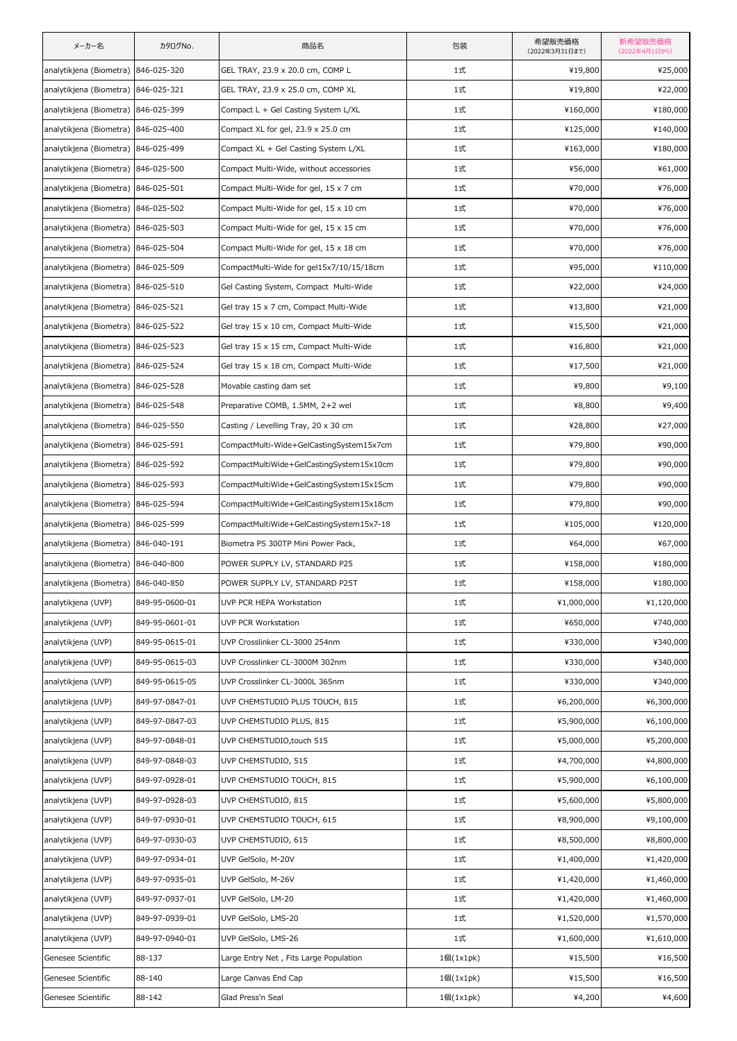| メーカー名                               | カタログNo.        | 商品名                                      | 包装        | 希望販売価格<br>(2022年3月31日まで) | 新希望販売価格<br>(2022年4月1日から) |
|-------------------------------------|----------------|------------------------------------------|-----------|--------------------------|--------------------------|
| analytikjena (Biometra)             | 846-025-320    | GEL TRAY, 23.9 x 20.0 cm, COMP L         | 1式        | ¥19,800                  | ¥25,000                  |
| analytikjena (Biometra) 846-025-321 |                | GEL TRAY, 23.9 x 25.0 cm, COMP XL        | 1式        | ¥19,800                  | ¥22,000                  |
| analytikjena (Biometra)             | 846-025-399    | Compact L + Gel Casting System L/XL      | 1式        | ¥160,000                 | ¥180,000                 |
| analytikjena (Biometra)             | 846-025-400    | Compact XL for gel, 23.9 x 25.0 cm       | 1式        | ¥125,000                 | ¥140,000                 |
| analytikjena (Biometra) 846-025-499 |                | Compact XL + Gel Casting System L/XL     | 1式        | ¥163,000                 | ¥180,000                 |
| analytikjena (Biometra) 846-025-500 |                | Compact Multi-Wide, without accessories  | 1式        | ¥56,000                  | ¥61,000                  |
| analytikjena (Biometra)             | 846-025-501    | Compact Multi-Wide for gel, 15 x 7 cm    | 1式        | ¥70,000                  | ¥76,000                  |
| analytikjena (Biometra) 846-025-502 |                | Compact Multi-Wide for gel, 15 x 10 cm   | 1式        | ¥70,000                  | ¥76,000                  |
| analytikjena (Biometra) 846-025-503 |                | Compact Multi-Wide for gel, 15 x 15 cm   | 1式        | ¥70,000                  | ¥76,000                  |
| analytikjena (Biometra)             | 846-025-504    | Compact Multi-Wide for gel, 15 x 18 cm   | 1式        | ¥70,000                  | ¥76,000                  |
| analytikjena (Biometra) 846-025-509 |                | CompactMulti-Wide for gel15x7/10/15/18cm | 1式        | ¥95,000                  | ¥110,000                 |
| analytikjena (Biometra) 846-025-510 |                | Gel Casting System, Compact Multi-Wide   | 1式        | ¥22,000                  | ¥24,000                  |
| analytikjena (Biometra)             | 846-025-521    | Gel tray 15 x 7 cm, Compact Multi-Wide   | 1式        | ¥13,800                  | ¥21,000                  |
| analytikjena (Biometra)             | 846-025-522    | Gel tray 15 x 10 cm, Compact Multi-Wide  | 1式        | ¥15,500                  | ¥21,000                  |
| analytikjena (Biometra) 846-025-523 |                | Gel tray 15 x 15 cm, Compact Multi-Wide  | 1式        | ¥16,800                  | ¥21,000                  |
| analytikjena (Biometra)             | 846-025-524    | Gel tray 15 x 18 cm, Compact Multi-Wide  | 1式        | ¥17,500                  | ¥21,000                  |
| analytikjena (Biometra)             | 846-025-528    | Movable casting dam set                  | 1式        | ¥9,800                   | ¥9,100                   |
| analytikjena (Biometra) 846-025-548 |                | Preparative COMB, 1.5MM, 2+2 wel         | 1式        | ¥8,800                   | ¥9,400                   |
| analytikjena (Biometra)             | 846-025-550    | Casting / Levelling Tray, 20 x 30 cm     | 1式        | ¥28,800                  | ¥27,000                  |
| analytikjena (Biometra) 846-025-591 |                | CompactMulti-Wide+GelCastingSystem15x7cm | 1式        | ¥79,800                  | ¥90,000                  |
| analytikjena (Biometra) 846-025-592 |                | CompactMultiWide+GelCastingSystem15x10cm | 1式        | ¥79,800                  | ¥90,000                  |
| analytikjena (Biometra)             | 846-025-593    | CompactMultiWide+GelCastingSystem15x15cm | 1式        | ¥79,800                  | ¥90,000                  |
| analytikjena (Biometra)             | 846-025-594    | CompactMultiWide+GelCastingSystem15x18cm | 1式        | ¥79,800                  | ¥90,000                  |
| analytikjena (Biometra) 846-025-599 |                | CompactMultiWide+GelCastingSystem15x7-18 | 1式        | ¥105,000                 | ¥120,000                 |
| analytikjena (Biometra)             | 846-040-191    | Biometra PS 300TP Mini Power Pack,       | 1式        | ¥64,000                  | ¥67,000                  |
| analytikjena (Biometra) 846-040-800 |                | POWER SUPPLY LV, STANDARD P25            | 1式        | ¥158,000                 | ¥180,000                 |
| analytikjena (Biometra) 846-040-850 |                | POWER SUPPLY LV, STANDARD P25T           | 1式        | ¥158,000                 | ¥180,000                 |
| analytikjena (UVP)                  | 849-95-0600-01 | UVP PCR HEPA Workstation                 | 1式        | ¥1,000,000               | ¥1,120,000               |
| analytikjena (UVP)                  | 849-95-0601-01 | UVP PCR Workstation                      | 1式        | ¥650,000                 | ¥740,000                 |
| analytikjena (UVP)                  | 849-95-0615-01 | UVP Crosslinker CL-3000 254nm            | 1式        | ¥330,000                 | ¥340,000                 |
| analytikjena (UVP)                  | 849-95-0615-03 | UVP Crosslinker CL-3000M 302nm           | 1式        | ¥330,000                 | ¥340,000                 |
| analytikjena (UVP)                  | 849-95-0615-05 | UVP Crosslinker CL-3000L 365nm           | 1式        | ¥330,000                 | ¥340,000                 |
| analytikjena (UVP)                  | 849-97-0847-01 | UVP CHEMSTUDIO PLUS TOUCH, 815           | 1式        | ¥6,200,000               | ¥6,300,000               |
| analytikjena (UVP)                  | 849-97-0847-03 | UVP CHEMSTUDIO PLUS, 815                 | 1式        | ¥5,900,000               | ¥6,100,000               |
| analytikjena (UVP)                  | 849-97-0848-01 | UVP CHEMSTUDIO, touch 515                | 1式        | ¥5,000,000               | ¥5,200,000               |
| analytikjena (UVP)                  | 849-97-0848-03 | UVP CHEMSTUDIO, 515                      | 1式        | ¥4,700,000               | ¥4,800,000               |
| analytikjena (UVP)                  | 849-97-0928-01 | UVP CHEMSTUDIO TOUCH, 815                | 1式        | ¥5,900,000               | ¥6,100,000               |
| analytikjena (UVP)                  | 849-97-0928-03 | UVP CHEMSTUDIO, 815                      | 1式        | ¥5,600,000               | ¥5,800,000               |
| analytikjena (UVP)                  | 849-97-0930-01 | UVP CHEMSTUDIO TOUCH, 615                | 1式        | ¥8,900,000               | ¥9,100,000               |
| analytikjena (UVP)                  | 849-97-0930-03 | UVP CHEMSTUDIO, 615                      | 1式        | ¥8,500,000               | ¥8,800,000               |
| analytikjena (UVP)                  | 849-97-0934-01 | UVP GelSolo, M-20V                       | 1式        | ¥1,400,000               | ¥1,420,000               |
| analytikjena (UVP)                  | 849-97-0935-01 | UVP GelSolo, M-26V                       | 1式        | ¥1,420,000               | ¥1,460,000               |
| analytikjena (UVP)                  | 849-97-0937-01 | UVP GelSolo, LM-20                       | 1式        | ¥1,420,000               | ¥1,460,000               |
| analytikjena (UVP)                  | 849-97-0939-01 | UVP GelSolo, LMS-20                      | 1式        | ¥1,520,000               | ¥1,570,000               |
| analytikjena (UVP)                  | 849-97-0940-01 | UVP GelSolo, LMS-26                      | 1式        | ¥1,600,000               | ¥1,610,000               |
| Genesee Scientific                  | 88-137         | Large Entry Net, Fits Large Population   | 1個(1x1pk) | ¥15,500                  | ¥16,500                  |
| Genesee Scientific                  | 88-140         | Large Canvas End Cap                     | 1個(1x1pk) | ¥15,500                  | ¥16,500                  |
| Genesee Scientific                  | 88-142         | Glad Press'n Seal                        | 1個(1x1pk) | ¥4,200                   | ¥4,600                   |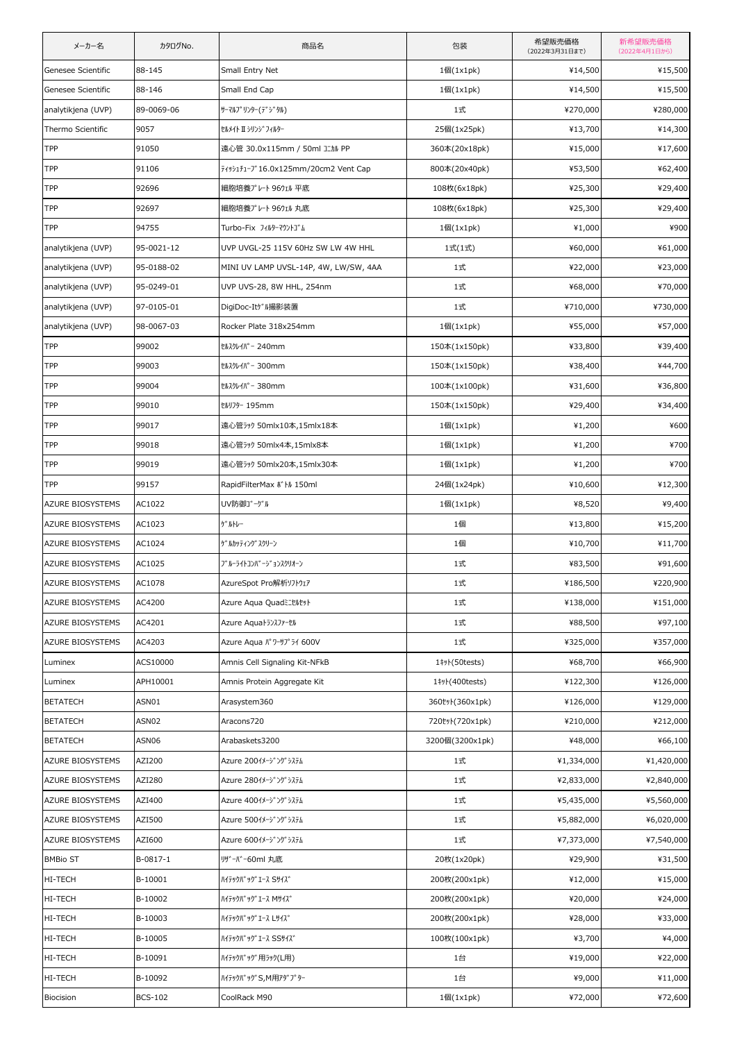| メーカー名                   | カタログNo.        | 商品名                                   | 包装               | 希望販売価格<br>(2022年3月31日まで) | 新希望販売価格<br>(2022年4月1日から) |
|-------------------------|----------------|---------------------------------------|------------------|--------------------------|--------------------------|
| Genesee Scientific      | 88-145         | Small Entry Net                       | 1個(1x1pk)        | ¥14,500                  | ¥15,500                  |
| Genesee Scientific      | 88-146         | Small End Cap                         | 1個(1x1pk)        | ¥14,500                  | ¥15,500                  |
| analytikjena (UVP)      | 89-0069-06     | サーマルフ° リンター(デジタル)                     | 1式               | ¥270,000                 | ¥280,000                 |
| Thermo Scientific       | 9057           | セルメイト Ⅱ シリンジフィルター                     | 25個(1x25pk)      | ¥13,700                  | ¥14,300                  |
| TPP                     | 91050          | 遠心管 30.0x115mm / 50ml コニカル PP         | 360本(20x18pk)    | ¥15,000                  | ¥17,600                  |
| TPP                     | 91106          | 7493171-7" 16.0x125mm/20cm2 Vent Cap  | 800本(20x40pk)    | ¥53,500                  | ¥62,400                  |
| TPP                     | 92696          | 細胞培養プレート 96ウェル 平底                     | 108枚(6x18pk)     | ¥25,300                  | ¥29,400                  |
| TPP                     | 92697          | 細胞培養プレート 96ウェル 丸底                     | 108枚(6x18pk)     | ¥25,300                  | ¥29,400                  |
| TPP                     | 94755          | Turbo-Fix フィルターマウントゴム                 | 1個(1x1pk)        | ¥1,000                   | ¥900                     |
| analytikjena (UVP)      | 95-0021-12     | UVP UVGL-25 115V 60Hz SW LW 4W HHL    | 1式(1式)           | ¥60,000                  | ¥61,000                  |
| analytikjena (UVP)      | 95-0188-02     | MINI UV LAMP UVSL-14P, 4W, LW/SW, 4AA | 1式               | ¥22,000                  | ¥23,000                  |
| analytikjena (UVP)      | 95-0249-01     | UVP UVS-28, 8W HHL, 254nm             | 1式               | ¥68,000                  | ¥70,000                  |
| analytikjena (UVP)      | 97-0105-01     | DigiDoc-Itゲル撮影装置                      | 1式               | ¥710,000                 | ¥730,000                 |
| analytikjena (UVP)      | 98-0067-03     | Rocker Plate 318x254mm                | 1個(1x1pk)        | ¥55,000                  | ¥57,000                  |
| TPP                     | 99002          | tルスクレイパー 240mm                        | 150本(1x150pk)    | ¥33,800                  | ¥39,400                  |
| TPP                     | 99003          | tルスクレイパー 300mm                        | 150本(1x150pk)    | ¥38,400                  | ¥44,700                  |
| <b>TPP</b>              | 99004          | tルスクレイパー 380mm                        | 100本(1x100pk)    | ¥31,600                  | ¥36,800                  |
| TPP                     | 99010          | tMJ79-195mm                           | 150本(1x150pk)    | ¥29,400                  | ¥34,400                  |
| TPP                     | 99017          | 遠心管ラック 50mlx10本,15mlx18本              | 1個(1x1pk)        | ¥1,200                   | ¥600                     |
| TPP                     | 99018          | 遠心管ラック 50mlx4本,15mlx8本                | 1個(1x1pk)        | ¥1,200                   | ¥700                     |
| TPP                     | 99019          | 遠心管ラック 50mlx20本,15mlx30本              | 1個(1x1pk)        | ¥1,200                   | ¥700                     |
| TPP                     | 99157          | RapidFilterMax # M 150ml              | 24個(1x24pk)      | ¥10,600                  | ¥12,300                  |
| AZURE BIOSYSTEMS        | AC1022         | UV防御ゴーグル                              | 1個(1x1pk)        | ¥8,520                   | ¥9,400                   |
| <b>AZURE BIOSYSTEMS</b> | AC1023         | ゲ ルトレー                                | 1個               | ¥13,800                  | ¥15,200                  |
| AZURE BIOSYSTEMS        | AC1024         | ゲ゙ルカッティングスクリーン                        | 1個               | ¥10,700                  | ¥11,700                  |
| AZURE BIOSYSTEMS        | AC1025         | ブルーライトコンバージョンスクリオーン                   | 1式               | ¥83,500                  | ¥91,600                  |
| AZURE BIOSYSTEMS        | AC1078         | AzureSpot Pro解析ソフトウェア                 | 1式               | ¥186,500                 | ¥220,900                 |
| AZURE BIOSYSTEMS        | AC4200         | Azure Agua Quadミニセルセット                | 1式               | ¥138,000                 | ¥151,000                 |
| <b>AZURE BIOSYSTEMS</b> | AC4201         | Azure Aquaトランスファーセル                   | 1式               | ¥88,500                  | ¥97,100                  |
| AZURE BIOSYSTEMS        | AC4203         | Azure Aqua パワーサプライ 600V               | 1式               | ¥325,000                 | ¥357,000                 |
| Luminex                 | ACS10000       | Amnis Cell Signaling Kit-NFkB         | 1#yl(50tests)    | ¥68,700                  | ¥66,900                  |
| Luminex                 | APH10001       | Amnis Protein Aggregate Kit           | 1# + (400 tests) | ¥122,300                 | ¥126,000                 |
| <b>BETATECH</b>         | ASN01          | Arasystem360                          | 360ty)(360x1pk)  | ¥126,000                 | ¥129,000                 |
| <b>BETATECH</b>         | ASN02          | Aracons720                            | 720tyl(720x1pk)  | ¥210,000                 | ¥212,000                 |
| <b>BETATECH</b>         | ASN06          | Arabaskets3200                        | 3200個(3200x1pk)  | ¥48,000                  | ¥66,100                  |
| AZURE BIOSYSTEMS        | AZI200         | Azure 2001メージ ング システム                 | 1式               | ¥1,334,000               | ¥1,420,000               |
| AZURE BIOSYSTEMS        | AZI280         | Azure 280イメージングシステム                   | 1式               | ¥2,833,000               | ¥2,840,000               |
| <b>AZURE BIOSYSTEMS</b> | AZI400         | Azure 400イメージングシステム                   | 1式               | ¥5,435,000               | ¥5,560,000               |
| AZURE BIOSYSTEMS        | AZI500         | Azure 500イメージングシステム                   | 1式               | ¥5,882,000               | ¥6,020,000               |
| AZURE BIOSYSTEMS        | AZI600         | Azure 600イメージングシステム                   | 1式               | ¥7,373,000               | ¥7,540,000               |
| <b>BMBio ST</b>         | B-0817-1       | リザーバー60ml 丸底                          | 20枚(1x20pk)      | ¥29,900                  | ¥31,500                  |
| HI-TECH                 | B-10001        | ハイテックハ゛ック゛エース Sサイス゛                   | 200枚(200x1pk)    | ¥12,000                  | ¥15,000                  |
| HI-TECH                 | B-10002        | ハイテックハ゛ック゛エース Mサイズ゛                   | 200枚(200x1pk)    | ¥20,000                  | ¥24,000                  |
| HI-TECH                 | B-10003        | ハイテックハ゛ック゛エース レサイズ゛                   | 200枚(200x1pk)    | ¥28,000                  | ¥33,000                  |
| HI-TECH                 | B-10005        | ハイテックハ゛ック゛エース SSサイス゛                  | 100枚(100x1pk)    | ¥3,700                   | ¥4,000                   |
| HI-TECH                 | B-10091        | ハイテックバッグ用ラック(L用)                      | 1台               | ¥19,000                  | ¥22,000                  |
| HI-TECH                 | B-10092        | ハイテックバ ック S, M用アタ プ ター                | 1台               | ¥9,000                   | ¥11,000                  |
| Biocision               | <b>BCS-102</b> | CoolRack M90                          | 1個(1x1pk)        | ¥72,000                  | ¥72,600                  |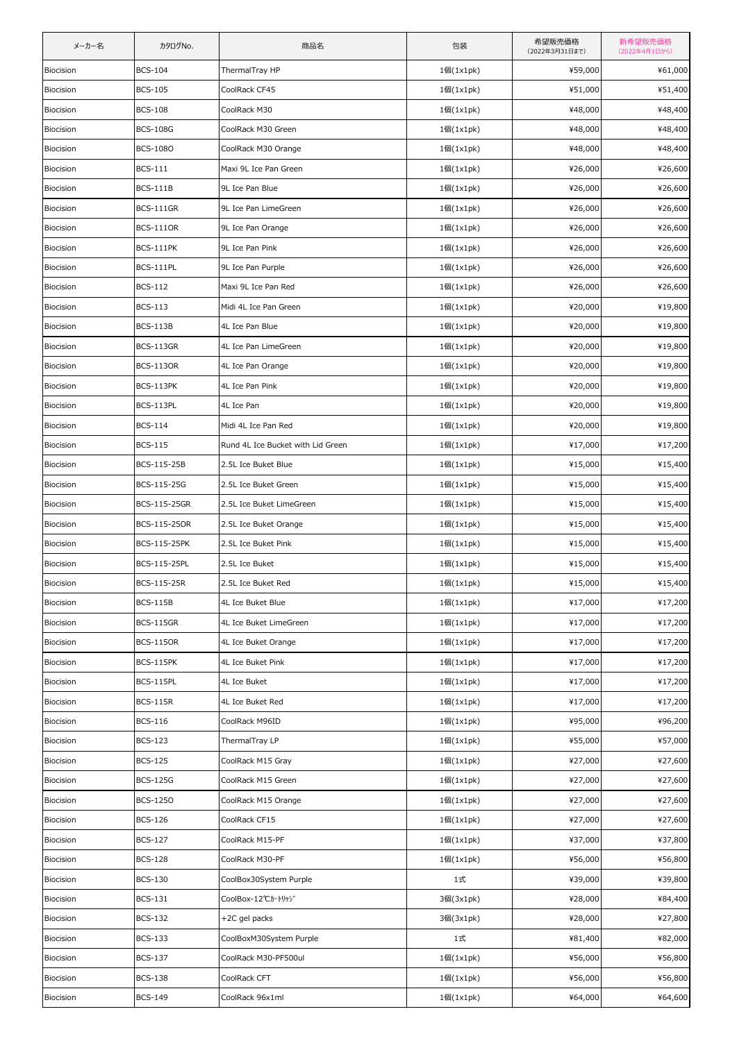| メーカー名     | カタログNo.          | 商品名                               | 包装              | 希望販売価格<br>(2022年3月31日まで) | 新希望販売価格<br>(2022年4月1日から) |
|-----------|------------------|-----------------------------------|-----------------|--------------------------|--------------------------|
| Biocision | <b>BCS-104</b>   | ThermalTray HP                    | 1個(1x1pk)       | ¥59,000                  | ¥61,000                  |
| Biocision | <b>BCS-105</b>   | CoolRack CF45                     | 1個(1x1pk)       | ¥51,000                  | ¥51,400                  |
| Biocision | <b>BCS-108</b>   | CoolRack M30                      | 1個(1x1pk)       | ¥48,000                  | ¥48,400                  |
| Biocision | <b>BCS-108G</b>  | CoolRack M30 Green                | 1個(1x1pk)       | ¥48,000                  | ¥48,400                  |
| Biocision | <b>BCS-1080</b>  | CoolRack M30 Orange               | 1個(1x1pk)       | ¥48,000                  | ¥48,400                  |
| Biocision | <b>BCS-111</b>   | Maxi 9L Ice Pan Green             | 1個(1x1pk)       | ¥26,000                  | ¥26,600                  |
| Biocision | <b>BCS-111B</b>  | 9L Ice Pan Blue                   | $1$ 個 $(1x1pk)$ | ¥26,000                  | ¥26,600                  |
| Biocision | <b>BCS-111GR</b> | 9L Ice Pan LimeGreen              | 1個(1x1pk)       | ¥26,000                  | ¥26,600                  |
| Biocision | <b>BCS-1110R</b> | 9L Ice Pan Orange                 | 1個(1x1pk)       | ¥26,000                  | ¥26,600                  |
| Biocision | <b>BCS-111PK</b> | 9L Ice Pan Pink                   | 1個(1x1pk)       | ¥26,000                  | ¥26,600                  |
| Biocision | BCS-111PL        | 9L Ice Pan Purple                 | 1個(1x1pk)       | ¥26,000                  | ¥26,600                  |
| Biocision | <b>BCS-112</b>   | Maxi 9L Ice Pan Red               | 1個(1x1pk)       | ¥26,000                  | ¥26,600                  |
| Biocision | <b>BCS-113</b>   | Midi 4L Ice Pan Green             | 1個(1x1pk)       | ¥20,000                  | ¥19,800                  |
| Biocision | <b>BCS-113B</b>  | 4L Ice Pan Blue                   | 1個(1x1pk)       | ¥20,000                  | ¥19,800                  |
| Biocision | <b>BCS-113GR</b> | 4L Ice Pan LimeGreen              | 1個(1x1pk)       | ¥20,000                  | ¥19,800                  |
| Biocision | <b>BCS-1130R</b> | 4L Ice Pan Orange                 | 1個(1x1pk)       | ¥20,000                  | ¥19,800                  |
| Biocision | <b>BCS-113PK</b> | 4L Ice Pan Pink                   | 1個(1x1pk)       | ¥20,000                  | ¥19,800                  |
| Biocision | BCS-113PL        | 4L Ice Pan                        | 1個(1x1pk)       | ¥20,000                  | ¥19,800                  |
| Biocision | <b>BCS-114</b>   | Midi 4L Ice Pan Red               | 1個(1x1pk)       | ¥20,000                  | ¥19,800                  |
| Biocision | <b>BCS-115</b>   | Rund 4L Ice Bucket with Lid Green | 1個(1x1pk)       | ¥17,000                  | ¥17,200                  |
| Biocision | BCS-115-25B      | 2.5L Ice Buket Blue               | 1個(1x1pk)       | ¥15,000                  | ¥15,400                  |
| Biocision | BCS-115-25G      | 2.5L Ice Buket Green              | $1$ 個 $(1x1pk)$ | ¥15,000                  | ¥15,400                  |
| Biocision | BCS-115-25GR     | 2.5L Ice Buket LimeGreen          | 1個(1x1pk)       | ¥15,000                  | ¥15,400                  |
| Biocision | BCS-115-250R     | 2.5L Ice Buket Orange             | 1個(1x1pk)       | ¥15,000                  | ¥15,400                  |
| Biocision | BCS-115-25PK     | 2.5L Ice Buket Pink               | 1個(1x1pk)       | ¥15,000                  | ¥15,400                  |
| Biocision | BCS-115-25PL     | 2.5L Ice Buket                    | 1個(1x1pk)       | ¥15,000                  | ¥15,400                  |
| Biocision | BCS-115-25R      | 2.5L Ice Buket Red                | 1個(1x1pk)       | ¥15,000                  | ¥15,400                  |
| Biocision | <b>BCS-115B</b>  | 4L Ice Buket Blue                 | 1個(1x1pk)       | ¥17,000                  | ¥17,200                  |
| Biocision | <b>BCS-115GR</b> | 4L Ice Buket LimeGreen            | 1個(1x1pk)       | ¥17,000                  | ¥17,200                  |
| Biocision | <b>BCS-115OR</b> | 4L Ice Buket Orange               | 1個(1x1pk)       | ¥17,000                  | ¥17,200                  |
| Biocision | <b>BCS-115PK</b> | 4L Ice Buket Pink                 | 1個(1x1pk)       | ¥17,000                  | ¥17,200                  |
| Biocision | BCS-115PL        | 4L Ice Buket                      | 1個(1x1pk)       | ¥17,000                  | ¥17,200                  |
| Biocision | <b>BCS-115R</b>  | 4L Ice Buket Red                  | 1個(1x1pk)       | ¥17,000                  | ¥17,200                  |
| Biocision | <b>BCS-116</b>   | CoolRack M96ID                    | 1個(1x1pk)       | ¥95,000                  | ¥96,200                  |
| Biocision | <b>BCS-123</b>   | ThermalTray LP                    | 1個(1x1pk)       | ¥55,000                  | ¥57,000                  |
| Biocision | <b>BCS-125</b>   | CoolRack M15 Gray                 | 1個(1x1pk)       | ¥27,000                  | ¥27,600                  |
| Biocision | <b>BCS-125G</b>  | CoolRack M15 Green                | 1個(1x1pk)       | ¥27,000                  | ¥27,600                  |
| Biocision | <b>BCS-1250</b>  | CoolRack M15 Orange               | 1個(1x1pk)       | ¥27,000                  | ¥27,600                  |
| Biocision | <b>BCS-126</b>   | CoolRack CF15                     | 1個(1x1pk)       | ¥27,000                  | ¥27,600                  |
| Biocision | <b>BCS-127</b>   | CoolRack M15-PF                   | 1個(1x1pk)       | ¥37,000                  | ¥37,800                  |
| Biocision | <b>BCS-128</b>   | CoolRack M30-PF                   | 1個(1x1pk)       | ¥56,000                  | ¥56,800                  |
| Biocision | <b>BCS-130</b>   | CoolBox30System Purple            | 1式              | ¥39,000                  | ¥39,800                  |
| Biocision | <b>BCS-131</b>   | CoolBox-12℃カートリッジ                 | 3個(3x1pk)       | ¥28,000                  | ¥84,400                  |
| Biocision | <b>BCS-132</b>   | +2C gel packs                     | 3個(3x1pk)       | ¥28,000                  | ¥27,800                  |
| Biocision | <b>BCS-133</b>   | CoolBoxM30System Purple           | 1式              | ¥81,400                  | ¥82,000                  |
| Biocision | <b>BCS-137</b>   | CoolRack M30-PF500ul              | 1個(1x1pk)       | ¥56,000                  | ¥56,800                  |
| Biocision | <b>BCS-138</b>   | CoolRack CFT                      | 1個(1x1pk)       | ¥56,000                  | ¥56,800                  |
| Biocision | <b>BCS-149</b>   | CoolRack 96x1ml                   | 1個(1x1pk)       | ¥64,000                  | ¥64,600                  |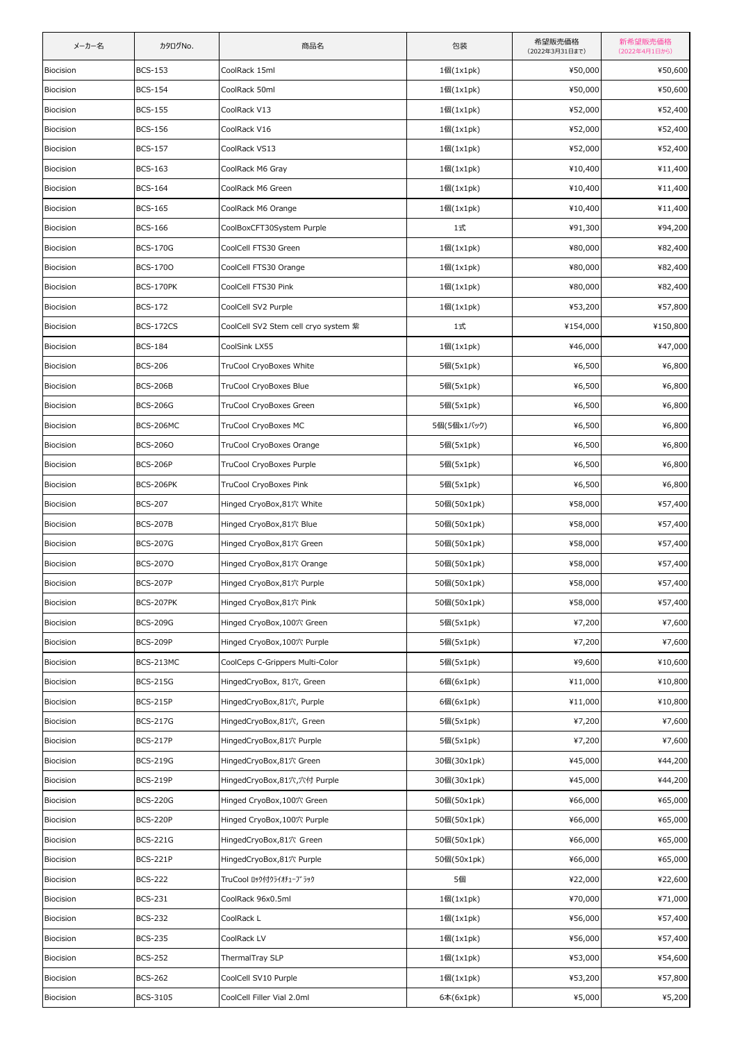| メーカー名     | カタログNo.          | 商品名                                  | 包装          | 希望販売価格<br>(2022年3月31日まで) | 新希望販売価格<br>(2022年4月1日から) |
|-----------|------------------|--------------------------------------|-------------|--------------------------|--------------------------|
| Biocision | <b>BCS-153</b>   | CoolRack 15ml                        | 1個(1x1pk)   | ¥50,000                  | ¥50,600                  |
| Biocision | <b>BCS-154</b>   | CoolRack 50ml                        | 1個(1x1pk)   | ¥50,000                  | ¥50,600                  |
| Biocision | <b>BCS-155</b>   | CoolRack V13                         | 1個(1x1pk)   | ¥52,000                  | ¥52,400                  |
| Biocision | <b>BCS-156</b>   | CoolRack V16                         | 1個(1x1pk)   | ¥52,000                  | ¥52,400                  |
| Biocision | <b>BCS-157</b>   | CoolRack VS13                        | 1個(1x1pk)   | ¥52,000                  | ¥52,400                  |
| Biocision | <b>BCS-163</b>   | CoolRack M6 Gray                     | 1個(1x1pk)   | ¥10,400                  | ¥11,400                  |
| Biocision | <b>BCS-164</b>   | CoolRack M6 Green                    | 1個(1x1pk)   | ¥10,400                  | ¥11,400                  |
| Biocision | <b>BCS-165</b>   | CoolRack M6 Orange                   | 1個(1x1pk)   | ¥10,400                  | ¥11,400                  |
| Biocision | <b>BCS-166</b>   | CoolBoxCFT30System Purple            | 1式          | ¥91,300                  | ¥94,200                  |
| Biocision | <b>BCS-170G</b>  | CoolCell FTS30 Green                 | 1個(1x1pk)   | ¥80,000                  | ¥82,400                  |
| Biocision | <b>BCS-1700</b>  | CoolCell FTS30 Orange                | 1個(1x1pk)   | ¥80,000                  | ¥82,400                  |
| Biocision | <b>BCS-170PK</b> | CoolCell FTS30 Pink                  | 1個(1x1pk)   | ¥80,000                  | ¥82,400                  |
| Biocision | <b>BCS-172</b>   | CoolCell SV2 Purple                  | 1個(1x1pk)   | ¥53,200                  | ¥57,800                  |
| Biocision | <b>BCS-172CS</b> | CoolCell SV2 Stem cell cryo system 紫 | 1式          | ¥154,000                 | ¥150,800                 |
| Biocision | <b>BCS-184</b>   | CoolSink LX55                        | 1個(1x1pk)   | ¥46,000                  | ¥47,000                  |
| Biocision | <b>BCS-206</b>   | TruCool CryoBoxes White              | 5個(5x1pk)   | ¥6,500                   | ¥6,800                   |
| Biocision | <b>BCS-206B</b>  | TruCool CryoBoxes Blue               | 5個(5x1pk)   | ¥6,500                   | ¥6,800                   |
| Biocision | <b>BCS-206G</b>  | TruCool CryoBoxes Green              | 5個(5x1pk)   | ¥6,500                   | ¥6,800                   |
| Biocision | <b>BCS-206MC</b> | TruCool CryoBoxes MC                 | 5個(5個x1パック) | ¥6,500                   | ¥6,800                   |
| Biocision | <b>BCS-2060</b>  | TruCool CryoBoxes Orange             | 5個(5x1pk)   | ¥6,500                   | ¥6,800                   |
| Biocision | <b>BCS-206P</b>  | TruCool CryoBoxes Purple             | 5個(5x1pk)   | ¥6,500                   | ¥6,800                   |
| Biocision | BCS-206PK        | TruCool CryoBoxes Pink               | 5個(5x1pk)   | ¥6,500                   | ¥6,800                   |
| Biocision | <b>BCS-207</b>   | Hinged CryoBox,81穴 White             | 50個(50x1pk) | ¥58,000                  | ¥57,400                  |
| Biocision | <b>BCS-207B</b>  | Hinged CryoBox,81穴 Blue              | 50個(50x1pk) | ¥58,000                  | ¥57,400                  |
| Biocision | <b>BCS-207G</b>  | Hinged CryoBox,81穴 Green             | 50個(50x1pk) | ¥58,000                  | ¥57,400                  |
| Biocision | <b>BCS-2070</b>  | Hinged CryoBox,81穴 Orange            | 50個(50x1pk) | ¥58,000                  | ¥57,400                  |
| Biocision | <b>BCS-207P</b>  | Hinged CryoBox, 81穴 Purple           | 50個(50x1pk) | ¥58,000                  | ¥57,400                  |
| Biocision | <b>BCS-207PK</b> | Hinged CryoBox,81穴 Pink              | 50個(50x1pk) | ¥58,000                  | ¥57,400                  |
| Biocision | <b>BCS-209G</b>  | Hinged CryoBox,100穴 Green            | 5個(5x1pk)   | ¥7,200                   | ¥7,600                   |
| Biocision | <b>BCS-209P</b>  | Hinged CryoBox,100穴 Purple           | 5個(5x1pk)   | ¥7,200                   | ¥7,600                   |
| Biocision | BCS-213MC        | CoolCeps C-Grippers Multi-Color      | 5個(5x1pk)   | ¥9,600                   | ¥10,600                  |
| Biocision | <b>BCS-215G</b>  | HingedCryoBox, 81穴, Green            | 6個(6x1pk)   | ¥11,000                  | ¥10,800                  |
| Biocision | <b>BCS-215P</b>  | HingedCryoBox,81穴, Purple            | 6個(6x1pk)   | ¥11,000                  | ¥10,800                  |
| Biocision | <b>BCS-217G</b>  | HingedCryoBox,81穴, Green             | 5個(5x1pk)   | ¥7,200                   | ¥7,600                   |
| Biocision | <b>BCS-217P</b>  | HingedCryoBox,81穴 Purple             | 5個(5x1pk)   | ¥7,200                   | ¥7,600                   |
| Biocision | <b>BCS-219G</b>  | HingedCryoBox,81穴 Green              | 30個(30x1pk) | ¥45,000                  | ¥44,200                  |
| Biocision | <b>BCS-219P</b>  | HingedCryoBox,81穴,穴付 Purple          | 30個(30x1pk) | ¥45,000                  | ¥44,200                  |
| Biocision | <b>BCS-220G</b>  | Hinged CryoBox,100穴 Green            | 50個(50x1pk) | ¥66,000                  | ¥65,000                  |
| Biocision | <b>BCS-220P</b>  | Hinged CryoBox,100穴 Purple           | 50個(50x1pk) | ¥66,000                  | ¥65,000                  |
| Biocision | <b>BCS-221G</b>  | HingedCryoBox,81穴 Green              | 50個(50x1pk) | ¥66,000                  | ¥65,000                  |
| Biocision | <b>BCS-221P</b>  | HingedCryoBox,81穴 Purple             | 50個(50x1pk) | ¥66,000                  | ¥65,000                  |
| Biocision | <b>BCS-222</b>   | TruCool ロック付クライオチューブラック              | 5個          | ¥22,000                  | ¥22,600                  |
| Biocision | <b>BCS-231</b>   | CoolRack 96x0.5ml                    | 1個(1x1pk)   | ¥70,000                  | ¥71,000                  |
| Biocision | <b>BCS-232</b>   | CoolRack L                           | 1個(1x1pk)   | ¥56,000                  | ¥57,400                  |
| Biocision | <b>BCS-235</b>   | CoolRack LV                          | 1個(1x1pk)   | ¥56,000                  | ¥57,400                  |
| Biocision | <b>BCS-252</b>   | ThermalTray SLP                      | 1個(1x1pk)   | ¥53,000                  | ¥54,600                  |
| Biocision | <b>BCS-262</b>   | CoolCell SV10 Purple                 | 1個(1x1pk)   | ¥53,200                  | ¥57,800                  |
| Biocision | BCS-3105         | CoolCell Filler Vial 2.0ml           | 6本(6x1pk)   | ¥5,000                   | ¥5,200                   |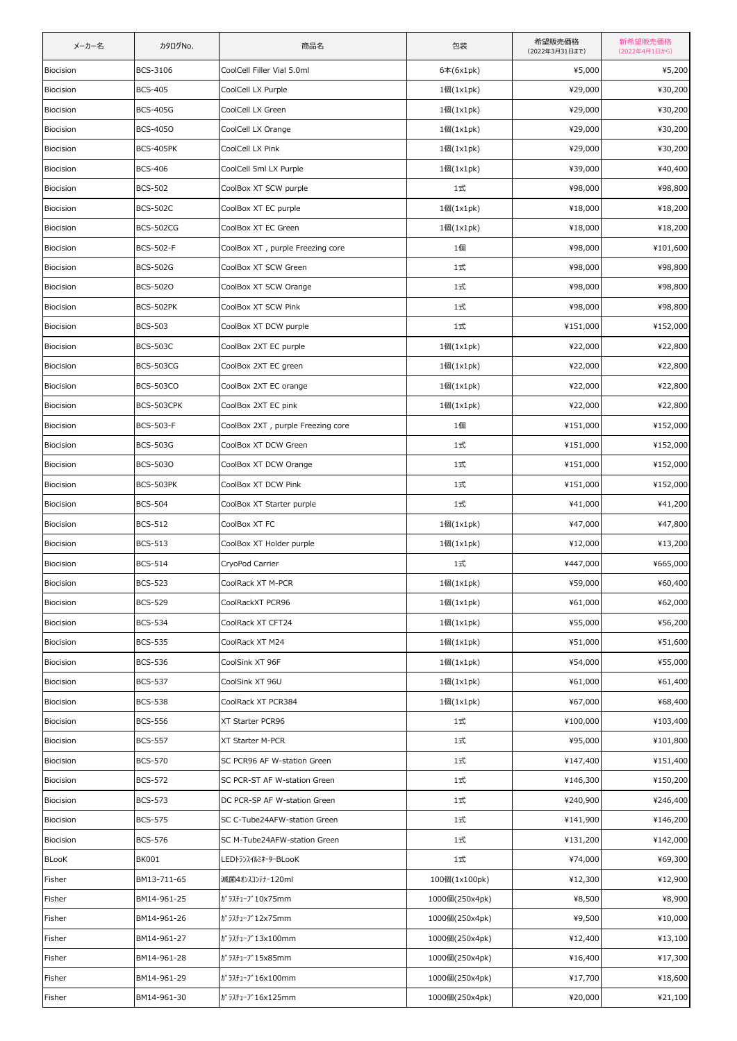| メーカー名     | カタログNo.          | 商品名                               | 包装              | 希望販売価格<br>(2022年3月31日まで) | 新希望販売価格<br>(2022年4月1日から) |
|-----------|------------------|-----------------------------------|-----------------|--------------------------|--------------------------|
| Biocision | BCS-3106         | CoolCell Filler Vial 5.0ml        | 6本(6x1pk)       | ¥5,000                   | ¥5,200                   |
| Biocision | <b>BCS-405</b>   | CoolCell LX Purple                | 1個(1x1pk)       | ¥29,000                  | ¥30,200                  |
| Biocision | <b>BCS-405G</b>  | CoolCell LX Green                 | 1個(1x1pk)       | ¥29,000                  | ¥30,200                  |
| Biocision | <b>BCS-4050</b>  | CoolCell LX Orange                | 1個(1x1pk)       | ¥29,000                  | ¥30,200                  |
| Biocision | <b>BCS-405PK</b> | CoolCell LX Pink                  | 1個(1x1pk)       | ¥29,000                  | ¥30,200                  |
| Biocision | <b>BCS-406</b>   | CoolCell 5ml LX Purple            | 1個(1x1pk)       | ¥39,000                  | ¥40,400                  |
| Biocision | <b>BCS-502</b>   | CoolBox XT SCW purple             | 1式              | ¥98,000                  | ¥98,800                  |
| Biocision | <b>BCS-502C</b>  | CoolBox XT EC purple              | 1個(1x1pk)       | ¥18,000                  | ¥18,200                  |
| Biocision | <b>BCS-502CG</b> | CoolBox XT EC Green               | 1個(1x1pk)       | ¥18,000                  | ¥18,200                  |
| Biocision | <b>BCS-502-F</b> | CoolBox XT , purple Freezing core | 1個              | ¥98,000                  | ¥101,600                 |
| Biocision | <b>BCS-502G</b>  | CoolBox XT SCW Green              | 1式              | ¥98,000                  | ¥98,800                  |
| Biocision | <b>BCS-5020</b>  | CoolBox XT SCW Orange             | 1式              | ¥98,000                  | ¥98,800                  |
| Biocision | <b>BCS-502PK</b> | CoolBox XT SCW Pink               | 1式              | ¥98,000                  | ¥98,800                  |
| Biocision | <b>BCS-503</b>   | CoolBox XT DCW purple             | 1式              | ¥151,000                 | ¥152,000                 |
| Biocision | <b>BCS-503C</b>  | CoolBox 2XT EC purple             | 1個(1x1pk)       | ¥22,000                  | ¥22,800                  |
| Biocision | <b>BCS-503CG</b> | CoolBox 2XT EC green              | 1個(1x1pk)       | ¥22,000                  | ¥22,800                  |
| Biocision | <b>BCS-503CO</b> | CoolBox 2XT EC orange             | 1個(1x1pk)       | ¥22,000                  | ¥22,800                  |
| Biocision | BCS-503CPK       | CoolBox 2XT EC pink               | 1個(1x1pk)       | ¥22,000                  | ¥22,800                  |
| Biocision | <b>BCS-503-F</b> | CoolBox 2XT, purple Freezing core | 1個              | ¥151,000                 | ¥152,000                 |
| Biocision | <b>BCS-503G</b>  | CoolBox XT DCW Green              | 1式              | ¥151,000                 | ¥152,000                 |
| Biocision | <b>BCS-5030</b>  | CoolBox XT DCW Orange             | 1式              | ¥151,000                 | ¥152,000                 |
| Biocision | BCS-503PK        | CoolBox XT DCW Pink               | 1式              | ¥151,000                 | ¥152,000                 |
| Biocision | <b>BCS-504</b>   | CoolBox XT Starter purple         | 1式              | ¥41,000                  | ¥41,200                  |
| Biocision | <b>BCS-512</b>   | CoolBox XT FC                     | 1個(1x1pk)       | ¥47,000                  | ¥47,800                  |
| Biocision | <b>BCS-513</b>   | CoolBox XT Holder purple          | 1個(1x1pk)       | ¥12,000                  | ¥13,200                  |
| Biocision | <b>BCS-514</b>   | CryoPod Carrier                   | 1式              | ¥447,000                 | ¥665,000                 |
| Biocision | <b>BCS-523</b>   | CoolRack XT M-PCR                 | 1個(1x1pk)       | ¥59,000                  | ¥60,400                  |
| Biocision | <b>BCS-529</b>   | CoolRackXT PCR96                  | 1個(1x1pk)       | ¥61,000                  | ¥62,000                  |
| Biocision | <b>BCS-534</b>   | CoolRack XT CFT24                 | 1個(1x1pk)       | ¥55,000                  | ¥56,200                  |
| Biocision | <b>BCS-535</b>   | CoolRack XT M24                   | $1$ 個 $(1x1pk)$ | ¥51,000                  | ¥51,600                  |
| Biocision | <b>BCS-536</b>   | CoolSink XT 96F                   | 1個(1x1pk)       | ¥54,000                  | ¥55,000                  |
| Biocision | <b>BCS-537</b>   | CoolSink XT 96U                   | 1個(1x1pk)       | ¥61,000                  | ¥61,400                  |
| Biocision | <b>BCS-538</b>   | CoolRack XT PCR384                | $1$ 個 $(1x1pk)$ | ¥67,000                  | ¥68,400                  |
| Biocision | <b>BCS-556</b>   | XT Starter PCR96                  | 1式              | ¥100,000                 | ¥103,400                 |
| Biocision | <b>BCS-557</b>   | XT Starter M-PCR                  | 1式              | ¥95,000                  | ¥101,800                 |
| Biocision | <b>BCS-570</b>   | SC PCR96 AF W-station Green       | 1式              | ¥147,400                 | ¥151,400                 |
| Biocision | <b>BCS-572</b>   | SC PCR-ST AF W-station Green      | 1式              | ¥146,300                 | ¥150,200                 |
| Biocision | <b>BCS-573</b>   | DC PCR-SP AF W-station Green      | 1式              | ¥240,900                 | ¥246,400                 |
| Biocision | <b>BCS-575</b>   | SC C-Tube24AFW-station Green      | 1式              | ¥141,900                 | ¥146,200                 |
| Biocision | <b>BCS-576</b>   | SC M-Tube24AFW-station Green      | 1式              | ¥131,200                 | ¥142,000                 |
| BLooK     | <b>BK001</b>     | LEDトランスイルミネーターBLooK               | 1式              | ¥74,000                  | ¥69,300                  |
| Fisher    | BM13-711-65      | 滅菌4オンスコンテナー120ml                  | 100個(1x100pk)   | ¥12,300                  | ¥12,900                  |
| Fisher    | BM14-961-25      | ガラスチューブ10x75mm                    | 1000個(250x4pk)  | ¥8,500                   | ¥8,900                   |
| Fisher    | BM14-961-26      | ガラスチューブ12x75mm                    | 1000個(250x4pk)  | ¥9,500                   | ¥10,000                  |
| Fisher    | BM14-961-27      | ガラスチューブ13x100mm                   | 1000個(250x4pk)  | ¥12,400                  | ¥13,100                  |
| Fisher    | BM14-961-28      | ガラスチューブ15x85mm                    | 1000個(250x4pk)  | ¥16,400                  | ¥17,300                  |
| Fisher    | BM14-961-29      | ガラスチューブ16x100mm                   | 1000個(250x4pk)  | ¥17,700                  | ¥18,600                  |
| Fisher    | BM14-961-30      | ガラスチューブ16x125mm                   | 1000個(250x4pk)  | ¥20,000                  | ¥21,100                  |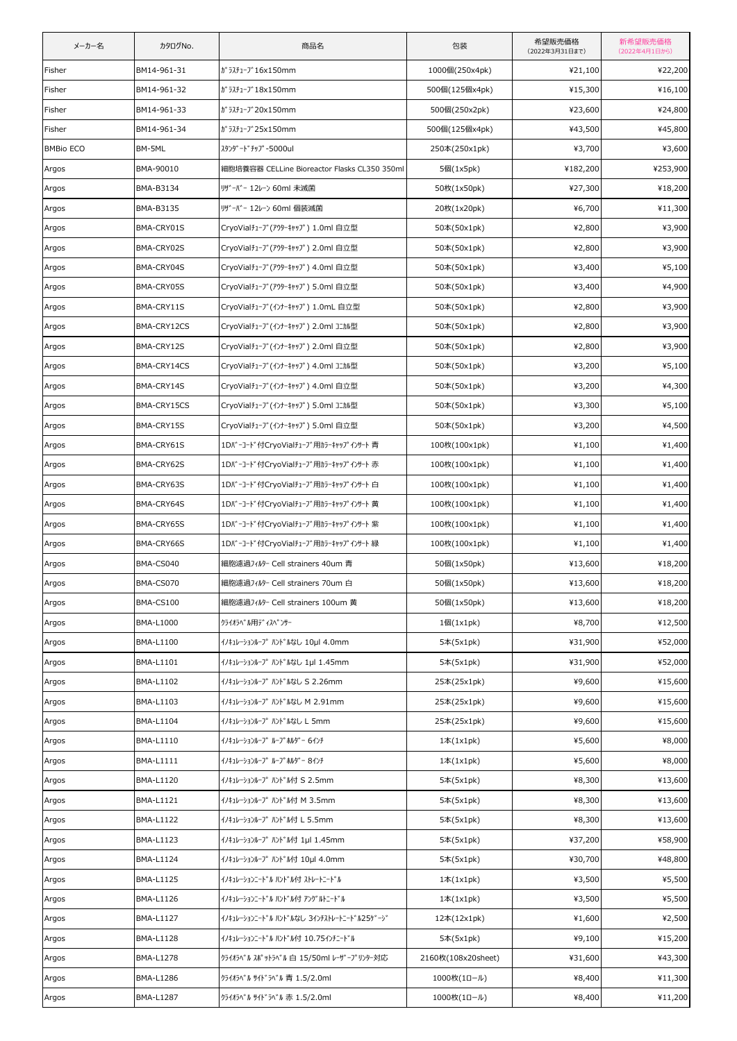| メーカー名            | カタログNo.     | 商品名                                          | 包装                 | 希望販売価格<br>(2022年3月31日まで) | 新希望販売価格<br>(2022年4月1日から) |
|------------------|-------------|----------------------------------------------|--------------------|--------------------------|--------------------------|
| Fisher           | BM14-961-31 | ガラスチューブ16x150mm                              | 1000個(250x4pk)     | ¥21,100                  | ¥22,200                  |
| Fisher           | BM14-961-32 | ガラスチューブ18x150mm                              | 500個(125個x4pk)     | ¥15,300                  | ¥16,100                  |
| Fisher           | BM14-961-33 | ガラスチューブ20x150mm                              | 500個(250x2pk)      | ¥23,600                  | ¥24,800                  |
| Fisher           | BM14-961-34 | ガラスチューブ25x150mm                              | 500個(125個x4pk)     | ¥43,500                  | ¥45,800                  |
| <b>BMBio ECO</b> | BM-5ML      | スタンタ゛ート゛ チップ - 5000ul                        | 250本(250x1pk)      | ¥3,700                   | ¥3,600                   |
| Argos            | BMA-90010   | 細胞培養容器 CELLine Bioreactor Flasks CL350 350ml | 5個(1x5pk)          | ¥182,200                 | ¥253,900                 |
| Argos            | BMA-B3134   | リザーバー 12レーン 60ml 未滅菌                         | 50枚(1x50pk)        | ¥27,300                  | ¥18,200                  |
| Argos            | BMA-B3135   | リザーバー 12レーン 60ml 個装滅菌                        | 20枚(1x20pk)        | ¥6,700                   | ¥11,300                  |
| Argos            | BMA-CRY01S  | CryoVialチューブ(アウターキャップ) 1.0ml 自立型             | 50本(50x1pk)        | ¥2,800                   | ¥3,900                   |
| Argos            | BMA-CRY02S  | CryoVialチューブ(アウターキャップ) 2.0ml 自立型             | 50本(50x1pk)        | ¥2,800                   | ¥3,900                   |
| Argos            | BMA-CRY04S  | CryoVialチューブ(アウターキャップ) 4.0ml 自立型             | 50本(50x1pk)        | ¥3,400                   | ¥5,100                   |
| Argos            | BMA-CRY05S  | CryoVialチューブ(アウターキャップ) 5.0ml 自立型             | 50本(50x1pk)        | ¥3,400                   | ¥4,900                   |
| Argos            | BMA-CRY11S  | CryoVialチューブ(インナーキャップ) 1.0mL 自立型             | 50本(50x1pk)        | ¥2,800                   | ¥3,900                   |
| Argos            | BMA-CRY12CS | CryoVialチューブ(インナーキャップ) 2.0ml コニカル型           | 50本(50x1pk)        | ¥2,800                   | ¥3,900                   |
| Argos            | BMA-CRY12S  | CryoVialチューブ(インナーキャップ) 2.0ml 自立型             | 50本(50x1pk)        | ¥2,800                   | ¥3,900                   |
| Argos            | BMA-CRY14CS | CryoVialチューブ(インナーキャップ) 4.0ml コニカル型           | 50本(50x1pk)        | ¥3,200                   | ¥5,100                   |
| Argos            | BMA-CRY14S  | CryoVialチューブ(インナーキャップ) 4.0ml 自立型             | 50本(50x1pk)        | ¥3,200                   | ¥4,300                   |
| Argos            | BMA-CRY15CS | CryoVialチューブ(インナーキャップ) 5.0ml コニカル型           | 50本(50x1pk)        | ¥3,300                   | ¥5,100                   |
| Argos            | BMA-CRY15S  | CryoVialチューブ(インナーキャップ) 5.0ml 自立型             | 50本(50x1pk)        | ¥3,200                   | ¥4,500                   |
| Argos            | BMA-CRY61S  | 1Dバーコード付CryoVialチューブ用カラーキャップインサート 青          | 100枚(100x1pk)      | ¥1,100                   | ¥1,400                   |
| Argos            | BMA-CRY62S  | 1Dバーコード付CryoVialチューブ用カラーキャップインサート 赤          | 100枚(100x1pk)      | ¥1,100                   | ¥1,400                   |
| Argos            | BMA-CRY63S  | 1Dバーコード付CryoVialチューブ用カラーキャップインサート 白          | 100枚(100x1pk)      | ¥1,100                   | ¥1,400                   |
| Argos            | BMA-CRY64S  | 1Dバーコード付CryoVialチューブ用カラーキャップインサート 黄          | 100枚(100x1pk)      | ¥1,100                   | ¥1,400                   |
| Argos            | BMA-CRY65S  | 1Dバーコード付CryoVialチューブ用カラーキャップインサート 紫          | 100枚(100x1pk)      | ¥1,100                   | ¥1,400                   |
| Argos            | BMA-CRY66S  | 1Dバーコード付CryoVialチューブ用カラーキャップインサート 緑          | 100枚(100x1pk)      | ¥1,100                   | ¥1,400                   |
| Argos            | BMA-CS040   | 細胞濾過フィルター Cell strainers 40um 青              | 50個(1x50pk)        | ¥13,600                  | ¥18,200                  |
| Argos            | BMA-CS070   | 細胞濾過フィルター Cell strainers 70um 白              | 50個(1x50pk)        | ¥13,600                  | ¥18,200                  |
| Argos            | BMA-CS100   | 細胞濾過フィルター Cell strainers 100um 黄             | 50個(1x50pk)        | ¥13,600                  | ¥18,200                  |
| Argos            | BMA-L1000   | クライオラヘ゛ル用ディスヘ゜ンサー                            | 1個(1x1pk)          | ¥8,700                   | ¥12,500                  |
| Argos            | BMA-L1100   | イノキュレーションループ ハンドルなし 10µl 4.0mm               | 5本(5x1pk)          | ¥31,900                  | ¥52,000                  |
| Argos            | BMA-L1101   | イノキュレーションループ ルンド ルなし 1µl 1.45mm              | 5本(5x1pk)          | ¥31,900                  | ¥52,000                  |
| Argos            | BMA-L1102   | イノキュレーションループ ハンドルなし S 2.26mm                 | 25本(25x1pk)        | ¥9,600                   | ¥15,600                  |
| Argos            | BMA-L1103   | イノキュレーションループ ルンド ルなし M 2.91mm                | 25本(25x1pk)        | ¥9,600                   | ¥15,600                  |
| Argos            | BMA-L1104   | イノキュレーションループ ルンド ルなし L 5mm                   | 25本(25x1pk)        | ¥9,600                   | ¥15,600                  |
| Argos            | BMA-L1110   | イノキュレーションループ ループ れルダ゛ー 6インチ                  | $1$ 本 $(1x1pk)$    | ¥5,600                   | ¥8,000                   |
| Argos            | BMA-L1111   | イノキュレーションループ ループ れルダ゛ー 8インチ                  | $1$ 本 $(1x1pk)$    | ¥5,600                   | ¥8,000                   |
| Argos            | BMA-L1120   | イノキュレーションループ ルンドル付 S 2.5mm                   | 5本(5x1pk)          | ¥8,300                   | ¥13,600                  |
| Argos            | BMA-L1121   | イノキュレーションループ ハンドル付 M 3.5mm                   | 5本(5x1pk)          | ¥8,300                   | ¥13,600                  |
| Argos            | BMA-L1122   | イノキュレーションループ ハンドル付 L 5.5mm                   | 5本(5x1pk)          | ¥8,300                   | ¥13,600                  |
| Argos            | BMA-L1123   | イノキュレーションループ ハンドル付 1µl 1.45mm                | 5本(5x1pk)          | ¥37,200                  | ¥58,900                  |
| Argos            | BMA-L1124   | イノキュレーションループ ハンドル付 10µl 4.0mm                | 5本(5x1pk)          | ¥30,700                  | ¥48,800                  |
| Argos            | BMA-L1125   | イノキュレーションニードル ハンドル付 ストレートニードル                | $1$ 本 $(1x1pk)$    | ¥3,500                   | ¥5,500                   |
| Argos            | BMA-L1126   | イノキュレーションニート゛ル ハント゛ル付す アンク゛ルトニート゛ル           | $1$ 本 $(1x1pk)$    | ¥3,500                   | ¥5,500                   |
| Argos            | BMA-L1127   | イノキュレーションニート゛ル ハント゛ルなし 3インチストレートニート゛ル25ケ゛ーシ゛ | 12本(12x1pk)        | ¥1,600                   | ¥2,500                   |
| Argos            | BMA-L1128   | イノキュレーションニードル ハンドル付 10.75インチニードル             | 5本(5x1pk)          | ¥9,100                   | ¥15,200                  |
| Argos            | BMA-L1278   | クライオラベル スポットラベル 白 15/50ml レーザープリンター対応        | 2160枚(108x20sheet) | ¥31,600                  | ¥43,300                  |
| Argos            | BMA-L1286   | クライオラベル サイドラベル 青 1.5/2.0ml                   | 1000枚(1ロール)        | ¥8,400                   | ¥11,300                  |
| Argos            | BMA-L1287   | クライオラベル サイドラベル 赤 1.5/2.0ml                   | 1000枚(1ロール)        | ¥8,400                   | ¥11,200                  |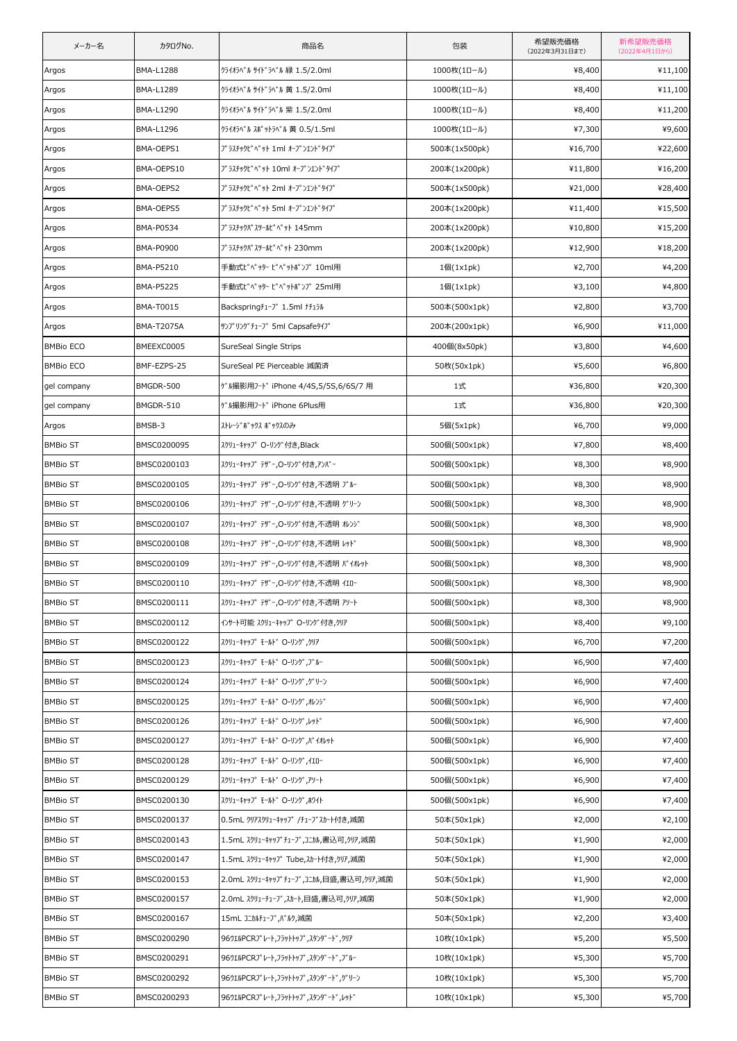| メーカー名            | カタログNo.           | 商品名                                    | 包装              | 希望販売価格<br>(2022年3月31日まで) | 新希望販売価格<br>(2022年4月1日から) |
|------------------|-------------------|----------------------------------------|-----------------|--------------------------|--------------------------|
| Argos            | <b>BMA-L1288</b>  | クライオラベル サイドラベル 緑 1.5/2.0ml             | 1000枚(1ロール)     | ¥8,400                   | ¥11,100                  |
| Argos            | BMA-L1289         | クライオラベル サイドラベル 黄 1.5/2.0ml             | 1000枚(1ロール)     | ¥8,400                   | ¥11,100                  |
| Argos            | BMA-L1290         | クライオラベル サイドラベル 紫 1.5/2.0ml             | 1000枚(1ロール)     | ¥8,400                   | ¥11,200                  |
| Argos            | BMA-L1296         | クライオラベル スポットラベル 黄 0.5/1.5ml            | 1000枚(1ロール)     | ¥7,300                   | ¥9,600                   |
| Argos            | BMA-OEPS1         | プラスチックピペット 1ml オープンエンドタイプ              | 500本(1x500pk)   | ¥16,700                  | ¥22,600                  |
| Argos            | BMA-OEPS10        | プラスチックピペット 10ml オープンエンドタイプ             | 200本(1x200pk)   | ¥11,800                  | ¥16,200                  |
| Argos            | BMA-OEPS2         | プラスチックピペット 2ml オープンエンドタイプ              | 500本(1x500pk)   | ¥21,000                  | ¥28,400                  |
| Argos            | BMA-OEPS5         | プラスチックピペット 5ml オープンエンドタイプ              | 200本(1x200pk)   | ¥11,400                  | ¥15,500                  |
| Argos            | BMA-P0534         | プラスチックパスツールピペット 145mm                  | 200本(1x200pk)   | ¥10,800                  | ¥15,200                  |
| Argos            | BMA-P0900         | プラスチックパスツールピペット 230mm                  | 200本(1x200pk)   | ¥12,900                  | ¥18,200                  |
| Argos            | <b>BMA-P5210</b>  | 手動式ピペッター ピペットポンプ 10ml用                 | $1$ 個 $(1x1pk)$ | ¥2,700                   | ¥4,200                   |
| Argos            | <b>BMA-P5225</b>  | 手動式ピペッター ピペットポンプ 25ml用                 | 1個(1x1pk)       | ¥3,100                   | ¥4,800                   |
| Argos            | BMA-T0015         | Backspringf1-7" 1.5ml +f15ll           | 500本(500x1pk)   | ¥2,800                   | ¥3,700                   |
| Argos            | <b>BMA-T2075A</b> | サンプリング チューブ 5ml Capsafeタイプ             | 200本(200x1pk)   | ¥6,900                   | ¥11,000                  |
| <b>BMBio ECO</b> | BMEEXC0005        | SureSeal Single Strips                 | 400個(8x50pk)    | ¥3,800                   | ¥4,600                   |
| <b>BMBio ECO</b> | BMF-EZPS-25       | SureSeal PE Pierceable 減菌済             | 50枚(50x1pk)     | ¥5,600                   | ¥6,800                   |
| gel company      | BMGDR-500         | ゲル撮影用フード iPhone 4/4S,5/5S,6/6S/7 用     | 1式              | ¥36,800                  | ¥20,300                  |
| gel company      | BMGDR-510         | ゲル撮影用フード iPhone 6Plus用                 | 1式              | ¥36,800                  | ¥20,300                  |
| Argos            | BMSB-3            | ストレージ゛ボックス ボックスのみ                      | 5個(5x1pk)       | ¥6,700                   | ¥9,000                   |
| <b>BMBio ST</b>  | BMSC0200095       | スクリューキャップ O-リング付き,Black                | 500個(500x1pk)   | ¥7,800                   | ¥8,400                   |
| <b>BMBio ST</b>  | BMSC0200103       | スクリューキャップ テザー,O-リング付き,アンバー             | 500個(500x1pk)   | ¥8,300                   | ¥8,900                   |
| <b>BMBio ST</b>  | BMSC0200105       | スクリューキャップ テザー,O-リング付き,不透明 ブルー          | 500個(500x1pk)   | ¥8,300                   | ¥8,900                   |
| <b>BMBio ST</b>  | BMSC0200106       | スクリューキャップ テザー,O-リング付き,不透明 グリーン         | 500個(500x1pk)   | ¥8,300                   | ¥8,900                   |
| <b>BMBio ST</b>  | BMSC0200107       | スクリューキャップ テザー,O-リング付き,不透明 オレンジ         | 500個(500x1pk)   | ¥8,300                   | ¥8,900                   |
| <b>BMBio ST</b>  | BMSC0200108       | スクリューキャップ テザー,O-リング付き,不透明 レッド          | 500個(500x1pk)   | ¥8,300                   | ¥8,900                   |
| <b>BMBio ST</b>  | BMSC0200109       | スクリューキャップ テザー,O-リング付き,不透明 バイオレット       | 500個(500x1pk)   | ¥8,300                   | ¥8,900                   |
| <b>BMBio ST</b>  | BMSC0200110       | スクリューキャップ テザー,O-リング付き,不透明 イエロー         | 500個(500x1pk)   | ¥8,300                   | ¥8,900                   |
| <b>BMBio ST</b>  | BMSC0200111       | スクリューキャップ テザー,O-リング付き,不透明 アソート         | 500個(500x1pk)   | ¥8,300                   | ¥8,900                   |
| <b>BMBio ST</b>  | BMSC0200112       | インサート可能 スクリューキャップ O-リング付き,クリア          | 500個(500x1pk)   | ¥8,400                   | ¥9,100                   |
| <b>BMBio ST</b>  | BMSC0200122       | スクリューキャッフ° モールト゛ 〇-リンク゛,クリア            | 500個(500x1pk)   | ¥6,700                   | ¥7,200                   |
| <b>BMBio ST</b>  | BMSC0200123       | スクリューキャッフ° モールト゛ 〇-リンク゛,ブル-            | 500個(500x1pk)   | ¥6,900                   | ¥7,400                   |
| <b>BMBio ST</b>  | BMSC0200124       | スクリューキャップ モールト O-リング ,グリーン             | 500個(500x1pk)   | ¥6,900                   | ¥7,400                   |
| <b>BMBio ST</b>  | BMSC0200125       | スクリューキャッフ° モールト゛ 〇-リング',れレンジ           | 500個(500x1pk)   | ¥6,900                   | ¥7,400                   |
| <b>BMBio ST</b>  | BMSC0200126       | スクリューキャッフ° モールト゛ O-リング゛,レット゛           | 500個(500x1pk)   | ¥6,900                   | ¥7,400                   |
| <b>BMBio ST</b>  | BMSC0200127       | スクリューキャッフ° モールト゛ 〇ーリング', バ イオレット       | 500個(500x1pk)   | ¥6,900                   | ¥7,400                   |
| <b>BMBio ST</b>  | BMSC0200128       | スクリューキャップ モールド Oーリング,イエロー              | 500個(500x1pk)   | ¥6,900                   | ¥7,400                   |
| <b>BMBio ST</b>  | BMSC0200129       | スクリューキャップ モールト゛ 〇ーリング゛,アソート            | 500個(500x1pk)   | ¥6,900                   | ¥7,400                   |
| <b>BMBio ST</b>  | BMSC0200130       | スクリューキャップ モールト゛ 〇-リング ,ホワイト            | 500個(500x1pk)   | ¥6,900                   | ¥7,400                   |
| <b>BMBio ST</b>  | BMSC0200137       | 0.5mL クリアスクリューキャップ /チューブスカート付き,滅菌      | 50本(50x1pk)     | ¥2,000                   | ¥2,100                   |
| <b>BMBio ST</b>  | BMSC0200143       | 1.5mL スクリューキャップチューブ,コニカル,書込可,クリア,滅菌    | 50本(50x1pk)     | ¥1,900                   | ¥2,000                   |
| <b>BMBio ST</b>  | BMSC0200147       | 1.5mL スクリューキャップ Tube,スカート付き,クリア,滅菌     | 50本(50x1pk)     | ¥1,900                   | ¥2,000                   |
| <b>BMBio ST</b>  | BMSC0200153       | 2.0mL スクリューキャップチューブ,コニカル,目盛,書込可,クリア,滅菌 | 50本(50x1pk)     | ¥1,900                   | ¥2,000                   |
| <b>BMBio ST</b>  | BMSC0200157       | 2.0mL スクリューチューブ,スカート,目盛,書込可,クリア,滅菌     | 50本(50x1pk)     | ¥1,900                   | ¥2,000                   |
| <b>BMBio ST</b>  | BMSC0200167       | 15mL コニカルチューブ,バルク,滅菌                   | 50本(50x1pk)     | ¥2,200                   | ¥3,400                   |
| <b>BMBio ST</b>  | BMSC0200290       | 96ウエルPCRプレート,フラットトップ,スタンダード,クリア        | 10枚(10x1pk)     | ¥5,200                   | ¥5,500                   |
| <b>BMBio ST</b>  | BMSC0200291       | 96ウエルPCRプレート,フラットトップ,スタンダード,ブルー        | 10枚(10x1pk)     | ¥5,300                   | ¥5,700                   |
| <b>BMBio ST</b>  | BMSC0200292       | 96ウエルPCRプレート,フラットトップ,スタンダード,グリーン       | 10枚(10x1pk)     | ¥5,300                   | ¥5,700                   |
| <b>BMBio ST</b>  | BMSC0200293       | 96ウエルPCRプレート,フラットトップ,スタンダード,レッド        | 10枚(10x1pk)     | ¥5,300                   | ¥5,700                   |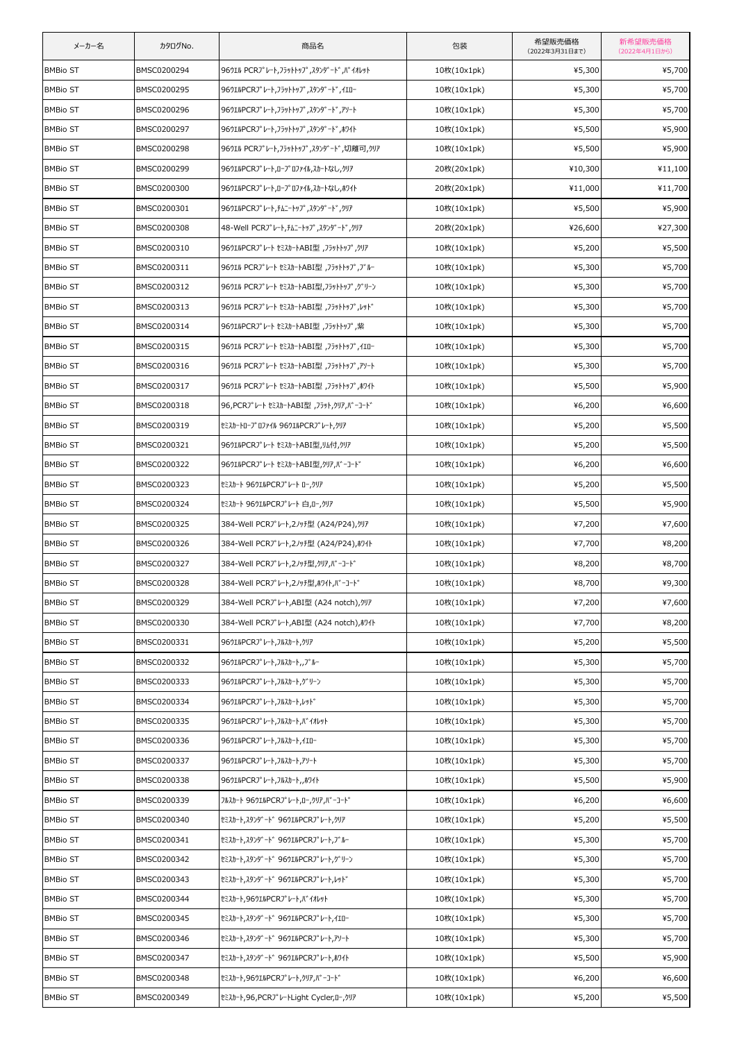| メーカー名           | カタログNo.     | 商品名                                    | 包装          | 希望販売価格<br>(2022年3月31日まで) | 新希望販売価格<br>(2022年4月1日から) |
|-----------------|-------------|----------------------------------------|-------------|--------------------------|--------------------------|
| <b>BMBio ST</b> | BMSC0200294 | 96ウエル PCRプレート,フラットトップ,スタンダード,バイオレット    | 10枚(10x1pk) | ¥5,300                   | ¥5,700                   |
| <b>BMBio ST</b> | BMSC0200295 | 96ウエルPCRプレート,フラットトップ,スタンダード,イエロー       | 10枚(10x1pk) | ¥5,300                   | ¥5,700                   |
| <b>BMBio ST</b> | BMSC0200296 | 96ウエルPCRプレート,フラットトップ,スタンダード,アソート       | 10枚(10x1pk) | ¥5,300                   | ¥5,700                   |
| <b>BMBio ST</b> | BMSC0200297 | 96ウエルPCRプレート,フラットトップ,スタンダード,ホワイト       | 10枚(10x1pk) | ¥5,500                   | ¥5,900                   |
| <b>BMBio ST</b> | BMSC0200298 | 96ウエル PCRプレート,フラットトップ,スタンダード,切離可,クリア   | 10枚(10x1pk) | ¥5,500                   | ¥5,900                   |
| <b>BMBio ST</b> | BMSC0200299 | 96ウエルPCRプレート,ロープロファイル,スカートなし,クリア       | 20枚(20x1pk) | ¥10,300                  | ¥11,100                  |
| <b>BMBio ST</b> | BMSC0200300 | 96ウエルPCRプレート,ロープロファイル,スカートなし,ホワイト      | 20枚(20x1pk) | ¥11,000                  | ¥11,700                  |
| <b>BMBio ST</b> | BMSC0200301 | 96ウエルPCRプレート,チムニートップ,スタンダード,クリア        | 10枚(10x1pk) | ¥5,500                   | ¥5,900                   |
| <b>BMBio ST</b> | BMSC0200308 | 48-Well PCRプレート,チムニートップ,スタンダード,クリア     | 20枚(20x1pk) | ¥26,600                  | ¥27,300                  |
| <b>BMBio ST</b> | BMSC0200310 | 96ウエルPCRプレート セミスカートABI型 ,フラットトップ,クリア   | 10枚(10x1pk) | ¥5,200                   | ¥5,500                   |
| <b>BMBio ST</b> | BMSC0200311 | 96ウエル PCRプレート セミスカートABI型 ,フラットトップ,ブルー  | 10枚(10x1pk) | ¥5,300                   | ¥5,700                   |
| <b>BMBio ST</b> | BMSC0200312 | 96ウエル PCRプレート セミスカートABI型,フラットトップ,グリーン  | 10枚(10x1pk) | ¥5,300                   | ¥5,700                   |
| <b>BMBio ST</b> | BMSC0200313 | 96ウエル PCRプレート セミスカートABI型 ,フラットトップ,レッド  | 10枚(10x1pk) | ¥5,300                   | ¥5,700                   |
| <b>BMBio ST</b> | BMSC0200314 | 96ウエルPCRプレート セミスカートABI型 ,フラットトップ,紫     | 10枚(10x1pk) | ¥5,300                   | ¥5,700                   |
| <b>BMBio ST</b> | BMSC0200315 | 96ウエル PCRプレート セミスカートABI型 ,フラットトップ,イエロー | 10枚(10x1pk) | ¥5,300                   | ¥5,700                   |
| <b>BMBio ST</b> | BMSC0200316 | 96ウエル PCRプレート セミスカートABI型 ,フラットトップ,アソート | 10枚(10x1pk) | ¥5,300                   | ¥5,700                   |
| <b>BMBio ST</b> | BMSC0200317 | 96ウエル PCRプレート セミスカートABI型 ,フラットトップ,ホワイト | 10枚(10x1pk) | ¥5,500                   | ¥5,900                   |
| <b>BMBio ST</b> | BMSC0200318 | 96, PCRプレート セミスカートABI型, フラット,クリア,バーコード | 10枚(10x1pk) | ¥6,200                   | ¥6,600                   |
| <b>BMBio ST</b> | BMSC0200319 | セミスカートロープロファイル 96ウエルPCRプレート,クリア        | 10枚(10x1pk) | ¥5,200                   | ¥5,500                   |
| <b>BMBio ST</b> | BMSC0200321 | 96ウエルPCRプレート セミスカートABI型,リム付,クリア        | 10枚(10x1pk) | ¥5,200                   | ¥5,500                   |
| <b>BMBio ST</b> | BMSC0200322 | 96ウエルPCRプレート セミスカートABI型,クリア,バーコード      | 10枚(10x1pk) | ¥6,200                   | ¥6,600                   |
| <b>BMBio ST</b> | BMSC0200323 | セミスカート 96ウエルPCRプレート ロー,クリア             | 10枚(10x1pk) | ¥5,200                   | ¥5,500                   |
| <b>BMBio ST</b> | BMSC0200324 | セミスカート 96ウエルPCRプレート 白,ロー,クリア           | 10枚(10x1pk) | ¥5,500                   | ¥5,900                   |
| <b>BMBio ST</b> | BMSC0200325 | 384-Well PCRプレート,2ノッチ型 (A24/P24),クリア   | 10枚(10x1pk) | ¥7,200                   | ¥7,600                   |
| <b>BMBio ST</b> | BMSC0200326 | 384-Well PCRプレート,2ノッチ型 (A24/P24),ホワイト  | 10枚(10x1pk) | ¥7,700                   | ¥8,200                   |
| <b>BMBio ST</b> | BMSC0200327 | 384-Well PCRプレート,2ノッチ型,クリア,バーコード       | 10枚(10x1pk) | ¥8,200                   | ¥8,700                   |
| <b>BMBio ST</b> | BMSC0200328 | 384-Well PCRプレート,2ノッチ型,ホワイト,バーコード      | 10枚(10x1pk) | ¥8,700                   | ¥9,300                   |
| <b>BMBio ST</b> | BMSC0200329 | 384-Well PCRJ°レート,ABI型 (A24 notch),クリア | 10枚(10x1pk) | ¥7,200                   | ¥7,600                   |
| <b>BMBio ST</b> | BMSC0200330 | 384-Well PCRプレート,ABI型 (A24 notch),ホワイト | 10枚(10x1pk) | ¥7,700                   | ¥8,200                   |
| <b>BMBio ST</b> | BMSC0200331 | 96ウエルPCRプレート,フルスカート,クリア                | 10枚(10x1pk) | ¥5,200                   | ¥5,500                   |
| <b>BMBio ST</b> | BMSC0200332 | 96ウエルPCRプレート,フルスカート,,ブルー               | 10枚(10x1pk) | ¥5,300                   | ¥5,700                   |
| <b>BMBio ST</b> | BMSC0200333 | 96ウエルPCRプレート,フルスカート,グリーン               | 10枚(10x1pk) | ¥5,300                   | ¥5,700                   |
| <b>BMBio ST</b> | BMSC0200334 | 96ウエルPCRプレート,フルスカート,レッド                | 10枚(10x1pk) | ¥5,300                   | ¥5,700                   |
| <b>BMBio ST</b> | BMSC0200335 | 96ウエルPCRプレート,フルスカート,バイオレット             | 10枚(10x1pk) | ¥5,300                   | ¥5,700                   |
| <b>BMBio ST</b> | BMSC0200336 | 96ウエルPCRプレート,フルスカート,イエロー               | 10枚(10x1pk) | ¥5,300                   | ¥5,700                   |
| <b>BMBio ST</b> | BMSC0200337 | 96ウエルPCRプレート,フルスカート,アソート               | 10枚(10x1pk) | ¥5,300                   | ¥5,700                   |
| <b>BMBio ST</b> | BMSC0200338 | 96ウエルPCRプレート,フルスカート,,ホワイト              | 10枚(10x1pk) | ¥5,500                   | ¥5,900                   |
| <b>BMBio ST</b> | BMSC0200339 | フルスカート 96ウエルPCRプレート,ロー,クリア,バーコード       | 10枚(10x1pk) | ¥6,200                   | ¥6,600                   |
| <b>BMBio ST</b> | BMSC0200340 | セミスカート,スタンダード 96ウエルPCRプレート,クリア         | 10枚(10x1pk) | ¥5,200                   | ¥5,500                   |
| <b>BMBio ST</b> | BMSC0200341 | セミスカート,スタンタ゛ート゛96ウエルPCRプレート,ブルー        | 10枚(10x1pk) | ¥5,300                   | ¥5,700                   |
| <b>BMBio ST</b> | BMSC0200342 | セミスカート,スタンタ゛ート゛96ウエルPCRプレート,グリーン       | 10枚(10x1pk) | ¥5,300                   | ¥5,700                   |
| <b>BMBio ST</b> | BMSC0200343 | tミスカート,スタンダ゛ート゛96ウエルPCRプレート,レッド        | 10枚(10x1pk) | ¥5,300                   | ¥5,700                   |
| <b>BMBio ST</b> | BMSC0200344 | セミスカート,96ウエルPCRプレート,バイオレット             | 10枚(10x1pk) | ¥5,300                   | ¥5,700                   |
| <b>BMBio ST</b> | BMSC0200345 | tミスカート,スタンタ゛ート゛96ウエルPCRプレート,イエロー       | 10枚(10x1pk) | ¥5,300                   | ¥5,700                   |
| <b>BMBio ST</b> | BMSC0200346 | tミスカート,スタンダ゛ート゛96ウエルPCRプレート,アソート       | 10枚(10x1pk) | ¥5,300                   | ¥5,700                   |
| <b>BMBio ST</b> | BMSC0200347 | セミスカート,スタンダード 96ウエルPCRプレート,ホワイト        | 10枚(10x1pk) | ¥5,500                   | ¥5,900                   |
| <b>BMBio ST</b> | BMSC0200348 | tミスカート,96ウエルPCRプレート,クリア,バーコード          | 10枚(10x1pk) | ¥6,200                   | ¥6,600                   |
| <b>BMBio ST</b> | BMSC0200349 | tミスカート,96,PCRプレートLight Cycler,ロー,クリア   | 10枚(10x1pk) | ¥5,200                   | ¥5,500                   |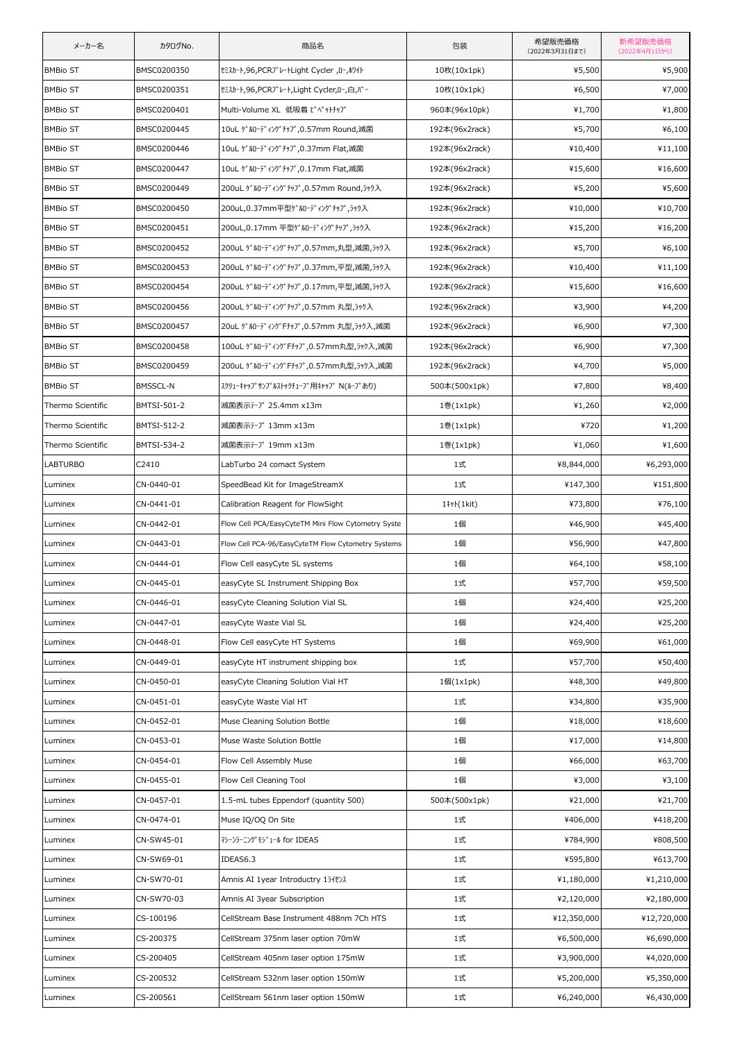| メーカー名             | カタログNo.         | 商品名                                                | 包装             | 希望販売価格<br>(2022年3月31日まで) | 新希望販売価格<br>(2022年4月1日から) |
|-------------------|-----------------|----------------------------------------------------|----------------|--------------------------|--------------------------|
| <b>BMBio ST</b>   | BMSC0200350     | tミスカート,96,PCRプレートLight Cycler ,ロー,ホワイト             | 10枚(10x1pk)    | ¥5,500                   | ¥5,900                   |
| <b>BMBio ST</b>   | BMSC0200351     | セミスカート,96,PCRプレート,Light Cycler,ロー,白,バー             | 10枚(10x1pk)    | ¥6,500                   | ¥7,000                   |
| <b>BMBio ST</b>   | BMSC0200401     | Multi-Volume XL 低吸着 ピペットチップ                        | 960本(96x10pk)  | ¥1,700                   | ¥1,800                   |
| <b>BMBio ST</b>   | BMSC0200445     | 10uL ゲルローディングチップ,0.57mm Round,滅菌                   | 192本(96x2rack) | ¥5,700                   | ¥6,100                   |
| <b>BMBio ST</b>   | BMSC0200446     | 10uL ゲルローディングチップ,0.37mm Flat,滅菌                    | 192本(96x2rack) | ¥10,400                  | ¥11,100                  |
| <b>BMBio ST</b>   | BMSC0200447     | 10uL ゲルローディングチップ,0.17mm Flat,滅菌                    | 192本(96x2rack) | ¥15,600                  | ¥16,600                  |
| <b>BMBio ST</b>   | BMSC0200449     | 200uL ゲルローディングチップ,0.57mm Round,ラック入                | 192本(96x2rack) | ¥5,200                   | ¥5,600                   |
| <b>BMBio ST</b>   | BMSC0200450     | 200uL,0.37mm平型ゲルローディングチップ,ラック入                     | 192本(96x2rack) | ¥10,000                  | ¥10,700                  |
| <b>BMBio ST</b>   | BMSC0200451     | 200uL,0.17mm 平型ゲルローディングチップ,ラック入                    | 192本(96x2rack) | ¥15,200                  | ¥16,200                  |
| <b>BMBio ST</b>   | BMSC0200452     | 200uL ゲルローディングチップ,0.57mm,丸型,滅菌,ラック入                | 192本(96x2rack) | ¥5,700                   | ¥6,100                   |
| <b>BMBio ST</b>   | BMSC0200453     | 200uL ゲルローディングチップ,0.37mm,平型,滅菌,ラック入                | 192本(96x2rack) | ¥10,400                  | ¥11,100                  |
| <b>BMBio ST</b>   | BMSC0200454     | 200uL ゲルローディングチップ,0.17mm,平型,滅菌,ラック入                | 192本(96x2rack) | ¥15,600                  | ¥16,600                  |
| <b>BMBio ST</b>   | BMSC0200456     | 200uL ゲルローディングチップ,0.57mm 丸型,ラック入                   | 192本(96x2rack) | ¥3,900                   | ¥4,200                   |
| <b>BMBio ST</b>   | BMSC0200457     | 20uL ゲルローディングFチップ,0.57mm 丸型,ラック入,滅菌                | 192本(96x2rack) | ¥6,900                   | ¥7,300                   |
| <b>BMBio ST</b>   | BMSC0200458     | 100uL ゲルローディングFチップ,0.57mm丸型,ラック入,滅菌                | 192本(96x2rack) | ¥6,900                   | ¥7,300                   |
| <b>BMBio ST</b>   | BMSC0200459     | 200uL ゲルローディングFチップ,0.57mm丸型,ラック入,滅菌                | 192本(96x2rack) | ¥4,700                   | ¥5,000                   |
| <b>BMBio ST</b>   | <b>BMSSCL-N</b> | スクリューキャッフ° サンフ° ルストックチューフ゛用キャッフ゜ N(ルーフ° あり)        | 500本(500x1pk)  | ¥7,800                   | ¥8,400                   |
| Thermo Scientific | BMTSI-501-2     | 滅菌表示テープ 25.4mm x13m                                | 1巻(1x1pk)      | ¥1,260                   | ¥2,000                   |
| Thermo Scientific | BMTSI-512-2     | 滅菌表示テープ 13mm x13m                                  | 1巻(1x1pk)      | ¥720                     | ¥1,200                   |
| Thermo Scientific | BMTSI-534-2     | 滅菌表示テープ 19mm x13m                                  | 1巻(1x1pk)      | ¥1,060                   | ¥1,600                   |
| <b>LABTURBO</b>   | C2410           | LabTurbo 24 comact System                          | 1式             | ¥8,844,000               | ¥6,293,000               |
| Luminex           | CN-0440-01      | SpeedBead Kit for ImageStreamX                     | 1式             | ¥147,300                 | ¥151,800                 |
| Luminex           | CN-0441-01      | Calibration Reagent for FlowSight                  | 1‡y}(1kit)     | ¥73,800                  | ¥76,100                  |
| Luminex           | CN-0442-01      | Flow Cell PCA/EasyCyteTM Mini Flow Cytometry Syste | 1個             | ¥46,900                  | ¥45,400                  |
| Luminex           | CN-0443-01      | Flow Cell PCA-96/EasyCyteTM Flow Cytometry Systems | 1個             | ¥56,900                  | ¥47,800                  |
| Luminex           | CN-0444-01      | Flow Cell easyCyte SL systems                      | 1個             | ¥64,100                  | ¥58,100                  |
| Luminex           | CN-0445-01      | easyCyte SL Instrument Shipping Box                | 1式             | ¥57,700                  | ¥59,500                  |
| Luminex           | CN-0446-01      | easyCyte Cleaning Solution Vial SL                 | 1個             | ¥24,400                  | ¥25,200                  |
| Luminex           | CN-0447-01      | easyCyte Waste Vial SL                             | 1個             | ¥24,400                  | ¥25,200                  |
| Luminex           | CN-0448-01      | Flow Cell easyCyte HT Systems                      | 1個             | ¥69,900                  | ¥61,000                  |
| Luminex           | CN-0449-01      | easyCyte HT instrument shipping box                | 1式             | ¥57,700                  | ¥50,400                  |
| Luminex           | CN-0450-01      | easyCyte Cleaning Solution Vial HT                 | 1個(1x1pk)      | ¥48,300                  | ¥49,800                  |
| Luminex           | CN-0451-01      | easyCyte Waste Vial HT                             | 1式             | ¥34,800                  | ¥35,900                  |
| Luminex           | CN-0452-01      | Muse Cleaning Solution Bottle                      | 1個             | ¥18,000                  | ¥18,600                  |
| Luminex           | CN-0453-01      | Muse Waste Solution Bottle                         | 1個             | ¥17,000                  | ¥14,800                  |
| Luminex           | CN-0454-01      | Flow Cell Assembly Muse                            | 1個             | ¥66,000                  | ¥63,700                  |
| Luminex           | CN-0455-01      | Flow Cell Cleaning Tool                            | 1個             | ¥3,000                   | ¥3,100                   |
| Luminex           | CN-0457-01      | 1.5-mL tubes Eppendorf (quantity 500)              | 500本(500x1pk)  | ¥21,000                  | ¥21,700                  |
| Luminex           | CN-0474-01      | Muse IQ/OQ On Site                                 | 1式             | ¥406,000                 | ¥418,200                 |
| Luminex           | CN-SW45-01      | マシーンラーニング゛モシ゛ュール for IDEAS                         | 1式             | ¥784,900                 | ¥808,500                 |
| Luminex           | CN-SW69-01      | IDEAS6.3                                           | 1式             | ¥595,800                 | ¥613,700                 |
| Luminex           | CN-SW70-01      | Amnis AI 1year Introductry 15イセンス                  | 1式             | ¥1,180,000               | ¥1,210,000               |
| Luminex           | CN-SW70-03      | Amnis AI 3year Subscription                        | 1式             | ¥2,120,000               | ¥2,180,000               |
| Luminex           | CS-100196       | CellStream Base Instrument 488nm 7Ch HTS           | 1式             | ¥12,350,000              | ¥12,720,000              |
| Luminex           | CS-200375       | CellStream 375nm laser option 70mW                 | 1式             | ¥6,500,000               | ¥6,690,000               |
| Luminex           | CS-200405       | CellStream 405nm laser option 175mW                | 1式             | ¥3,900,000               | ¥4,020,000               |
| Luminex           | CS-200532       | CellStream 532nm laser option 150mW                | 1式             | ¥5,200,000               | ¥5,350,000               |
| Luminex           | CS-200561       | CellStream 561nm laser option 150mW                | 1式             | ¥6,240,000               | ¥6,430,000               |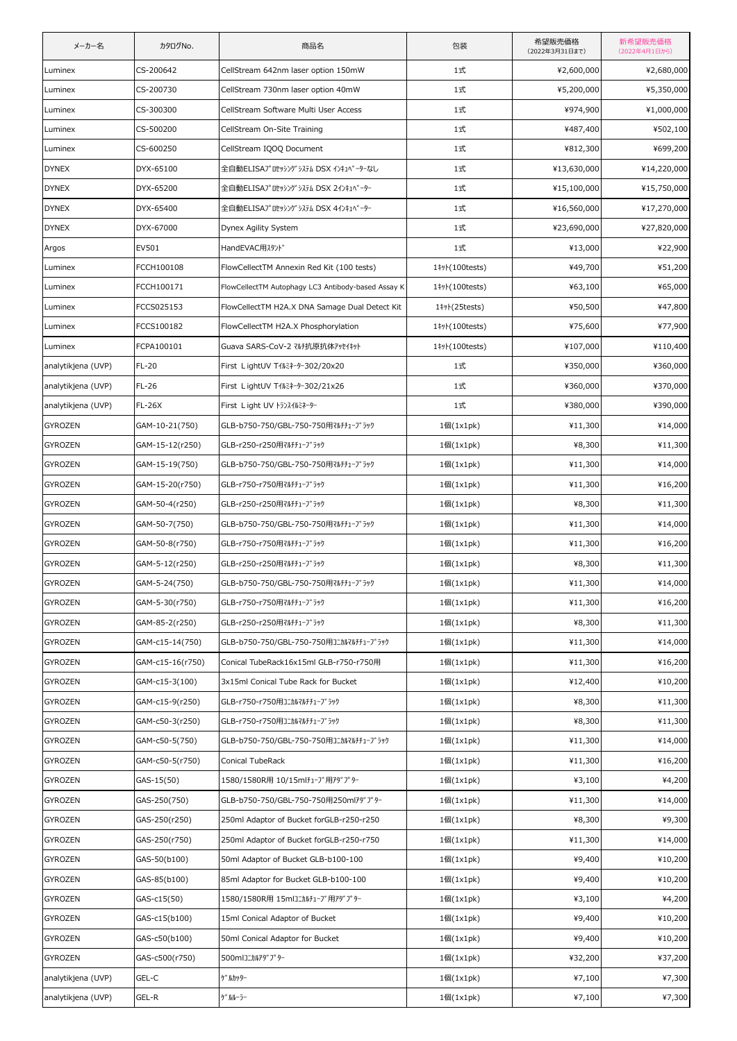| メーカー名              | カタログNo.          | 商品名                                                | 包装                         | 希望販売価格<br>(2022年3月31日まで) | 新希望販売価格<br>(2022年4月1日から) |
|--------------------|------------------|----------------------------------------------------|----------------------------|--------------------------|--------------------------|
| Luminex            | CS-200642        | CellStream 642nm laser option 150mW                | 1式                         | ¥2,600,000               | ¥2,680,000               |
| Luminex            | CS-200730        | CellStream 730nm laser option 40mW                 | 1式                         | ¥5,200,000               | ¥5,350,000               |
| Luminex            | CS-300300        | CellStream Software Multi User Access              | 1式                         | ¥974,900                 | ¥1,000,000               |
| Luminex            | CS-500200        | CellStream On-Site Training                        | 1式                         | ¥487,400                 | ¥502,100                 |
| Luminex            | CS-600250        | CellStream IQOQ Document                           | 1式                         | ¥812,300                 | ¥699,200                 |
| <b>DYNEX</b>       | DYX-65100        | 全自動ELISAプロセッシングシステム DSX インキュベーターなし                 | 1式                         | ¥13,630,000              | ¥14,220,000              |
| <b>DYNEX</b>       | DYX-65200        | 全自動ELISAプロセッシングシステム DSX 2インキュベーター                  | 1式                         | ¥15,100,000              | ¥15,750,000              |
| <b>DYNEX</b>       | DYX-65400        | 全自動ELISAプロセッシングシステム DSX 4インキュベーター                  | 1式                         | ¥16,560,000              | ¥17,270,000              |
| <b>DYNEX</b>       | DYX-67000        | Dynex Agility System                               | 1式                         | ¥23,690,000              | ¥27,820,000              |
| Argos              | EV501            | HandEVAC用スタント゛                                     | 1式                         | ¥13,000                  | ¥22,900                  |
| Luminex            | FCCH100108       | FlowCellectTM Annexin Red Kit (100 tests)          | 1# (100tests)              | ¥49,700                  | ¥51,200                  |
| Luminex            | FCCH100171       | FlowCellectTM Autophagy LC3 Antibody-based Assay K | 1# (100tests)              | ¥63,100                  | ¥65,000                  |
| Luminex            | FCCS025153       | FlowCellectTM H2A.X DNA Samage Dual Detect Kit     | $1 \frac{1}{2}$ (25 tests) | ¥50,500                  | ¥47,800                  |
| Luminex            | FCCS100182       | FlowCellectTM H2A.X Phosphorylation                | 1# (100tests)              | ¥75,600                  | ¥77,900                  |
| Luminex            | FCPA100101       | Guava SARS-CoV-2 マルチ抗原抗体アッセイキット                    | 1#y}(100tests)             | ¥107,000                 | ¥110,400                 |
| analytikjena (UVP) | FL-20            | First LightUV T1 / k2+9-302/20x20                  | 1式                         | ¥350,000                 | ¥360,000                 |
| analytikjena (UVP) | FL-26            | First LightUV T1 k2+9-302/21x26                    | 1式                         | ¥360,000                 | ¥370,000                 |
| analytikjena (UVP) | <b>FL-26X</b>    | First Light UV トランスイルミネーター                         | 1式                         | ¥380,000                 | ¥390,000                 |
| <b>GYROZEN</b>     | GAM-10-21(750)   | GLB-b750-750/GBL-750-750用マルチチューブラック                | 1個(1x1pk)                  | ¥11,300                  | ¥14,000                  |
| GYROZEN            | GAM-15-12(r250)  | GLB-r250-r250用マルチチューブラック                           | 1個(1x1pk)                  | ¥8,300                   | ¥11,300                  |
| GYROZEN            | GAM-15-19(750)   | GLB-b750-750/GBL-750-750用マルチチューブラック                | 1個(1x1pk)                  | ¥11,300                  | ¥14,000                  |
| <b>GYROZEN</b>     | GAM-15-20(r750)  | GLB-r750-r750用マルチチューブラック                           | 1個(1x1pk)                  | ¥11,300                  | ¥16,200                  |
| GYROZEN            | GAM-50-4(r250)   | GLB-r250-r250用マルチチューブラック                           | 1個(1x1pk)                  | ¥8,300                   | ¥11,300                  |
| <b>GYROZEN</b>     | GAM-50-7(750)    | GLB-b750-750/GBL-750-750用マルチチューブラック                | 1個(1x1pk)                  | ¥11,300                  | ¥14,000                  |
| GYROZEN            | GAM-50-8(r750)   | GLB-r750-r750用マルチチューブラック                           | 1個(1x1pk)                  | ¥11,300                  | ¥16,200                  |
| <b>GYROZEN</b>     | GAM-5-12(r250)   | GLB-r250-r250用マルチチューブラック                           | 1個(1x1pk)                  | ¥8,300                   | ¥11,300                  |
| <b>GYROZEN</b>     | GAM-5-24(750)    | GLB-b750-750/GBL-750-750用マルチチューブラック                | 1個(1x1pk)                  | ¥11,300                  | ¥14,000                  |
| GYROZEN            | GAM-5-30(r750)   | GLB-r750-r750用マルチチューブラック                           | 1個(1x1pk)                  | ¥11,300                  | ¥16,200                  |
| GYROZEN            | GAM-85-2(r250)   | GLB-r250-r250用マルチチューブラック                           | 1個(1x1pk)                  | ¥8,300                   | ¥11,300                  |
| GYROZEN            | GAM-c15-14(750)  | GLB-b750-750/GBL-750-750用コニカルマルチチューブラック            | 1個(1x1pk)                  | ¥11,300                  | ¥14,000                  |
| GYROZEN            | GAM-c15-16(r750) | Conical TubeRack16x15ml GLB-r750-r750用             | 1個(1x1pk)                  | ¥11,300                  | ¥16,200                  |
| GYROZEN            | GAM-c15-3(100)   | 3x15ml Conical Tube Rack for Bucket                | 1個(1x1pk)                  | ¥12,400                  | ¥10,200                  |
| GYROZEN            | GAM-c15-9(r250)  | GLB-r750-r750用コニカルマルチチューブラック                       | 1個(1x1pk)                  | ¥8,300                   | ¥11,300                  |
| GYROZEN            | GAM-c50-3(r250)  | GLB-r750-r750用コニカルマルチチューブラック                       | 1個(1x1pk)                  | ¥8,300                   | ¥11,300                  |
| <b>GYROZEN</b>     | GAM-c50-5(750)   | GLB-b750-750/GBL-750-750用コニカルマルチチューブラック            | 1個(1x1pk)                  | ¥11,300                  | ¥14,000                  |
| GYROZEN            | GAM-c50-5(r750)  | Conical TubeRack                                   | 1個(1x1pk)                  | ¥11,300                  | ¥16,200                  |
| GYROZEN            | GAS-15(50)       | 1580/1580R用 10/15mlチューブ用アダプター                      | 1個(1x1pk)                  | ¥3,100                   | ¥4,200                   |
| GYROZEN            | GAS-250(750)     | GLB-b750-750/GBL-750-750用250mlアダプター                | 1個(1x1pk)                  | ¥11,300                  | ¥14,000                  |
| GYROZEN            | GAS-250(r250)    | 250ml Adaptor of Bucket forGLB-r250-r250           | 1個(1x1pk)                  | ¥8,300                   | ¥9,300                   |
| GYROZEN            | GAS-250(r750)    | 250ml Adaptor of Bucket forGLB-r250-r750           | 1個(1x1pk)                  | ¥11,300                  | ¥14,000                  |
| GYROZEN            | GAS-50(b100)     | 50ml Adaptor of Bucket GLB-b100-100                | 1個(1x1pk)                  | ¥9,400                   | ¥10,200                  |
| GYROZEN            | GAS-85(b100)     | 85ml Adaptor for Bucket GLB-b100-100               | 1個(1x1pk)                  | ¥9,400                   | ¥10,200                  |
| GYROZEN            | GAS-c15(50)      | 1580/1580R用 15mlコニカルチューブ用アダプター                     | 1個(1x1pk)                  | ¥3,100                   | ¥4,200                   |
| GYROZEN            | GAS-c15(b100)    | 15ml Conical Adaptor of Bucket                     | 1個(1x1pk)                  | ¥9,400                   | ¥10,200                  |
| GYROZEN            | GAS-c50(b100)    | 50ml Conical Adaptor for Bucket                    | $1$ 個 $(1x1pk)$            | ¥9,400                   | ¥10,200                  |
| GYROZEN            | GAS-c500(r750)   | 500mlコニカルアダプター                                     | 1個(1x1pk)                  | ¥32,200                  | ¥37,200                  |
| analytikjena (UVP) | GEL-C            | ゲ゛ルカッター                                            | 1個(1x1pk)                  | ¥7,100                   | ¥7,300                   |
| analytikjena (UVP) | GEL-R            | ゲルルーラー                                             | 1個(1x1pk)                  | ¥7,100                   | ¥7,300                   |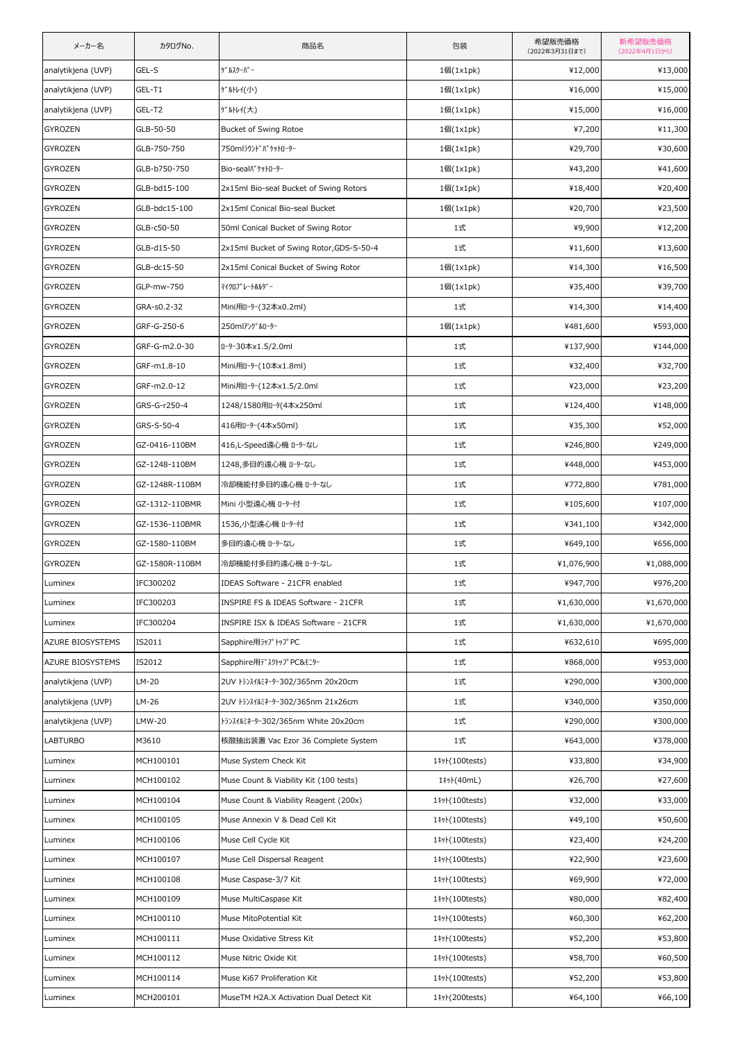| メーカー名                   | カタログNo.        | 商品名                                      | 包装             | 希望販売価格<br>(2022年3月31日まで) | 新希望販売価格<br>(2022年4月1日から) |
|-------------------------|----------------|------------------------------------------|----------------|--------------------------|--------------------------|
| analytikjena (UVP)      | GEL-S          | ケ゛ルスクーパ <sup>。</sup> ー                   | 1個(1x1pk)      | ¥12,000                  | ¥13,000                  |
| analytikjena (UVP)      | GEL-T1         | <b>ゲルトレイ(小)</b>                          | 1個(1x1pk)      | ¥16,000                  | ¥15,000                  |
| analytikjena (UVP)      | GEL-T2         | <b>ゲルトレイ(大)</b>                          | 1個(1x1pk)      | ¥15,000                  | ¥16,000                  |
| GYROZEN                 | GLB-50-50      | Bucket of Swing Rotoe                    | 1個(1x1pk)      | ¥7,200                   | ¥11,300                  |
| GYROZEN                 | GLB-750-750    | 750mlラウンドバケットローター                        | 1個(1x1pk)      | ¥29,700                  | ¥30,600                  |
| GYROZEN                 | GLB-b750-750   | Bio-seal //* ケットローター                     | 1個(1x1pk)      | ¥43,200                  | ¥41,600                  |
| GYROZEN                 | GLB-bd15-100   | 2x15ml Bio-seal Bucket of Swing Rotors   | 1個(1x1pk)      | ¥18,400                  | ¥20,400                  |
| GYROZEN                 | GLB-bdc15-100  | 2x15ml Conical Bio-seal Bucket           | 1個(1x1pk)      | ¥20,700                  | ¥23,500                  |
| GYROZEN                 | GLB-c50-50     | 50ml Conical Bucket of Swing Rotor       | 1式             | ¥9,900                   | ¥12,200                  |
| GYROZEN                 | GLB-d15-50     | 2x15ml Bucket of Swing Rotor, GDS-S-50-4 | 1式             | ¥11,600                  | ¥13,600                  |
| GYROZEN                 | GLB-dc15-50    | 2x15ml Conical Bucket of Swing Rotor     | 1個(1x1pk)      | ¥14,300                  | ¥16,500                  |
| GYROZEN                 | GLP-mw-750     | マイクロフ°レートホルタ <sup>*</sup> ー              | 1個(1x1pk)      | ¥35,400                  | ¥39,700                  |
| GYROZEN                 | GRA-s0.2-32    | Mini用ローター(32本x0.2ml)                     | 1式             | ¥14,300                  | ¥14,400                  |
| GYROZEN                 | GRF-G-250-6    | 250mlアングルローター                            | 1個(1x1pk)      | ¥481,600                 | ¥593,000                 |
| GYROZEN                 | GRF-G-m2.0-30  | ローター30本x1.5/2.0ml                        | 1式             | ¥137,900                 | ¥144,000                 |
| GYROZEN                 | GRF-m1.8-10    | Mini用ローター(10本x1.8ml)                     | 1式             | ¥32,400                  | ¥32,700                  |
| GYROZEN                 | GRF-m2.0-12    | Mini用ローター(12本x1.5/2.0ml                  | 1式             | ¥23,000                  | ¥23,200                  |
| GYROZEN                 | GRS-G-r250-4   | 1248/1580用ロータ(4本x250ml                   | 1式             | ¥124,400                 | ¥148,000                 |
| GYROZEN                 | GRS-S-50-4     | 416用ローター(4本x50ml)                        | 1式             | ¥35,300                  | ¥52,000                  |
| GYROZEN                 | GZ-0416-110BM  | 416,L-Speed遠心機 ローターなし                    | 1式             | ¥246,800                 | ¥249,000                 |
| GYROZEN                 | GZ-1248-110BM  | 1248,多目的遠心機 ローターなし                       | 1式             | ¥448,000                 | ¥453,000                 |
| GYROZEN                 | GZ-1248R-110BM | 冷却機能付多目的遠心機 ローターなし                       | 1式             | ¥772,800                 | ¥781,000                 |
| GYROZEN                 | GZ-1312-110BMR | Mini 小型遠心機 ローター付                         | 1式             | ¥105,600                 | ¥107,000                 |
| GYROZEN                 | GZ-1536-110BMR | 1536,小型遠心機 ローター付                         | 1式             | ¥341,100                 | ¥342,000                 |
| <b>GYROZEN</b>          | GZ-1580-110BM  | 多目的遠心機 ローターなし                            | 1式             | ¥649,100                 | ¥656,000                 |
| GYROZEN                 | GZ-1580R-110BM | 冷却機能付多目的遠心機 ローターなし                       | 1式             | ¥1,076,900               | ¥1,088,000               |
| Luminex                 | IFC300202      | IDEAS Software - 21CFR enabled           | 1式             | ¥947,700                 | ¥976,200                 |
| Luminex                 | IFC300203      | INSPIRE FS & IDEAS Software - 21CFR      | 1式             | ¥1,630,000               | ¥1,670,000               |
| Luminex                 | IFC300204      | INSPIRE ISX & IDEAS Software - 21CFR     | 1式             | ¥1,630,000               | ¥1,670,000               |
| <b>AZURE BIOSYSTEMS</b> | IS2011         | Sapphire用ラップトップPC                        | 1式             | ¥632,610                 | ¥695,000                 |
| AZURE BIOSYSTEMS        | IS2012         | Sapphire用デスクトップPC&モニター                   | 1式             | ¥868,000                 | ¥953,000                 |
| analytikjena (UVP)      | LM-20          | 2UV トランスイルミネーター302/365nm 20x20cm         | 1式             | ¥290,000                 | ¥300,000                 |
| analytikjena (UVP)      | LM-26          | 2UV トランスイルミネーター302/365nm 21x26cm         | 1式             | ¥340,000                 | ¥350,000                 |
| analytikjena (UVP)      | LMW-20         | トランスイルミネーター302/365nm White 20x20cm       | 1式             | ¥290,000                 | ¥300,000                 |
| <b>LABTURBO</b>         | M3610          | 核酸抽出装置 Vac Ezor 36 Complete System       | 1式             | ¥643,000                 | ¥378,000                 |
| Luminex                 | MCH100101      | Muse System Check Kit                    | 1# (100 tests) | ¥33,800                  | ¥34,900                  |
| Luminex                 | MCH100102      | Muse Count & Viability Kit (100 tests)   | 1#y}(40mL)     | ¥26,700                  | ¥27,600                  |
| Luminex                 | MCH100104      | Muse Count & Viability Reagent (200x)    | 1# (100tests)  | ¥32,000                  | ¥33,000                  |
| Luminex                 | MCH100105      | Muse Annexin V & Dead Cell Kit           | 1# (100tests)  | ¥49,100                  | ¥50,600                  |
| Luminex                 | MCH100106      | Muse Cell Cycle Kit                      | 1# (100tests)  | ¥23,400                  | ¥24,200                  |
| Luminex                 | MCH100107      | Muse Cell Dispersal Reagent              | 1# (100tests)  | ¥22,900                  | ¥23,600                  |
| Luminex                 | MCH100108      | Muse Caspase-3/7 Kit                     | 1# (100tests)  | ¥69,900                  | ¥72,000                  |
| Luminex                 | MCH100109      | Muse MultiCaspase Kit                    | 1# (100tests)  | ¥80,000                  | ¥82,400                  |
| Luminex                 | MCH100110      | Muse MitoPotential Kit                   | 1# (100 tests) | ¥60,300                  | ¥62,200                  |
| Luminex                 | MCH100111      | Muse Oxidative Stress Kit                | 1# (100tests)  | ¥52,200                  | ¥53,800                  |
| Luminex                 | MCH100112      | Muse Nitric Oxide Kit                    | 1# (100tests)  | ¥58,700                  | ¥60,500                  |
| Luminex                 | MCH100114      | Muse Ki67 Proliferation Kit              | 1# (100 tests) | ¥52,200                  | ¥53,800                  |
| Luminex                 | MCH200101      | MuseTM H2A.X Activation Dual Detect Kit  | 1# (200tests)  | ¥64,100                  | ¥66,100                  |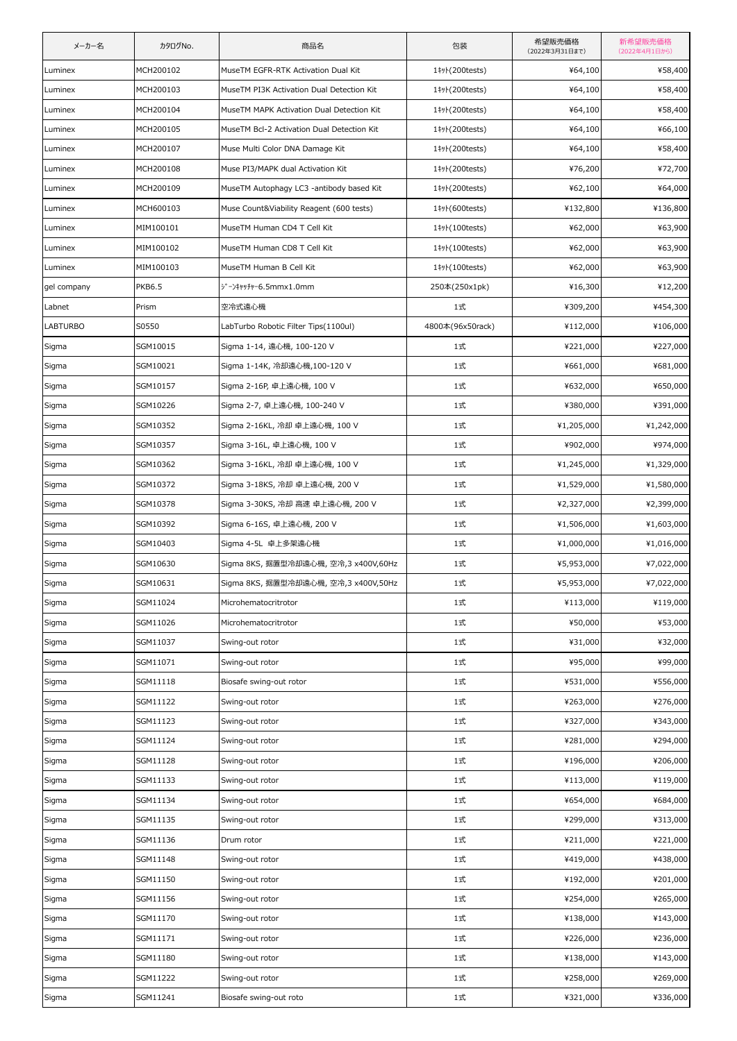| メーカー名           | カタログNo.       | 商品名                                        | 包装               | 希望販売価格<br>(2022年3月31日まで) | 新希望販売価格<br>(2022年4月1日から) |
|-----------------|---------------|--------------------------------------------|------------------|--------------------------|--------------------------|
| Luminex         | MCH200102     | MuseTM EGFR-RTK Activation Dual Kit        | 1# + (200 tests) | ¥64,100                  | ¥58,400                  |
| Luminex         | MCH200103     | MuseTM PI3K Activation Dual Detection Kit  | 1#% (200tests)   | ¥64,100                  | ¥58,400                  |
| Luminex         | MCH200104     | MuseTM MAPK Activation Dual Detection Kit  | 1#/}(200tests)   | ¥64,100                  | ¥58,400                  |
| Luminex         | MCH200105     | MuseTM Bcl-2 Activation Dual Detection Kit | 1#/}(200tests)   | ¥64,100                  | ¥66,100                  |
| Luminex         | MCH200107     | Muse Multi Color DNA Damage Kit            | 1#/}(200tests)   | ¥64,100                  | ¥58,400                  |
| Luminex         | MCH200108     | Muse PI3/MAPK dual Activation Kit          | 1# + (200 tests) | ¥76,200                  | ¥72,700                  |
| Luminex         | MCH200109     | MuseTM Autophagy LC3 -antibody based Kit   | 1#/}(200tests)   | ¥62,100                  | ¥64,000                  |
| Luminex         | MCH600103     | Muse Count&Viability Reagent (600 tests)   | 1#/\(600tests)   | ¥132,800                 | ¥136,800                 |
| Luminex         | MIM100101     | MuseTM Human CD4 T Cell Kit                | 1# 100 tests)    | ¥62,000                  | ¥63,900                  |
| Luminex         | MIM100102     | MuseTM Human CD8 T Cell Kit                | 1#/ (100tests)   | ¥62,000                  | ¥63,900                  |
| Luminex         | MIM100103     | MuseTM Human B Cell Kit                    | 1#/ (100tests)   | ¥62,000                  | ¥63,900                  |
| gel company     | <b>PKB6.5</b> | ジーンキャッチャー6.5mmx1.0mm                       | 250本(250x1pk)    | ¥16,300                  | ¥12,200                  |
| Labnet          | Prism         | 空冷式遠心機                                     | 1式               | ¥309,200                 | ¥454,300                 |
| <b>LABTURBO</b> | S0550         | LabTurbo Robotic Filter Tips(1100ul)       | 4800本(96x50rack) | ¥112,000                 | ¥106,000                 |
| Sigma           | SGM10015      | Sigma 1-14, 遠心機, 100-120 V                 | 1式               | ¥221,000                 | ¥227,000                 |
| Sigma           | SGM10021      | Sigma 1-14K, 冷却遠心機,100-120 V               | 1式               | ¥661,000                 | ¥681,000                 |
| Sigma           | SGM10157      | Sigma 2-16P, 卓上遠心機, 100 V                  | 1式               | ¥632,000                 | ¥650,000                 |
| Sigma           | SGM10226      | Sigma 2-7, 卓上遠心機, 100-240 V                | 1式               | ¥380,000                 | ¥391,000                 |
| Sigma           | SGM10352      | Sigma 2-16KL, 冷却 卓上遠心機, 100 V              | 1式               | ¥1,205,000               | ¥1,242,000               |
| Sigma           | SGM10357      | Sigma 3-16L, 卓上遠心機, 100 V                  | 1式               | ¥902,000                 | ¥974,000                 |
| Sigma           | SGM10362      | Sigma 3-16KL, 冷却 卓上遠心機, 100 V              | 1式               | ¥1,245,000               | ¥1,329,000               |
| Sigma           | SGM10372      | Sigma 3-18KS, 冷却 卓上遠心機, 200 V              | 1式               | ¥1,529,000               | ¥1,580,000               |
| Sigma           | SGM10378      | Sigma 3-30KS, 冷却 高速 卓上遠心機, 200 V           | 1式               | ¥2,327,000               | ¥2,399,000               |
| Sigma           | SGM10392      | Sigma 6-16S, 卓上遠心機, 200 V                  | 1式               | ¥1,506,000               | ¥1,603,000               |
| Sigma           | SGM10403      | Sigma 4-5L 卓上多架遠心機                         | 1式               | ¥1,000,000               | ¥1,016,000               |
| Sigma           | SGM10630      | Sigma 8KS, 据置型冷却遠心機, 空冷,3 x400V,60Hz       | 1式               | ¥5,953,000               | ¥7,022,000               |
| Sigma           | SGM10631      | Sigma 8KS, 据置型冷却遠心機, 空冷, 3 x400V, 50Hz     | 1式               | ¥5,953,000               | ¥7,022,000               |
| Sigma           | SGM11024      | Microhematocritrotor                       | 1式               | ¥113,000                 | ¥119,000                 |
| Sigma           | SGM11026      | Microhematocritrotor                       | 1式               | ¥50,000                  | ¥53,000                  |
| Sigma           | SGM11037      | Swing-out rotor                            | 1式               | ¥31,000                  | ¥32,000                  |
| Sigma           | SGM11071      | Swing-out rotor                            | 1式               | ¥95,000                  | ¥99,000                  |
| Sigma           | SGM11118      | Biosafe swing-out rotor                    | 1式               | ¥531,000                 | ¥556,000                 |
| Sigma           | SGM11122      | Swing-out rotor                            | 1式               | ¥263,000                 | ¥276,000                 |
| Sigma           | SGM11123      | Swing-out rotor                            | 1式               | ¥327,000                 | ¥343,000                 |
| Sigma           | SGM11124      | Swing-out rotor                            | 1式               | ¥281,000                 | ¥294,000                 |
| Sigma           | SGM11128      | Swing-out rotor                            | 1式               | ¥196,000                 | ¥206,000                 |
| Sigma           | SGM11133      | Swing-out rotor                            | 1式               | ¥113,000                 | ¥119,000                 |
| Sigma           | SGM11134      | Swing-out rotor                            | 1式               | ¥654,000                 | ¥684,000                 |
| Sigma           | SGM11135      | Swing-out rotor                            | 1式               | ¥299,000                 | ¥313,000                 |
| Sigma           | SGM11136      | Drum rotor                                 | 1式               | ¥211,000                 | ¥221,000                 |
| Sigma           | SGM11148      | Swing-out rotor                            | 1式               | ¥419,000                 | ¥438,000                 |
| Sigma           | SGM11150      | Swing-out rotor                            | 1式               | ¥192,000                 | ¥201,000                 |
| Sigma           | SGM11156      | Swing-out rotor                            | 1式               | ¥254,000                 | ¥265,000                 |
| Sigma           | SGM11170      | Swing-out rotor                            | 1式               | ¥138,000                 | ¥143,000                 |
| Sigma           | SGM11171      | Swing-out rotor                            | 1式               | ¥226,000                 | ¥236,000                 |
| Sigma           | SGM11180      | Swing-out rotor                            | 1式               | ¥138,000                 | ¥143,000                 |
| Sigma           | SGM11222      | Swing-out rotor                            | 1式               | ¥258,000                 | ¥269,000                 |
| Sigma           | SGM11241      | Biosafe swing-out roto                     | 1式               | ¥321,000                 | ¥336,000                 |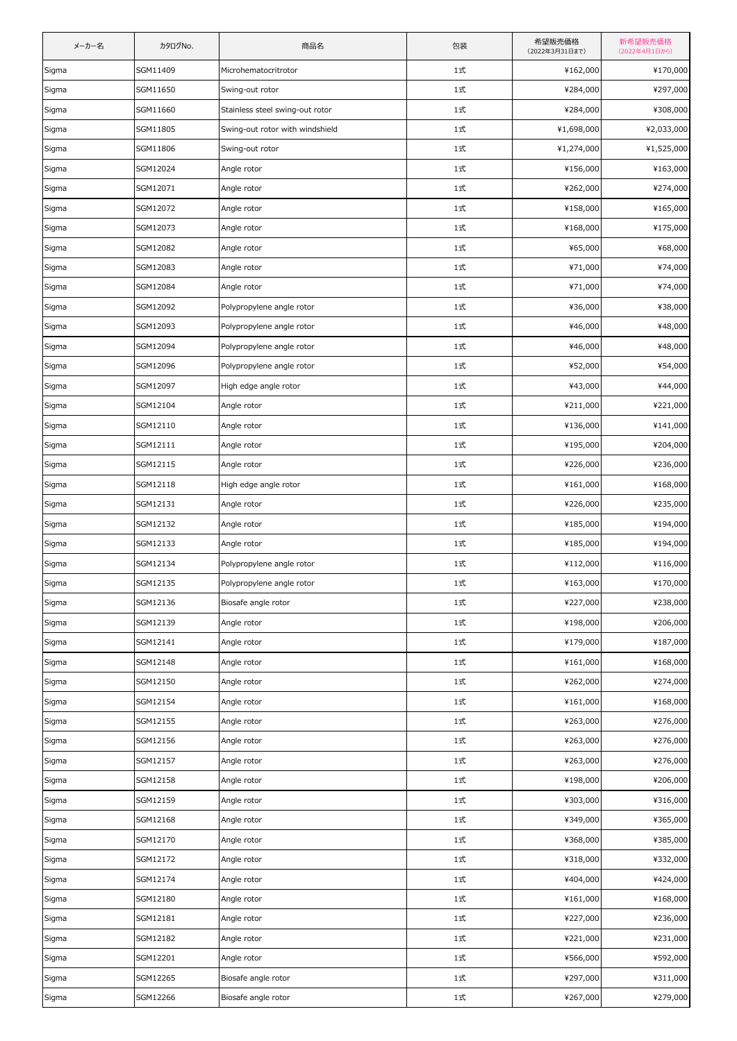| メーカー名 | カタログNo.  | 商品名                             | 包装         | 希望販売価格<br>(2022年3月31日まで) | 新希望販売価格<br>(2022年4月1日から) |
|-------|----------|---------------------------------|------------|--------------------------|--------------------------|
| Sigma | SGM11409 | Microhematocritrotor            | 1式         | ¥162,000                 | ¥170,000                 |
| Sigma | SGM11650 | Swing-out rotor                 | 1式         | ¥284,000                 | ¥297,000                 |
| Sigma | SGM11660 | Stainless steel swing-out rotor | 1式         | ¥284,000                 | ¥308,000                 |
| Sigma | SGM11805 | Swing-out rotor with windshield | 1式         | ¥1,698,000               | ¥2,033,000               |
| Sigma | SGM11806 | Swing-out rotor                 | 1式         | ¥1,274,000               | ¥1,525,000               |
| Sigma | SGM12024 | Angle rotor                     | 1式         | ¥156,000                 | ¥163,000                 |
| Sigma | SGM12071 | Angle rotor                     | 1式         | ¥262,000                 | ¥274,000                 |
| Sigma | SGM12072 | Angle rotor                     | 1式         | ¥158,000                 | ¥165,000                 |
| Sigma | SGM12073 | Angle rotor                     | 1式         | ¥168,000                 | ¥175,000                 |
| Sigma | SGM12082 | Angle rotor                     | 1式         | ¥65,000                  | ¥68,000                  |
| Sigma | SGM12083 | Angle rotor                     | 1式         | ¥71,000                  | ¥74,000                  |
| Sigma | SGM12084 | Angle rotor                     | 1式         | ¥71,000                  | ¥74,000                  |
| Sigma | SGM12092 | Polypropylene angle rotor       | 1式         | ¥36,000                  | ¥38,000                  |
| Sigma | SGM12093 | Polypropylene angle rotor       | 1式         | ¥46,000                  | ¥48,000                  |
| Sigma | SGM12094 | Polypropylene angle rotor       | 1式         | ¥46,000                  | ¥48,000                  |
| Sigma | SGM12096 | Polypropylene angle rotor       | 1式         | ¥52,000                  | ¥54,000                  |
| Sigma | SGM12097 | High edge angle rotor           | 1式         | ¥43,000                  | ¥44,000                  |
| Sigma | SGM12104 | Angle rotor                     | 1式         | ¥211,000                 | ¥221,000                 |
| Sigma | SGM12110 | Angle rotor                     | 1式         | ¥136,000                 | ¥141,000                 |
| Sigma | SGM12111 | Angle rotor                     | 1式         | ¥195,000                 | ¥204,000                 |
| Sigma | SGM12115 | Angle rotor                     | 1式         | ¥226,000                 | ¥236,000                 |
| Sigma | SGM12118 | High edge angle rotor           | 1式         | ¥161,000                 | ¥168,000                 |
| Sigma | SGM12131 | Angle rotor                     | 1式         | ¥226,000                 | ¥235,000                 |
| Sigma | SGM12132 | Angle rotor                     | 1式         | ¥185,000                 | ¥194,000                 |
| Sigma | SGM12133 | Angle rotor                     | 1式         | ¥185,000                 | ¥194,000                 |
| Sigma | SGM12134 | Polypropylene angle rotor       | 1式         | ¥112,000                 | ¥116,000                 |
| Sigma | SGM12135 | Polypropylene angle rotor       | 1式         | ¥163,000                 | ¥170,000                 |
| Sigma | SGM12136 | Biosafe angle rotor             | 1式         | ¥227,000                 | ¥238,000                 |
| Sigma | SGM12139 | Angle rotor                     | 1式         | ¥198,000                 | ¥206,000                 |
| Sigma | SGM12141 | Angle rotor                     | 1式         | ¥179,000                 | ¥187,000                 |
| Sigma | SGM12148 | Angle rotor                     | 1式         | ¥161,000                 | ¥168,000                 |
| Sigma | SGM12150 | Angle rotor                     | 1式         | ¥262,000                 | ¥274,000                 |
| Sigma | SGM12154 | Angle rotor                     | 1式         | ¥161,000                 | ¥168,000                 |
| Sigma | SGM12155 | Angle rotor                     | 1式         | ¥263,000                 | ¥276,000                 |
| Sigma | SGM12156 | Angle rotor                     | 1式         | ¥263,000                 | ¥276,000                 |
| Sigma | SGM12157 | Angle rotor                     | $1\vec{x}$ | ¥263,000                 | ¥276,000                 |
| Sigma | SGM12158 | Angle rotor                     | 1式         | ¥198,000                 | ¥206,000                 |
| Sigma | SGM12159 | Angle rotor                     | 1式         | ¥303,000                 | ¥316,000                 |
| Sigma | SGM12168 | Angle rotor                     | 1式         | ¥349,000                 | ¥365,000                 |
| Sigma | SGM12170 | Angle rotor                     | 1式         | ¥368,000                 | ¥385,000                 |
| Sigma | SGM12172 | Angle rotor                     | 1式         | ¥318,000                 | ¥332,000                 |
| Sigma | SGM12174 | Angle rotor                     | 1式         | ¥404,000                 | ¥424,000                 |
| Sigma | SGM12180 | Angle rotor                     | 1式         | ¥161,000                 | ¥168,000                 |
| Sigma | SGM12181 | Angle rotor                     | 1式         | ¥227,000                 | ¥236,000                 |
| Sigma | SGM12182 | Angle rotor                     | $1\vec{x}$ | ¥221,000                 | ¥231,000                 |
| Sigma | SGM12201 | Angle rotor                     | 1式         | ¥566,000                 | ¥592,000                 |
| Sigma | SGM12265 | Biosafe angle rotor             | 1式         | ¥297,000                 | ¥311,000                 |
| Sigma | SGM12266 | Biosafe angle rotor             | 1式         | ¥267,000                 | ¥279,000                 |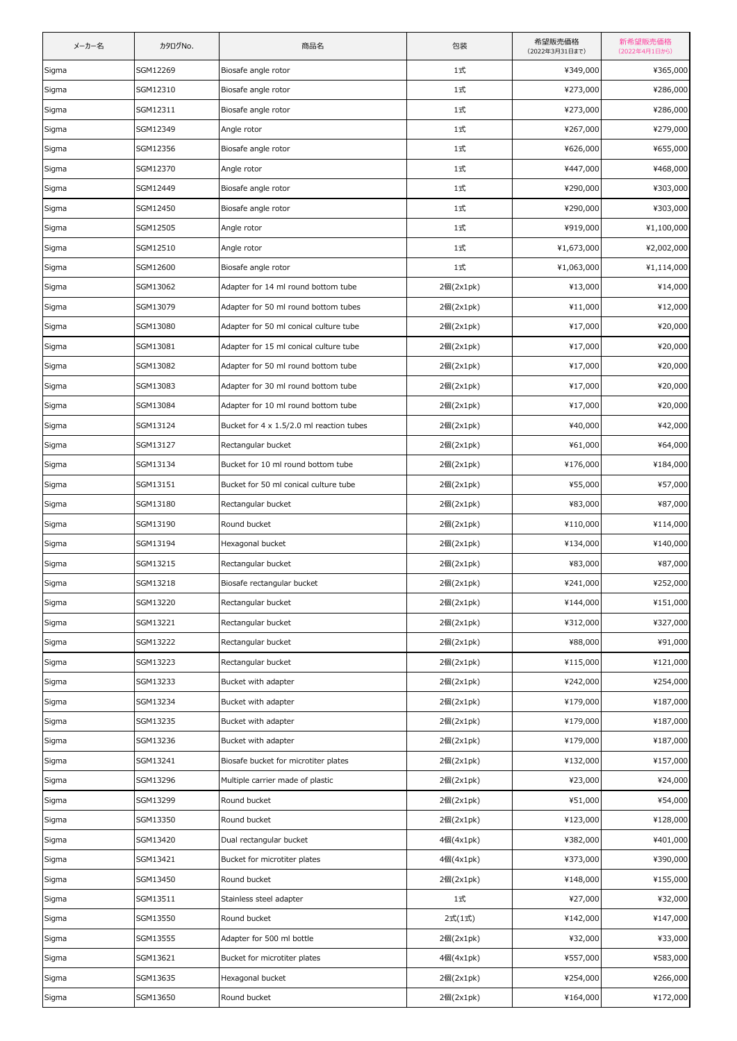| メーカー名 | カタログNo.  | 商品名                                             | 包装        | 希望販売価格<br>(2022年3月31日まで) | 新希望販売価格<br>(2022年4月1日から) |
|-------|----------|-------------------------------------------------|-----------|--------------------------|--------------------------|
| Sigma | SGM12269 | Biosafe angle rotor                             | 1式        | ¥349,000                 | ¥365,000                 |
| Sigma | SGM12310 | Biosafe angle rotor                             | 1式        | ¥273,000                 | ¥286,000                 |
| Sigma | SGM12311 | Biosafe angle rotor                             | 1式        | ¥273,000                 | ¥286,000                 |
| Sigma | SGM12349 | Angle rotor                                     | 1式        | ¥267,000                 | ¥279,000                 |
| Sigma | SGM12356 | Biosafe angle rotor                             | 1式        | ¥626,000                 | ¥655,000                 |
| Sigma | SGM12370 | Angle rotor                                     | 1式        | ¥447,000                 | ¥468,000                 |
| Sigma | SGM12449 | Biosafe angle rotor                             | 1式        | ¥290,000                 | ¥303,000                 |
| Sigma | SGM12450 | Biosafe angle rotor                             | 1式        | ¥290,000                 | ¥303,000                 |
| Sigma | SGM12505 | Angle rotor                                     | 1式        | ¥919,000                 | ¥1,100,000               |
| Sigma | SGM12510 | Angle rotor                                     | 1式        | ¥1,673,000               | ¥2,002,000               |
| Sigma | SGM12600 | Biosafe angle rotor                             | 1式        | ¥1,063,000               | ¥1,114,000               |
| Sigma | SGM13062 | Adapter for 14 ml round bottom tube             | 2個(2x1pk) | ¥13,000                  | ¥14,000                  |
| Sigma | SGM13079 | Adapter for 50 ml round bottom tubes            | 2個(2x1pk) | ¥11,000                  | ¥12,000                  |
| Sigma | SGM13080 | Adapter for 50 ml conical culture tube          | 2個(2x1pk) | ¥17,000                  | ¥20,000                  |
| Sigma | SGM13081 | Adapter for 15 ml conical culture tube          | 2個(2x1pk) | ¥17,000                  | ¥20,000                  |
| Sigma | SGM13082 | Adapter for 50 ml round bottom tube             | 2個(2x1pk) | ¥17,000                  | ¥20,000                  |
| Sigma | SGM13083 | Adapter for 30 ml round bottom tube             | 2個(2x1pk) | ¥17,000                  | ¥20,000                  |
| Sigma | SGM13084 | Adapter for 10 ml round bottom tube             | 2個(2x1pk) | ¥17,000                  | ¥20,000                  |
| Sigma | SGM13124 | Bucket for $4 \times 1.5/2.0$ ml reaction tubes | 2個(2x1pk) | ¥40,000                  | ¥42,000                  |
| Sigma | SGM13127 | Rectangular bucket                              | 2個(2x1pk) | ¥61,000                  | ¥64,000                  |
| Sigma | SGM13134 | Bucket for 10 ml round bottom tube              | 2個(2x1pk) | ¥176,000                 | ¥184,000                 |
| Sigma | SGM13151 | Bucket for 50 ml conical culture tube           | 2個(2x1pk) | ¥55,000                  | ¥57,000                  |
| Sigma | SGM13180 | Rectangular bucket                              | 2個(2x1pk) | ¥83,000                  | ¥87,000                  |
| Sigma | SGM13190 | Round bucket                                    | 2個(2x1pk) | ¥110,000                 | ¥114,000                 |
| Sigma | SGM13194 | Hexagonal bucket                                | 2個(2x1pk) | ¥134,000                 | ¥140,000                 |
| Sigma | SGM13215 | Rectangular bucket                              | 2個(2x1pk) | ¥83,000                  | ¥87,000                  |
| Sigma | SGM13218 | Biosafe rectangular bucket                      | 2個(2x1pk) | ¥241,000                 | ¥252,000                 |
| Sigma | SGM13220 | Rectangular bucket                              | 2個(2x1pk) | ¥144,000                 | ¥151,000                 |
| Sigma | SGM13221 | Rectangular bucket                              | 2個(2x1pk) | ¥312,000                 | ¥327,000                 |
| Sigma | SGM13222 | Rectangular bucket                              | 2個(2x1pk) | ¥88,000                  | ¥91,000                  |
| Sigma | SGM13223 | Rectangular bucket                              | 2個(2x1pk) | ¥115,000                 | ¥121,000                 |
| Sigma | SGM13233 | Bucket with adapter                             | 2個(2x1pk) | ¥242,000                 | ¥254,000                 |
| Sigma | SGM13234 | Bucket with adapter                             | 2個(2x1pk) | ¥179,000                 | ¥187,000                 |
| Sigma | SGM13235 | Bucket with adapter                             | 2個(2x1pk) | ¥179,000                 | ¥187,000                 |
| Sigma | SGM13236 | Bucket with adapter                             | 2個(2x1pk) | ¥179,000                 | ¥187,000                 |
| Sigma | SGM13241 | Biosafe bucket for microtiter plates            | 2個(2x1pk) | ¥132,000                 | ¥157,000                 |
| Sigma | SGM13296 | Multiple carrier made of plastic                | 2個(2x1pk) | ¥23,000                  | ¥24,000                  |
| Sigma | SGM13299 | Round bucket                                    | 2個(2x1pk) | ¥51,000                  | ¥54,000                  |
| Sigma | SGM13350 | Round bucket                                    | 2個(2x1pk) | ¥123,000                 | ¥128,000                 |
| Sigma | SGM13420 | Dual rectangular bucket                         | 4個(4x1pk) | ¥382,000                 | ¥401,000                 |
| Sigma | SGM13421 | Bucket for microtiter plates                    | 4個(4x1pk) | ¥373,000                 | ¥390,000                 |
| Sigma | SGM13450 | Round bucket                                    | 2個(2x1pk) | ¥148,000                 | ¥155,000                 |
| Sigma | SGM13511 | Stainless steel adapter                         | 1式        | ¥27,000                  | ¥32,000                  |
| Sigma | SGM13550 | Round bucket                                    | 2式(1式)    | ¥142,000                 | ¥147,000                 |
| Sigma | SGM13555 | Adapter for 500 ml bottle                       | 2個(2x1pk) | ¥32,000                  | ¥33,000                  |
| Sigma | SGM13621 | Bucket for microtiter plates                    | 4個(4x1pk) | ¥557,000                 | ¥583,000                 |
| Sigma | SGM13635 | Hexagonal bucket                                | 2個(2x1pk) | ¥254,000                 | ¥266,000                 |
| Sigma | SGM13650 | Round bucket                                    | 2個(2x1pk) | ¥164,000                 | ¥172,000                 |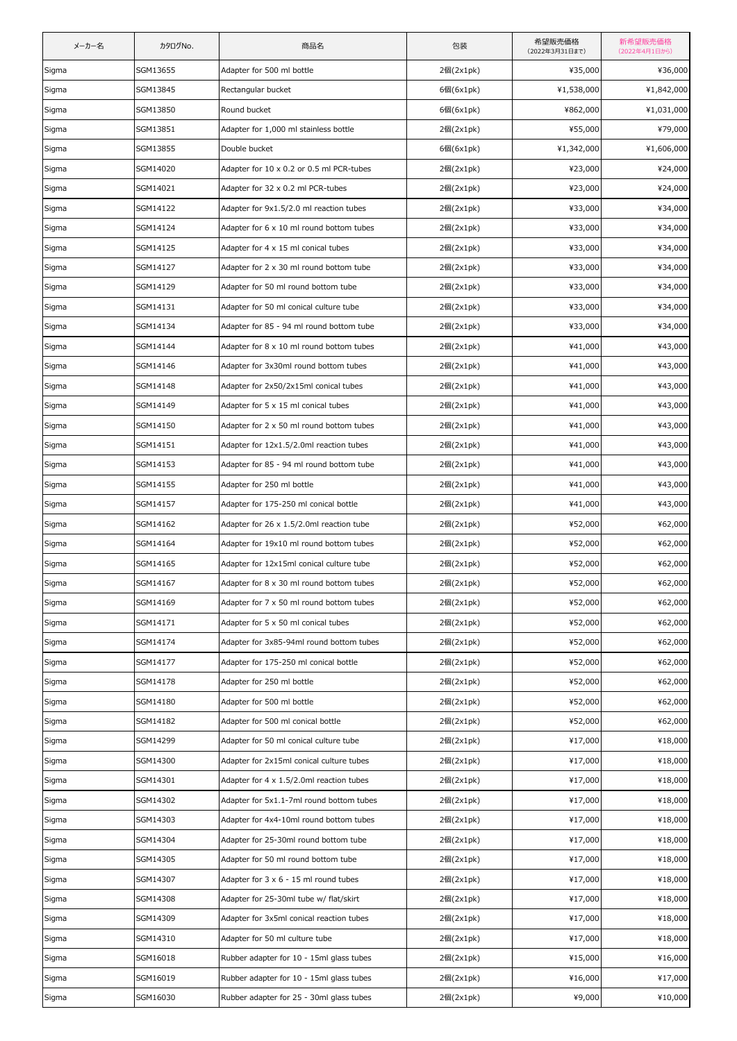| メーカー名 | カタログNo.  | 商品名                                              | 包装        | 希望販売価格<br>(2022年3月31日まで) | 新希望販売価格<br>(2022年4月1日から) |
|-------|----------|--------------------------------------------------|-----------|--------------------------|--------------------------|
| Sigma | SGM13655 | Adapter for 500 ml bottle                        | 2個(2x1pk) | ¥35,000                  | ¥36,000                  |
| Sigma | SGM13845 | Rectangular bucket                               | 6個(6x1pk) | ¥1,538,000               | ¥1,842,000               |
| Sigma | SGM13850 | Round bucket                                     | 6個(6x1pk) | ¥862,000                 | ¥1,031,000               |
| Sigma | SGM13851 | Adapter for 1,000 ml stainless bottle            | 2個(2x1pk) | ¥55,000                  | ¥79,000                  |
| Sigma | SGM13855 | Double bucket                                    | 6個(6x1pk) | ¥1,342,000               | ¥1,606,000               |
| Sigma | SGM14020 | Adapter for 10 x 0.2 or 0.5 ml PCR-tubes         | 2個(2x1pk) | ¥23,000                  | ¥24,000                  |
| Sigma | SGM14021 | Adapter for 32 x 0.2 ml PCR-tubes                | 2個(2x1pk) | ¥23,000                  | ¥24,000                  |
| Sigma | SGM14122 | Adapter for 9x1.5/2.0 ml reaction tubes          | 2個(2x1pk) | ¥33,000                  | ¥34,000                  |
| Sigma | SGM14124 | Adapter for $6 \times 10$ ml round bottom tubes  | 2個(2x1pk) | ¥33,000                  | ¥34,000                  |
| Sigma | SGM14125 | Adapter for 4 x 15 ml conical tubes              | 2個(2x1pk) | ¥33,000                  | ¥34,000                  |
| Sigma | SGM14127 | Adapter for 2 x 30 ml round bottom tube          | 2個(2x1pk) | ¥33,000                  | ¥34,000                  |
| Sigma | SGM14129 | Adapter for 50 ml round bottom tube              | 2個(2x1pk) | ¥33,000                  | ¥34,000                  |
| Sigma | SGM14131 | Adapter for 50 ml conical culture tube           | 2個(2x1pk) | ¥33,000                  | ¥34,000                  |
| Sigma | SGM14134 | Adapter for 85 - 94 ml round bottom tube         | 2個(2x1pk) | ¥33,000                  | ¥34,000                  |
| Sigma | SGM14144 | Adapter for 8 x 10 ml round bottom tubes         | 2個(2x1pk) | ¥41,000                  | ¥43,000                  |
| Sigma | SGM14146 | Adapter for 3x30ml round bottom tubes            | 2個(2x1pk) | ¥41,000                  | ¥43,000                  |
| Sigma | SGM14148 | Adapter for 2x50/2x15ml conical tubes            | 2個(2x1pk) | ¥41,000                  | ¥43,000                  |
| Sigma | SGM14149 | Adapter for 5 x 15 ml conical tubes              | 2個(2x1pk) | ¥41,000                  | ¥43,000                  |
| Sigma | SGM14150 | Adapter for 2 x 50 ml round bottom tubes         | 2個(2x1pk) | ¥41,000                  | ¥43,000                  |
| Sigma | SGM14151 | Adapter for 12x1.5/2.0ml reaction tubes          | 2個(2x1pk) | ¥41,000                  | ¥43,000                  |
| Sigma | SGM14153 | Adapter for 85 - 94 ml round bottom tube         | 2個(2x1pk) | ¥41,000                  | ¥43,000                  |
| Sigma | SGM14155 | Adapter for 250 ml bottle                        | 2個(2x1pk) | ¥41,000                  | ¥43,000                  |
| Sigma | SGM14157 | Adapter for 175-250 ml conical bottle            | 2個(2x1pk) | ¥41,000                  | ¥43,000                  |
| Sigma | SGM14162 | Adapter for 26 x 1.5/2.0ml reaction tube         | 2個(2x1pk) | ¥52,000                  | ¥62,000                  |
| Sigma | SGM14164 | Adapter for 19x10 ml round bottom tubes          | 2個(2x1pk) | ¥52,000                  | ¥62,000                  |
| Sigma | SGM14165 | Adapter for 12x15ml conical culture tube         | 2個(2x1pk) | ¥52,000                  | ¥62,000                  |
| Sigma | SGM14167 | Adapter for 8 x 30 ml round bottom tubes         | 2個(2x1pk) | ¥52,000                  | ¥62,000                  |
| Sigma | SGM14169 | Adapter for 7 x 50 ml round bottom tubes         | 2個(2x1pk) | ¥52,000                  | ¥62,000                  |
| Sigma | SGM14171 | Adapter for 5 x 50 ml conical tubes              | 2個(2x1pk) | ¥52,000                  | ¥62,000                  |
| Sigma | SGM14174 | Adapter for 3x85-94ml round bottom tubes         | 2個(2x1pk) | ¥52,000                  | ¥62,000                  |
| Sigma | SGM14177 | Adapter for 175-250 ml conical bottle            | 2個(2x1pk) | ¥52,000                  | ¥62,000                  |
| Sigma | SGM14178 | Adapter for 250 ml bottle                        | 2個(2x1pk) | ¥52,000                  | ¥62,000                  |
| Sigma | SGM14180 | Adapter for 500 ml bottle                        | 2個(2x1pk) | ¥52,000                  | ¥62,000                  |
| Sigma | SGM14182 | Adapter for 500 ml conical bottle                | 2個(2x1pk) | ¥52,000                  | ¥62,000                  |
| Sigma | SGM14299 | Adapter for 50 ml conical culture tube           | 2個(2x1pk) | ¥17,000                  | ¥18,000                  |
| Sigma | SGM14300 | Adapter for 2x15ml conical culture tubes         | 2個(2x1pk) | ¥17,000                  | ¥18,000                  |
| Sigma | SGM14301 | Adapter for $4 \times 1.5/2.0$ ml reaction tubes | 2個(2x1pk) | ¥17,000                  | ¥18,000                  |
| Sigma | SGM14302 | Adapter for 5x1.1-7ml round bottom tubes         | 2個(2x1pk) | ¥17,000                  | ¥18,000                  |
| Sigma | SGM14303 | Adapter for 4x4-10ml round bottom tubes          | 2個(2x1pk) | ¥17,000                  | ¥18,000                  |
| Sigma | SGM14304 | Adapter for 25-30ml round bottom tube            | 2個(2x1pk) | ¥17,000                  | ¥18,000                  |
| Sigma | SGM14305 | Adapter for 50 ml round bottom tube              | 2個(2x1pk) | ¥17,000                  | ¥18,000                  |
| Sigma | SGM14307 | Adapter for $3 \times 6 - 15$ ml round tubes     | 2個(2x1pk) | ¥17,000                  | ¥18,000                  |
| Sigma | SGM14308 | Adapter for 25-30ml tube w/ flat/skirt           | 2個(2x1pk) | ¥17,000                  | ¥18,000                  |
| Sigma | SGM14309 | Adapter for 3x5ml conical reaction tubes         | 2個(2x1pk) | ¥17,000                  | ¥18,000                  |
| Sigma | SGM14310 | Adapter for 50 ml culture tube                   | 2個(2x1pk) | ¥17,000                  | ¥18,000                  |
| Sigma | SGM16018 | Rubber adapter for 10 - 15ml glass tubes         | 2個(2x1pk) | ¥15,000                  | ¥16,000                  |
| Sigma | SGM16019 | Rubber adapter for 10 - 15ml glass tubes         | 2個(2x1pk) | ¥16,000                  | ¥17,000                  |
| Sigma | SGM16030 | Rubber adapter for 25 - 30ml glass tubes         | 2個(2x1pk) | ¥9,000                   | ¥10,000                  |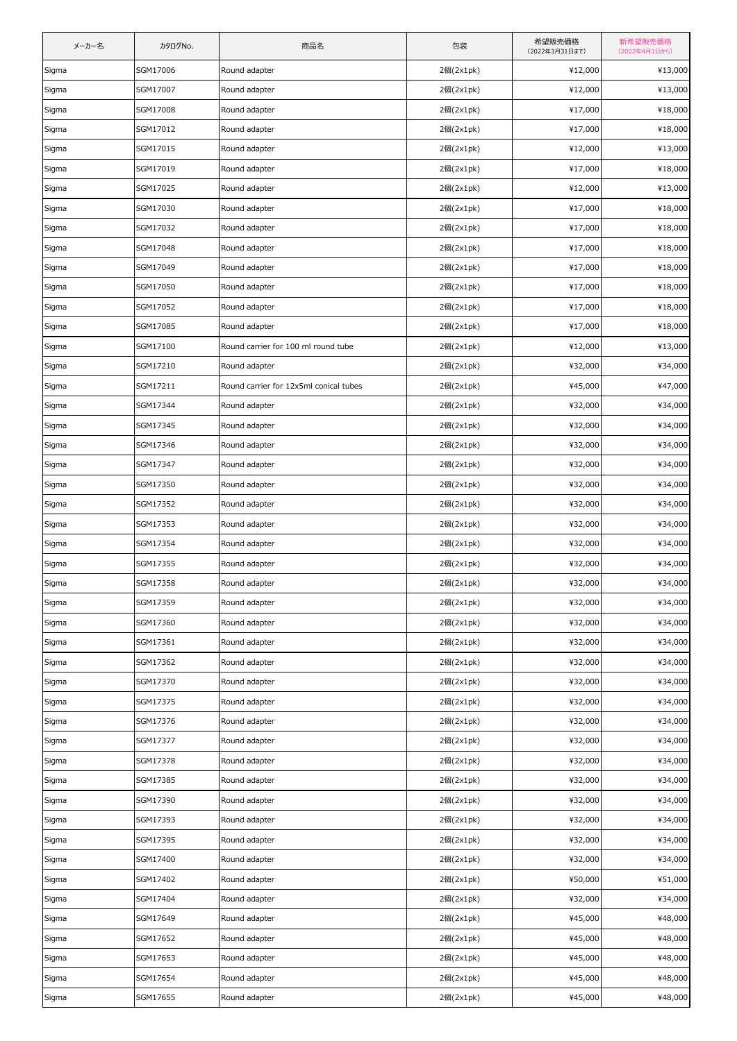| メーカー名 | カタログNo.  | 商品名                                    | 包装        | 希望販売価格<br>(2022年3月31日まで) | 新希望販売価格<br>(2022年4月1日から) |
|-------|----------|----------------------------------------|-----------|--------------------------|--------------------------|
| Sigma | SGM17006 | Round adapter                          | 2個(2x1pk) | ¥12,000                  | ¥13,000                  |
| Sigma | SGM17007 | Round adapter                          | 2個(2x1pk) | ¥12,000                  | ¥13,000                  |
| Sigma | SGM17008 | Round adapter                          | 2個(2x1pk) | ¥17,000                  | ¥18,000                  |
| Sigma | SGM17012 | Round adapter                          | 2個(2x1pk) | ¥17,000                  | ¥18,000                  |
| Sigma | SGM17015 | Round adapter                          | 2個(2x1pk) | ¥12,000                  | ¥13,000                  |
| Sigma | SGM17019 | Round adapter                          | 2個(2x1pk) | ¥17,000                  | ¥18,000                  |
| Sigma | SGM17025 | Round adapter                          | 2個(2x1pk) | ¥12,000                  | ¥13,000                  |
| Sigma | SGM17030 | Round adapter                          | 2個(2x1pk) | ¥17,000                  | ¥18,000                  |
| Sigma | SGM17032 | Round adapter                          | 2個(2x1pk) | ¥17,000                  | ¥18,000                  |
| Sigma | SGM17048 | Round adapter                          | 2個(2x1pk) | ¥17,000                  | ¥18,000                  |
| Sigma | SGM17049 | Round adapter                          | 2個(2x1pk) | ¥17,000                  | ¥18,000                  |
| Sigma | SGM17050 | Round adapter                          | 2個(2x1pk) | ¥17,000                  | ¥18,000                  |
| Sigma | SGM17052 | Round adapter                          | 2個(2x1pk) | ¥17,000                  | ¥18,000                  |
| Sigma | SGM17085 | Round adapter                          | 2個(2x1pk) | ¥17,000                  | ¥18,000                  |
| Sigma | SGM17100 | Round carrier for 100 ml round tube    | 2個(2x1pk) | ¥12,000                  | ¥13,000                  |
| Sigma | SGM17210 | Round adapter                          | 2個(2x1pk) | ¥32,000                  | ¥34,000                  |
| Sigma | SGM17211 | Round carrier for 12x5ml conical tubes | 2個(2x1pk) | ¥45,000                  | ¥47,000                  |
| Sigma | SGM17344 | Round adapter                          | 2個(2x1pk) | ¥32,000                  | ¥34,000                  |
| Sigma | SGM17345 | Round adapter                          | 2個(2x1pk) | ¥32,000                  | ¥34,000                  |
| Sigma | SGM17346 | Round adapter                          | 2個(2x1pk) | ¥32,000                  | ¥34,000                  |
| Sigma | SGM17347 | Round adapter                          | 2個(2x1pk) | ¥32,000                  | ¥34,000                  |
| Sigma | SGM17350 | Round adapter                          | 2個(2x1pk) | ¥32,000                  | ¥34,000                  |
| Sigma | SGM17352 | Round adapter                          | 2個(2x1pk) | ¥32,000                  | ¥34,000                  |
| Sigma | SGM17353 | Round adapter                          | 2個(2x1pk) | ¥32,000                  | ¥34,000                  |
| Sigma | SGM17354 | Round adapter                          | 2個(2x1pk) | ¥32,000                  | ¥34,000                  |
| Sigma | SGM17355 | Round adapter                          | 2個(2x1pk) | ¥32,000                  | ¥34,000                  |
| Sigma | SGM17358 | Round adapter                          | 2個(2x1pk) | ¥32,000                  | ¥34,000                  |
| Sigma | SGM17359 | Round adapter                          | 2個(2x1pk) | ¥32,000                  | ¥34,000                  |
| Sigma | SGM17360 | Round adapter                          | 2個(2x1pk) | ¥32,000                  | ¥34,000                  |
| Sigma | SGM17361 | Round adapter                          | 2個(2x1pk) | ¥32,000                  | ¥34,000                  |
| Sigma | SGM17362 | Round adapter                          | 2個(2x1pk) | ¥32,000                  | ¥34,000                  |
| Sigma | SGM17370 | Round adapter                          | 2個(2x1pk) | ¥32,000                  | ¥34,000                  |
| Sigma | SGM17375 | Round adapter                          | 2個(2x1pk) | ¥32,000                  | ¥34,000                  |
| Sigma | SGM17376 | Round adapter                          | 2個(2x1pk) | ¥32,000                  | ¥34,000                  |
| Sigma | SGM17377 | Round adapter                          | 2個(2x1pk) | ¥32,000                  | ¥34,000                  |
| Sigma | SGM17378 | Round adapter                          | 2個(2x1pk) | ¥32,000                  | ¥34,000                  |
| Sigma | SGM17385 | Round adapter                          | 2個(2x1pk) | ¥32,000                  | ¥34,000                  |
| Sigma | SGM17390 | Round adapter                          | 2個(2x1pk) | ¥32,000                  | ¥34,000                  |
| Sigma | SGM17393 | Round adapter                          | 2個(2x1pk) | ¥32,000                  | ¥34,000                  |
| Sigma | SGM17395 | Round adapter                          | 2個(2x1pk) | ¥32,000                  | ¥34,000                  |
| Sigma | SGM17400 | Round adapter                          | 2個(2x1pk) | ¥32,000                  | ¥34,000                  |
| Sigma | SGM17402 | Round adapter                          | 2個(2x1pk) | ¥50,000                  | ¥51,000                  |
| Sigma | SGM17404 | Round adapter                          | 2個(2x1pk) | ¥32,000                  | ¥34,000                  |
| Sigma | SGM17649 | Round adapter                          | 2個(2x1pk) | ¥45,000                  | ¥48,000                  |
| Sigma | SGM17652 | Round adapter                          | 2個(2x1pk) | ¥45,000                  | ¥48,000                  |
| Sigma | SGM17653 | Round adapter                          | 2個(2x1pk) | ¥45,000                  | ¥48,000                  |
| Sigma | SGM17654 | Round adapter                          | 2個(2x1pk) | ¥45,000                  | ¥48,000                  |
| Sigma | SGM17655 | Round adapter                          | 2個(2x1pk) | ¥45,000                  | ¥48,000                  |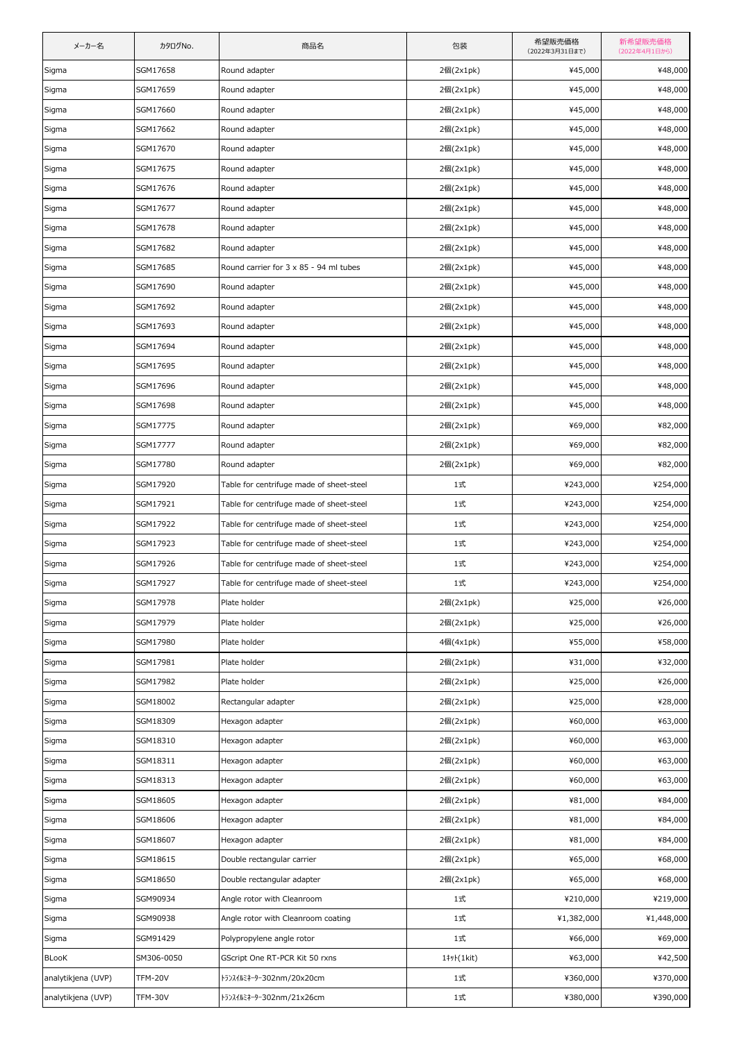| メーカー名              | カタログNo.        | 商品名                                      | 包装         | 希望販売価格<br>(2022年3月31日まで) | 新希望販売価格<br>(2022年4月1日から) |
|--------------------|----------------|------------------------------------------|------------|--------------------------|--------------------------|
| Sigma              | SGM17658       | Round adapter                            | 2個(2x1pk)  | ¥45,000                  | ¥48,000                  |
| Sigma              | SGM17659       | Round adapter                            | 2個(2x1pk)  | ¥45,000                  | ¥48,000                  |
| Sigma              | SGM17660       | Round adapter                            | 2個(2x1pk)  | ¥45,000                  | ¥48,000                  |
| Sigma              | SGM17662       | Round adapter                            | 2個(2x1pk)  | ¥45,000                  | ¥48,000                  |
| Sigma              | SGM17670       | Round adapter                            | 2個(2x1pk)  | ¥45,000                  | ¥48,000                  |
| Sigma              | SGM17675       | Round adapter                            | 2個(2x1pk)  | ¥45,000                  | ¥48,000                  |
| Sigma              | SGM17676       | Round adapter                            | 2個(2x1pk)  | ¥45,000                  | ¥48,000                  |
| Sigma              | SGM17677       | Round adapter                            | 2個(2x1pk)  | ¥45,000                  | ¥48,000                  |
| Sigma              | SGM17678       | Round adapter                            | 2個(2x1pk)  | ¥45,000                  | ¥48,000                  |
| Sigma              | SGM17682       | Round adapter                            | 2個(2x1pk)  | ¥45,000                  | ¥48,000                  |
| Sigma              | SGM17685       | Round carrier for 3 x 85 - 94 ml tubes   | 2個(2x1pk)  | ¥45,000                  | ¥48,000                  |
| Sigma              | SGM17690       | Round adapter                            | 2個(2x1pk)  | ¥45,000                  | ¥48,000                  |
| Sigma              | SGM17692       | Round adapter                            | 2個(2x1pk)  | ¥45,000                  | ¥48,000                  |
| Sigma              | SGM17693       | Round adapter                            | 2個(2x1pk)  | ¥45,000                  | ¥48,000                  |
| Sigma              | SGM17694       | Round adapter                            | 2個(2x1pk)  | ¥45,000                  | ¥48,000                  |
| Sigma              | SGM17695       | Round adapter                            | 2個(2x1pk)  | ¥45,000                  | ¥48,000                  |
| Sigma              | SGM17696       | Round adapter                            | 2個(2x1pk)  | ¥45,000                  | ¥48,000                  |
| Sigma              | SGM17698       | Round adapter                            | 2個(2x1pk)  | ¥45,000                  | ¥48,000                  |
| Sigma              | SGM17775       | Round adapter                            | 2個(2x1pk)  | ¥69,000                  | ¥82,000                  |
| Sigma              | SGM17777       | Round adapter                            | 2個(2x1pk)  | ¥69,000                  | ¥82,000                  |
| Sigma              | SGM17780       | Round adapter                            | 2個(2x1pk)  | ¥69,000                  | ¥82,000                  |
| Sigma              | SGM17920       | Table for centrifuge made of sheet-steel | 1式         | ¥243,000                 | ¥254,000                 |
| Sigma              | SGM17921       | Table for centrifuge made of sheet-steel | 1式         | ¥243,000                 | ¥254,000                 |
| Sigma              | SGM17922       | Table for centrifuge made of sheet-steel | 1式         | ¥243,000                 | ¥254,000                 |
| Sigma              | SGM17923       | Table for centrifuge made of sheet-steel | 1式         | ¥243,000                 | ¥254,000                 |
| Sigma              | SGM17926       | Table for centrifuge made of sheet-steel | 1式         | ¥243,000                 | ¥254,000                 |
| Sigma              | SGM17927       | Table for centrifuge made of sheet-steel | 1式         | ¥243,000                 | ¥254,000                 |
| Sigma              | SGM17978       | Plate holder                             | 2個(2x1pk)  | ¥25,000                  | ¥26,000                  |
| Sigma              | SGM17979       | Plate holder                             | 2個(2x1pk)  | ¥25,000                  | ¥26,000                  |
| Sigma              | SGM17980       | Plate holder                             | 4個(4x1pk)  | ¥55,000                  | ¥58,000                  |
| Sigma              | SGM17981       | Plate holder                             | 2個(2x1pk)  | ¥31,000                  | ¥32,000                  |
| Sigma              | SGM17982       | Plate holder                             | 2個(2x1pk)  | ¥25,000                  | ¥26,000                  |
| Sigma              | SGM18002       | Rectangular adapter                      | 2個(2x1pk)  | ¥25,000                  | ¥28,000                  |
| Sigma              | SGM18309       | Hexagon adapter                          | 2個(2x1pk)  | ¥60,000                  | ¥63,000                  |
| Sigma              | SGM18310       | Hexagon adapter                          | 2個(2x1pk)  | ¥60,000                  | ¥63,000                  |
| Sigma              | SGM18311       | Hexagon adapter                          | 2個(2x1pk)  | ¥60,000                  | ¥63,000                  |
| Sigma              | SGM18313       | Hexagon adapter                          | 2個(2x1pk)  | ¥60,000                  | ¥63,000                  |
| Sigma              | SGM18605       | Hexagon adapter                          | 2個(2x1pk)  | ¥81,000                  | ¥84,000                  |
| Sigma              | SGM18606       | Hexagon adapter                          | 2個(2x1pk)  | ¥81,000                  | ¥84,000                  |
| Sigma              | SGM18607       | Hexagon adapter                          | 2個(2x1pk)  | ¥81,000                  | ¥84,000                  |
| Sigma              | SGM18615       | Double rectangular carrier               | 2個(2x1pk)  | ¥65,000                  | ¥68,000                  |
| Sigma              | SGM18650       | Double rectangular adapter               | 2個(2x1pk)  | ¥65,000                  | ¥68,000                  |
| Sigma              | SGM90934       | Angle rotor with Cleanroom               | 1式         | ¥210,000                 | ¥219,000                 |
| Sigma              | SGM90938       | Angle rotor with Cleanroom coating       | 1式         | ¥1,382,000               | ¥1,448,000               |
| Sigma              | SGM91429       | Polypropylene angle rotor                | 1式         | ¥66,000                  | ¥69,000                  |
| <b>BLooK</b>       | SM306-0050     | GScript One RT-PCR Kit 50 rxns           | 1‡y}(1kit) | ¥63,000                  | ¥42,500                  |
| analytikjena (UVP) | <b>TFM-20V</b> | トランスイルミネーター302nm/20x20cm                 | 1式         | ¥360,000                 | ¥370,000                 |
| analytikjena (UVP) | TFM-30V        | トランスイルミネーター302nm/21x26cm                 | 1式         | ¥380,000                 | ¥390,000                 |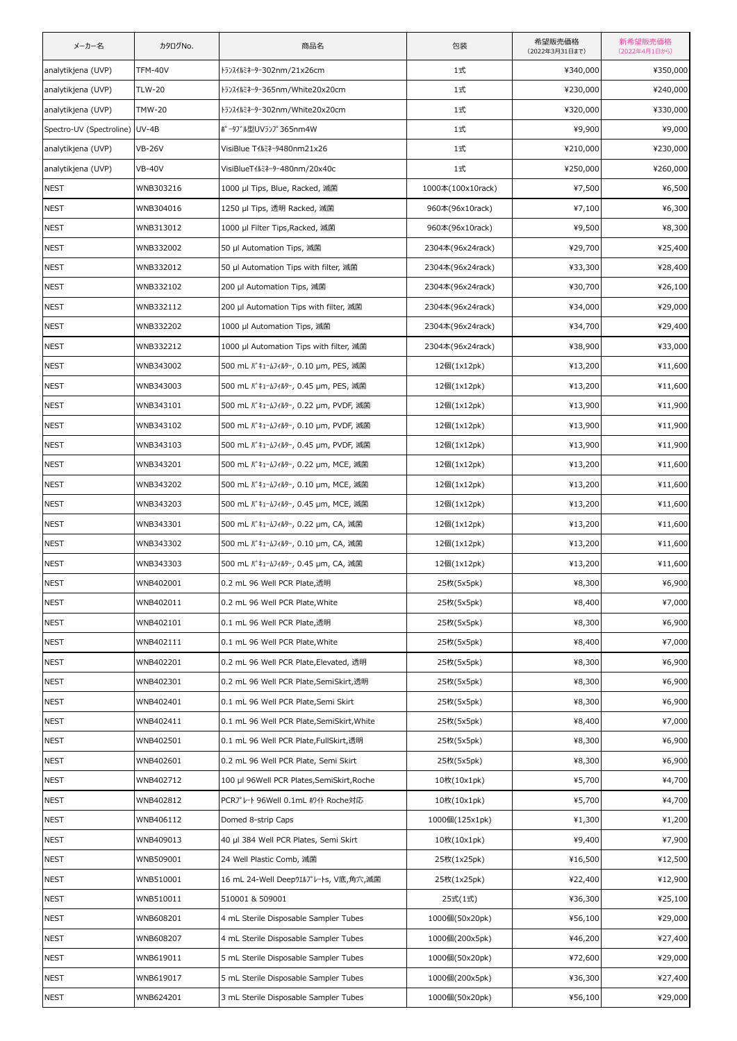| メーカー名                    | カタログNo.        | 商品名                                        | 包装                | 希望販売価格<br>(2022年3月31日まで) | 新希望販売価格<br>(2022年4月1日から) |
|--------------------------|----------------|--------------------------------------------|-------------------|--------------------------|--------------------------|
| analytikjena (UVP)       | <b>TFM-40V</b> | トランスイルミネーター302nm/21x26cm                   | 1式                | ¥340,000                 | ¥350,000                 |
| analytikjena (UVP)       | <b>TLW-20</b>  | トランスイルミネーター365nm/White20x20cm              | 1式                | ¥230,000                 | ¥240,000                 |
| analytikjena (UVP)       | <b>TMW-20</b>  | トランスイルミネーター302nm/White20x20cm              | 1式                | ¥320,000                 | ¥330,000                 |
| Spectro-UV (Spectroline) | $UV-4B$        | ポータブル型UVランプ365nm4W                         | 1式                | ¥9,900                   | ¥9,000                   |
| analytikjena (UVP)       | <b>VB-26V</b>  | VisiBlue T1 k3-9480nm21x26                 | 1式                | ¥210,000                 | ¥230,000                 |
| analytikjena (UVP)       | <b>VB-40V</b>  | VisiBlueT1lk3+9-480nm/20x40c               | 1式                | ¥250,000                 | ¥260,000                 |
| <b>NEST</b>              | WNB303216      | 1000 µl Tips, Blue, Racked, 滅菌             | 1000本(100x10rack) | ¥7,500                   | ¥6,500                   |
| <b>NEST</b>              | WNB304016      | 1250 µl Tips, 透明 Racked, 滅菌                | 960本(96x10rack)   | ¥7,100                   | ¥6,300                   |
| <b>NEST</b>              | WNB313012      | 1000 µl Filter Tips, Racked, 滅菌            | 960本(96x10rack)   | ¥9,500                   | ¥8,300                   |
| <b>NEST</b>              | WNB332002      | 50 µl Automation Tips, 減菌                  | 2304本(96x24rack)  | ¥29,700                  | ¥25,400                  |
| <b>NEST</b>              | WNB332012      | 50 µl Automation Tips with filter, 滅菌      | 2304本(96x24rack)  | ¥33,300                  | ¥28,400                  |
| <b>NEST</b>              | WNB332102      | 200 µl Automation Tips, 滅菌                 | 2304本(96x24rack)  | ¥30,700                  | ¥26,100                  |
| <b>NEST</b>              | WNB332112      | 200 µl Automation Tips with filter, 減菌     | 2304本(96x24rack)  | ¥34,000                  | ¥29,000                  |
| <b>NEST</b>              | WNB332202      | 1000 µl Automation Tips, 滅菌                | 2304本(96x24rack)  | ¥34,700                  | ¥29,400                  |
| <b>NEST</b>              | WNB332212      | 1000 µl Automation Tips with filter, 滅菌    | 2304本(96x24rack)  | ¥38,900                  | ¥33,000                  |
| <b>NEST</b>              | WNB343002      | 500 mL バキュームフィルター, 0.10 µm, PES, 減菌        | 12個(1x12pk)       | ¥13,200                  | ¥11,600                  |
| <b>NEST</b>              | WNB343003      | 500 mL バキュームフィルター, 0.45 µm, PES, 滅菌        | 12個(1x12pk)       | ¥13,200                  | ¥11,600                  |
| <b>NEST</b>              | WNB343101      | 500 mL バキュームフィルター, 0.22 µm, PVDF, 滅菌       | 12個(1x12pk)       | ¥13,900                  | ¥11,900                  |
| <b>NEST</b>              | WNB343102      | 500 mL バキュームフィルター, 0.10 µm, PVDF, 滅菌       | 12個(1x12pk)       | ¥13,900                  | ¥11,900                  |
| <b>NEST</b>              | WNB343103      | 500 mL バキュームフィルター, 0.45 µm, PVDF, 滅菌       | 12個(1x12pk)       | ¥13,900                  | ¥11,900                  |
| <b>NEST</b>              | WNB343201      | 500 mL バキュームフィルター, 0.22 µm, MCE, 滅菌        | 12個(1x12pk)       | ¥13,200                  | ¥11,600                  |
| <b>NEST</b>              | WNB343202      | 500 mL バキュームフィルター, 0.10 µm, MCE, 滅菌        | 12個(1x12pk)       | ¥13,200                  | ¥11,600                  |
| <b>NEST</b>              | WNB343203      | 500 mL バキュームフィルター, 0.45 µm, MCE, 滅菌        | 12個(1x12pk)       | ¥13,200                  | ¥11,600                  |
| <b>NEST</b>              | WNB343301      | 500 mL バキュームフィルター, 0.22 μm, CA, 滅菌         | 12個(1x12pk)       | ¥13,200                  | ¥11,600                  |
| <b>NEST</b>              | WNB343302      | 500 mL バキュームフィルター, 0.10 µm, CA, 滅菌         | 12個(1x12pk)       | ¥13,200                  | ¥11,600                  |
| <b>NEST</b>              | WNB343303      | 500 mL バキュームフィルター, 0.45 µm, CA, 滅菌         | 12個(1x12pk)       | ¥13,200                  | ¥11,600                  |
| <b>NEST</b>              | WNB402001      | 0.2 mL 96 Well PCR Plate,透明                | 25枚(5x5pk)        | ¥8,300                   | ¥6,900                   |
| <b>NEST</b>              | WNB402011      | 0.2 mL 96 Well PCR Plate, White            | 25枚(5x5pk)        | ¥8,400                   | ¥7,000                   |
| <b>NEST</b>              | WNB402101      | 0.1 mL 96 Well PCR Plate,透明                | 25枚(5x5pk)        | ¥8,300                   | ¥6,900                   |
| NEST                     | WNB402111      | 0.1 mL 96 Well PCR Plate, White            | 25枚(5x5pk)        | ¥8,400                   | ¥7,000                   |
| <b>NEST</b>              | WNB402201      | 0.2 mL 96 Well PCR Plate, Elevated, 透明     | 25枚(5x5pk)        | ¥8,300                   | ¥6,900                   |
| <b>NEST</b>              | WNB402301      | 0.2 mL 96 Well PCR Plate, SemiSkirt, 透明    | 25枚(5x5pk)        | ¥8,300                   | ¥6,900                   |
| <b>NEST</b>              | WNB402401      | 0.1 mL 96 Well PCR Plate, Semi Skirt       | 25枚(5x5pk)        | ¥8,300                   | ¥6,900                   |
| <b>NEST</b>              | WNB402411      | 0.1 mL 96 Well PCR Plate, SemiSkirt, White | 25枚(5x5pk)        | ¥8,400                   | ¥7,000                   |
| <b>NEST</b>              | WNB402501      | 0.1 mL 96 Well PCR Plate, FullSkirt,透明     | 25枚(5x5pk)        | ¥8,300                   | ¥6,900                   |
| NEST                     | WNB402601      | 0.2 mL 96 Well PCR Plate, Semi Skirt       | 25枚(5x5pk)        | ¥8,300                   | ¥6,900                   |
| <b>NEST</b>              | WNB402712      | 100 µl 96Well PCR Plates, SemiSkirt, Roche | 10枚(10x1pk)       | ¥5,700                   | ¥4,700                   |
| <b>NEST</b>              | WNB402812      | PCRプレート 96Well 0.1mL ホワイト Roche対応          | 10枚(10x1pk)       | ¥5,700                   | ¥4,700                   |
| <b>NEST</b>              | WNB406112      | Domed 8-strip Caps                         | 1000個(125x1pk)    | ¥1,300                   | ¥1,200                   |
| <b>NEST</b>              | WNB409013      | 40 µl 384 Well PCR Plates, Semi Skirt      | 10枚(10x1pk)       | ¥9,400                   | ¥7,900                   |
| <b>NEST</b>              | WNB509001      | 24 Well Plastic Comb, 減菌                   | 25枚(1x25pk)       | ¥16,500                  | ¥12,500                  |
| <b>NEST</b>              | WNB510001      | 16 mL 24-Well Deepウエルプレートs, V底,角穴,滅菌       | 25枚(1x25pk)       | ¥22,400                  | ¥12,900                  |
| <b>NEST</b>              | WNB510011      | 510001 & 509001                            | 25式(1式)           | ¥36,300                  | ¥25,100                  |
| <b>NEST</b>              | WNB608201      | 4 mL Sterile Disposable Sampler Tubes      | 1000個(50x20pk)    | ¥56,100                  | ¥29,000                  |
| <b>NEST</b>              | WNB608207      | 4 mL Sterile Disposable Sampler Tubes      | 1000個(200x5pk)    | ¥46,200                  | ¥27,400                  |
| <b>NEST</b>              | WNB619011      | 5 mL Sterile Disposable Sampler Tubes      | 1000個(50x20pk)    | ¥72,600                  | ¥29,000                  |
| NEST                     | WNB619017      | 5 mL Sterile Disposable Sampler Tubes      | 1000個(200x5pk)    | ¥36,300                  | ¥27,400                  |
| <b>NEST</b>              | WNB624201      | 3 mL Sterile Disposable Sampler Tubes      | 1000個(50x20pk)    | ¥56,100                  | ¥29,000                  |